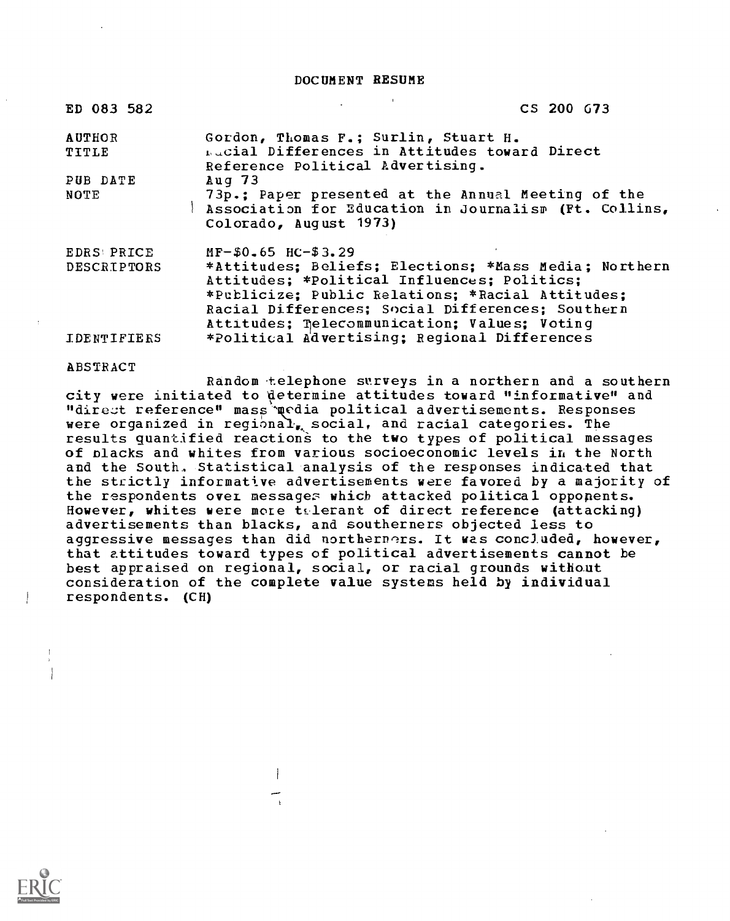DOCUMENT RESUME

| ED 083 582             | CS 200 G73                                                                                                                                                                                                                                                   |
|------------------------|--------------------------------------------------------------------------------------------------------------------------------------------------------------------------------------------------------------------------------------------------------------|
| <b>AUTHOR</b><br>TITLE | Gordon, Thomas F.; Surlin, Stuart H.<br><b>Lucial Differences in Attitudes toward Direct</b><br>Reference Political Advertising.                                                                                                                             |
| PUB DATE               | Aug $73$                                                                                                                                                                                                                                                     |
| NOTE                   | 73p.; Paper presented at the Annual Meeting of the<br>Association for Education in Journalism (Ft. Collins,<br>Colorado, August 1973)                                                                                                                        |
| <b>EDRS PRICE</b>      | $MF-$0.65$ HC-\$3.29                                                                                                                                                                                                                                         |
| <b>DESCRIPTORS</b>     | *Attitudes: Beliefs; Elections: *Mass Media; Northern<br>Attitudes; *Political Influences; Politics;<br>*Publicize; Public Relations; *Racial Attitudes;<br>Racial Differences; Social Differences; Southern<br>Attitudes; Telecommunication; Values; Voting |
| <b>IDENTIFIERS</b>     | *Political Advertising; Regional Differences                                                                                                                                                                                                                 |

#### ABSTRACT

Random telephone surveys in a northern and a southern city were initiated to determine attitudes toward "informative" and "direct reference" mass political advertisements. Responses were organized in regional, social, and racial categories. The results quantified reactions to the two types of political messages of blacks and whites from various socioeconomic levels in the North and the South. Statistical analysis of the responses indicated that the strictly informative advertisements were favored by a majority of the respondents over messages which attacked political opponents. However, whites were more telerant of direct reference (attacking) advertisements than blacks, and southerners objected less to aggressive messages than did northerners. It was concluded, however, that attitudes toward types of political advertisements cannot be best appraised on regional, social, or racial grounds without consideration of the complete value systems held by individual respondents. (CH)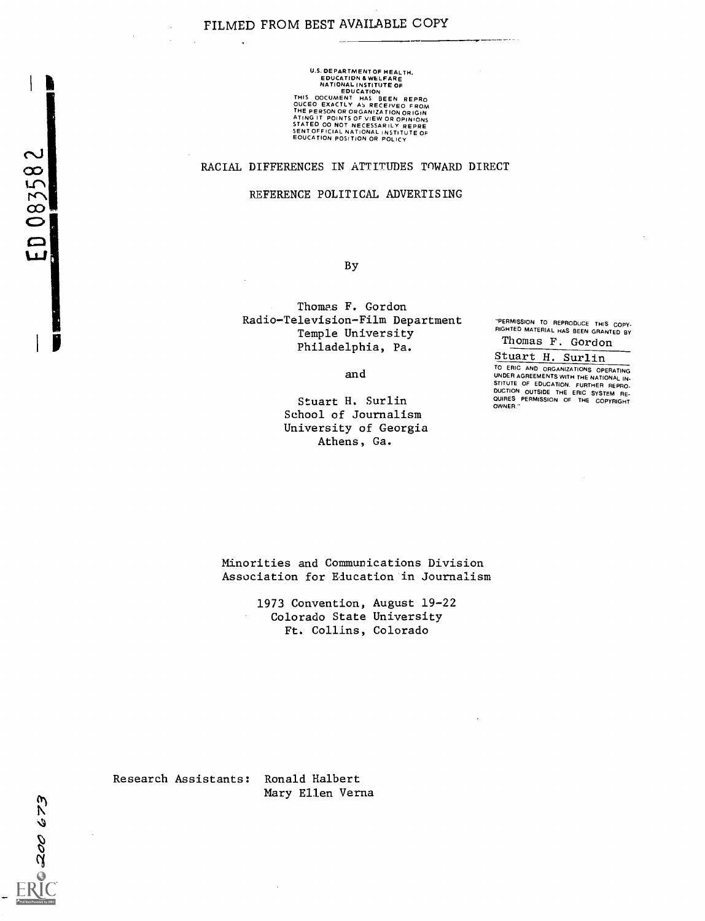## FILMED FROM BEST AVAILABLE COPY

 $\mathcal{L}$ 

U.S. DEPARTMENTOF HEALTH,<br>
EDUCATION & WELFARE<br>
NATIONAL HAS BEEN REPRO<br>
THIS OCUMENT HAS BEEN REPRO<br>
THIS OCUMENT HAS BEEN REPRO<br>
OUCEO EXACTLY AS RECEIVED FROM<br>
THE PERSON OR ORGANIZATION ORIGIN<br>
STATED OO NOT NECESSARIL SENT OFFICIAL NATIONAL INSTITUTE OF<br>EOUCATION POSITION OR POLICY

#### RACIAL DIFFERENCES IN ATTITUDES TOWARD DIRECT

#### REFERENCE POLITICAL ADVERTISING

By

Thomas F. Gordon Radio-Television-Film Department TERMISSION TO REPRODUCE THIS COPY. Temple University Philadelphia, Pa.

"PERMISSION TO REPRODUCE THIS COPY- RIGHTED MATERIAL HAS BEEN GRANTED BY Thomas F. Gordon

Stuart H. Surlin

and

Stuart H. Surlin School of Journalism University of Georgia Athens, Ga.

TO ERIC AND ORGANIZATIONS OPERATING UNDER AGREEMENTS WITH THE NATIONAL IN-<br>STITUTE OF EDUCATION. FURTHER REPRO-<br>DUCTION OUTSIDE THE ERIC SYSTEM RE-<br>QUIRES PERMISSION OF THE COPYRIGHT<br>OWNER "

Minorities and Communications Division Association for Education in Journalism

> 1973 Convention, August 19-22 Colorado State University Ft. Collins, Colorado

Research Assistants: Ronald Halbert

Mary Ellen Verna

200 673

B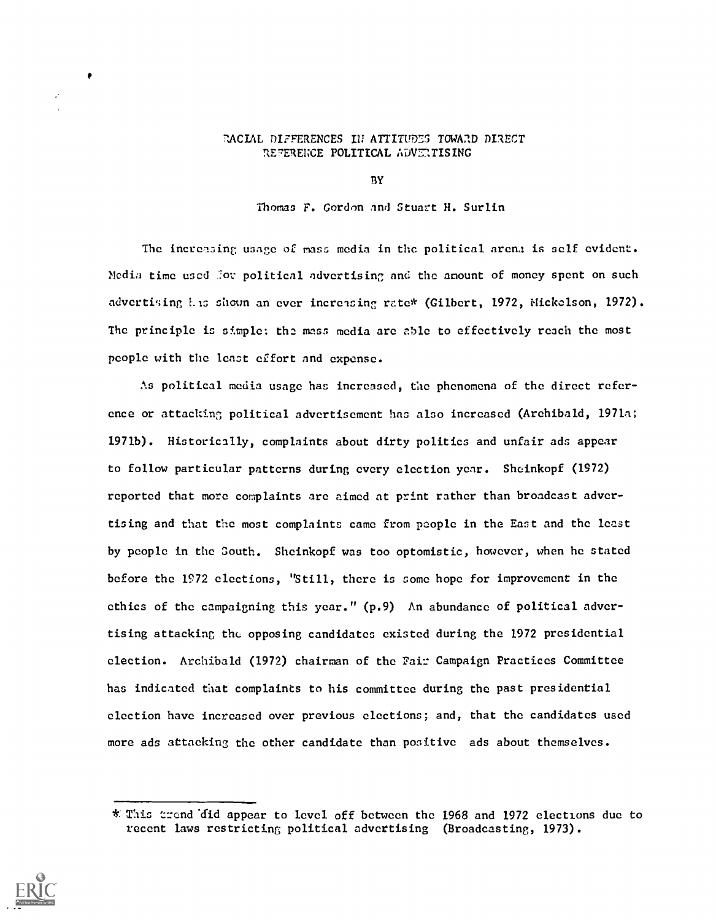## RACIAL DIFFERENCES IN ATTITUDES TOWARD DIRECT REFERENCE POLITICAL ADVENTISING

BY

Thomas F. Gordon and Stuart H. Surlin

The increasing usage of mass media in the political arena is self evident. Media time used for political advertising and the anount of money spent on such advertising Lis shown an ever increasing rate\* (Gilbert, 1972, Mickelson, 1972). The principle is simple: the mass media are able to effectively reach the most people with the least effort and expense.

As political media usage has increased, the phenomena of the direct reference or attacking political advertisement has also increased (Archibald, 1971a; 1971b). Historically, complaints about dirty politics and unfair ads appear to follow particular patterns during every election year. Sheinkopf (1972) reported that more complaints arc aimed at print rather than broadcast advertising and that the most complaints came from people in the East and the least by people in the South. Sheinkopf was too optomistic, however, when he stated before the 1972 elections, "Still, there is some hope for improvement in the ethics of the campaigning this year." (p.9) An abundance of political advertising attacking the opposing candidates existed during the 1972 presidential election. Archibald (1972) chairman of the Fair Campaign Practices Committee has indicated that complaints to his committee during the past presidential election have increased over previous elections; and, that the candidates used more ads attacking the other candidate than positive ads about themselves.



production and the product of the product of the product of the product of the product of the product of the p

<sup>\*&</sup>quot; This trend 'did appear to level off between the 1968 and 1972 elections due to recent laws restricting political advertising (Broadcasting, 1973).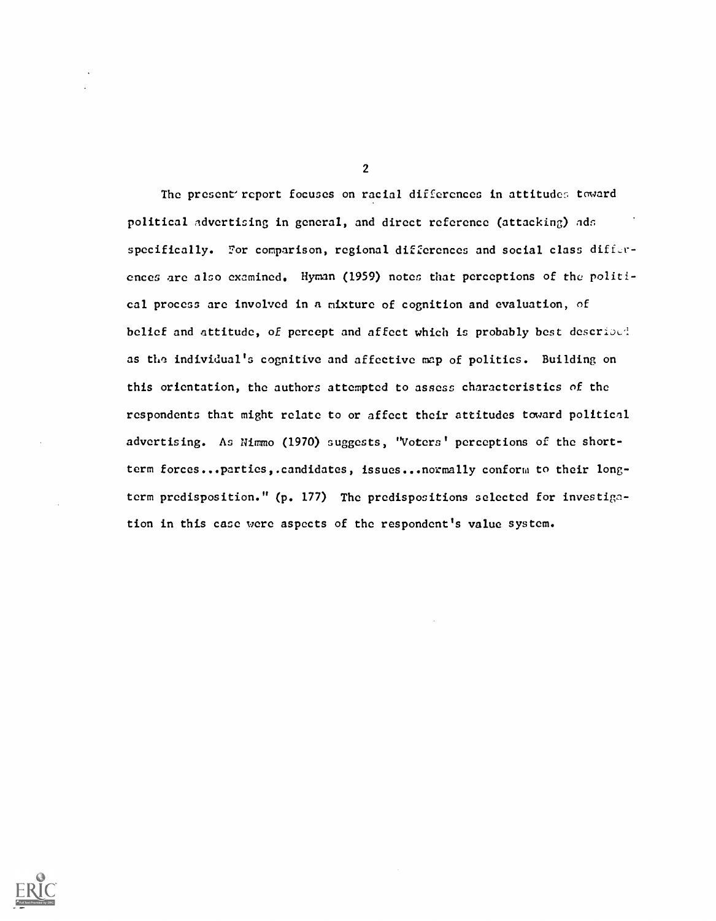The present report focuses on racial differences in attitudes toward political advertising in general, and direct reference (attacking) ads specifically. For comparison, regional differences and social class differences are also examined. Hyman (1959) notes that perceptions of the political process are involved in a mixture of cognition and evaluation, of belief and attitude, of percept and affect which is probably best described as the individual's cognitive and affective map of politics. Building on this orientation, the authors attempted to assess characteristics of the respondents that might relate to or affect their attitudes toward political advertising. As Nlrnmo (1970) suggests, "Voters' perceptions of the shortterm forces...parties, candidates, issues... normally conform to their longterm predisposition." (p. 177) The predispositions selected for investigation in this case were aspects of the respondent's value system.



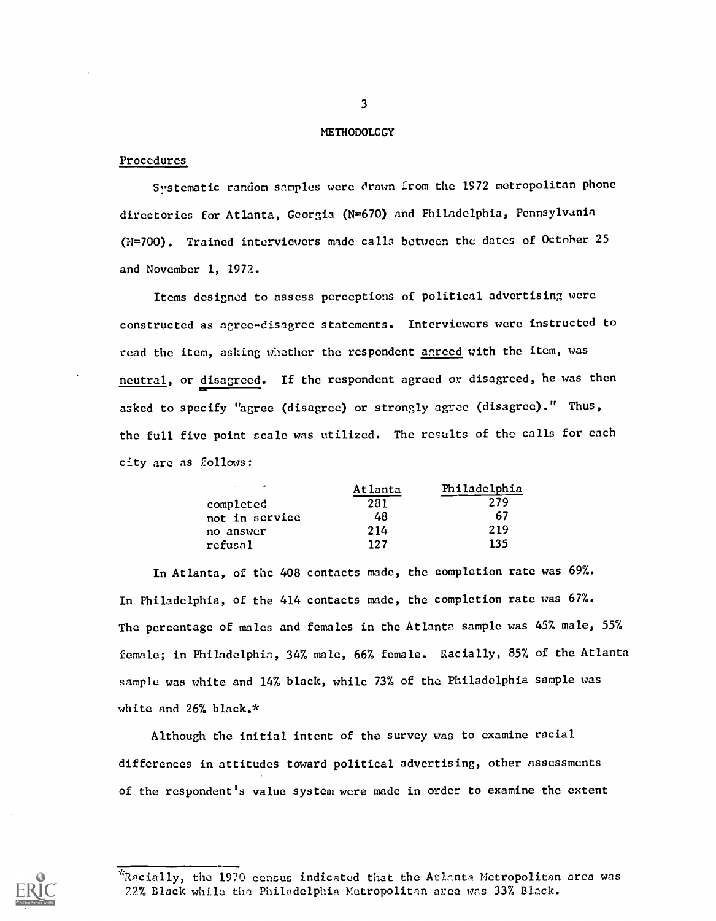#### **METHODOLCGY**

## **Procedures**

Systematic random samples were drawn from the 1972 metropolitan phone directories for Atlanta, Georgia (N=670) and Philadelphia, Pennsylvania (N=700). Trained interviewers made calls between the dates of October 25 and November 1, 1972.

Items designed to assess perceptions of political advertising were constructed as agree-disagree statements. Interviewers were instructed to read the item, asking whether the respondent agreed with the item, was neutral, or disagreed. If the respondent agreed or disagreed, he was then asked to specify "agree (disagree) or strongly agree (disagree)." Thus, the full five point scale was utilized. The results of the calls for each city are as follows:

| $\mathbf{r}$<br>$\overline{\phantom{a}}$ | Atlanta | Philadelphia |  |
|------------------------------------------|---------|--------------|--|
| completed                                | 281     | 279          |  |
| not in service                           | 48      | 67           |  |
| no answer                                | 214     | 219          |  |
| refusal                                  | 197     | 135          |  |

In Atlanta, of the 408 contacts made, the completion rate was 69%. In Philadelphia, of the 414 contacts made, the completion rate was 67%. The percentage of males and females in the Atlanta sample was 45% male, 55% female; in Philadelphia, 34% male, 66% female. Racially, 85% of the Atlanta sample was white and 14% black, while 73% of the Philadelphia sample was white and 26% black.\*

Although the initial intent of the survey was to examine racial differences in attitudes toward political advertising, other assessments of the respondent's value system were made in order to examine the extent



<sup>&#</sup>x27;Racially, the 1970 census indicated that the Atlanta Metropolitan area was 72% Black while the Philadelphia Metropolitan area was 33% Black.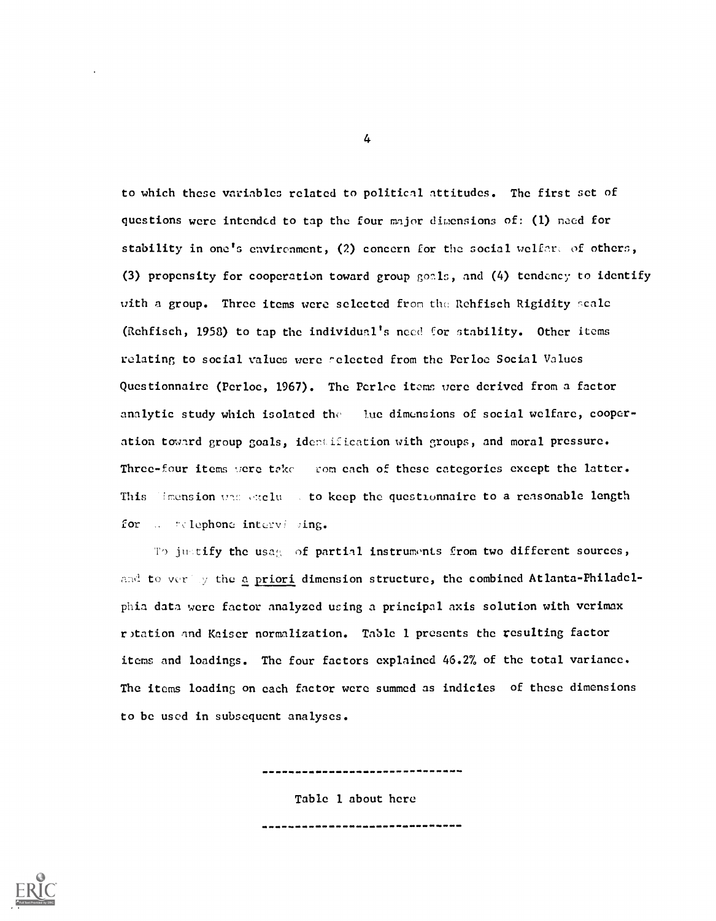to which these variables related to political attitudes. The first set of questions were intended to tap the four major dimensions of: (1) need for stability in one's environment, (2) concern for the social welfare of others, (3) propensity for cooperation toward group goals, and (4) tendency to identify with a group. Three items were selected from the Rehfisch Rigidity scale (Rehfisch, 1958) to tap the individual's need for stability. Other items relating to social values were ^elected from the Perloc Social Values Questionnaire (Perloe, 1967). The Perloe items were derived from a factor analytic study which isolated the lue dimensions of social welfare, cooperation toward group goals, idcrtification with groups, and moral pressure. Three-four items were take tom each of these categories except the latter. This limension the exclusion to keep the questionnaire to a reasonable length for ... telephone intervising.

To justify the usag, of partial instruments from two different sources, and to verthy the a priori dimension structure, the combined Atlanta-Philadelphia data were factor analyzed using a principal axis solution with verimax r)tation and Kaiser normalization. Table 1 presents the resulting factor items and loadings. The four factors explained 46.2% of the total variance. The items loading on each factor were summed as indicies of these dimensions to be used in subsequent analyses.

,,,,,,,,,,,,,,,,,,,,,,,,

-------------------------------

Table 1 about here

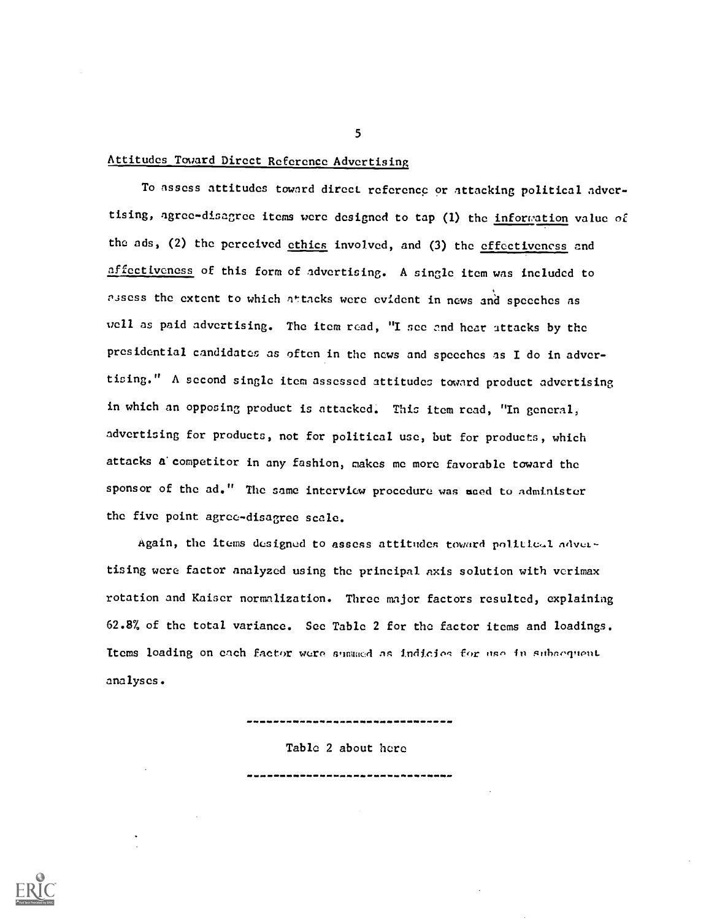## Attitudes Toward Direct Reference Advertising

To assess attitudes toward direct reference or attacking political advertising, agree-disagree items were designed to tap (1) the information value of the ads, (2) the perceived ethics involved, and (3) the effectiveness and effectiveness of this form of advertising. A single item was included to assess the extent to which attacks were evident in news and speeches as well as paid advertising. The item read, "I see and hear attacks by the presidential candidates as often in the news and speeches as I do in advertising." A second single item assessed attitudes toward product advertising in which an opposing product is attacked. This item read, "In general, advertising for products, not for political use, but for products, which attacks & competitor in any fashion, makes me more favorable toward the sponsor of the ad." The same interview procedure was aced to administer the five point agree-disagree scale.

Again, the items designed to assess attitudes toward political advertising were factor analyzed using the principal axis solution with verimax rotation and Kaiser normalization. Three major factors resulted, explaining 62.8% of the total variance. See Table 2 for the factor items and loadings. Items loading on each factor were summed as indicies for use in subsequent analyses.

Table 2 about here

-------------------------------

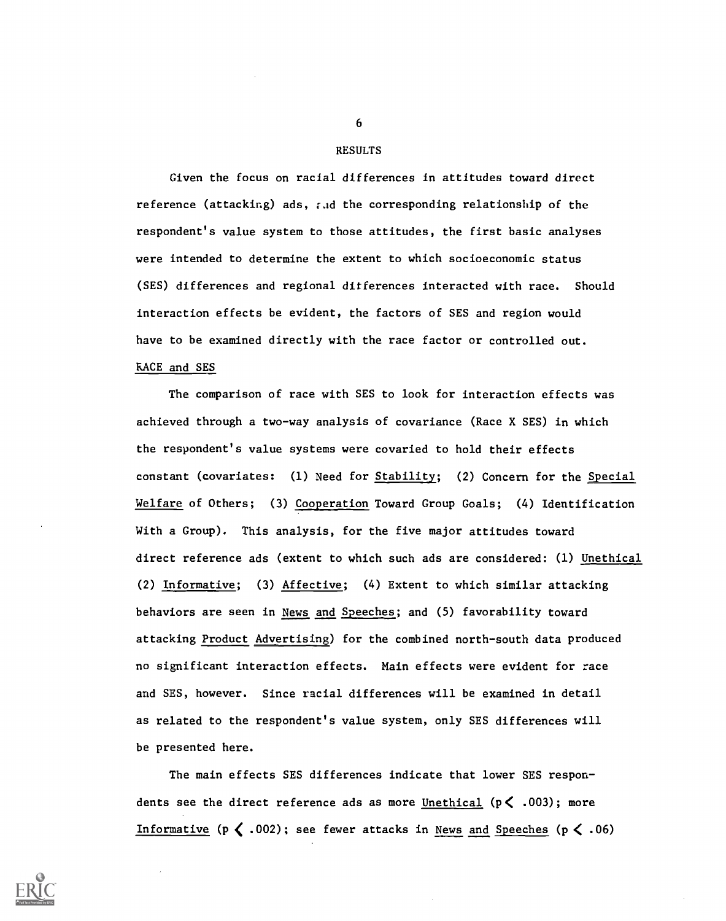#### RESULTS

Given the focus on racial differences in attitudes toward direct reference (attacking) ads, and the corresponding relationship of the respondent's value system to those attitudes, the first basic analyses were intended to determine the extent to which socioeconomic status (SES) differences and regional differences interacted with race. Should interaction effects be evident, the factors of SES and region would have to be examined directly with the race factor or controlled out. RACE and SES

The comparison of race with SES to look for interaction effects was achieved through a two-way analysis of covariance (Race X SES) in which the respondent's value systems were covaried to hold their effects constant (covariates: (1) Need for Stability; (2) Concern for the Special Welfare of Others; (3) Cooperation Toward Group Goals; (4) Identification With a Group). This analysis, for the five major attitudes toward direct reference ads (extent to which such ads are considered: (1) Unethical (2) Informative; (3) Affective; (4) Extent to which similar attacking behaviors are seen in News and Speeches; and (5) favorability toward attacking Product Advertising) for the combined north-south data produced no significant interaction effects. Main effects were evident for race and SES, however. Since racial differences will be examined in detail as related to the respondent's value system, only SES differences will be presented here.

The main effects SES differences indicate that lower SES respondents see the direct reference ads as more Unethical ( $p \le .003$ ); more Informative ( $p \le 002$ ); see fewer attacks in News and Speeches ( $p \le 06$ )

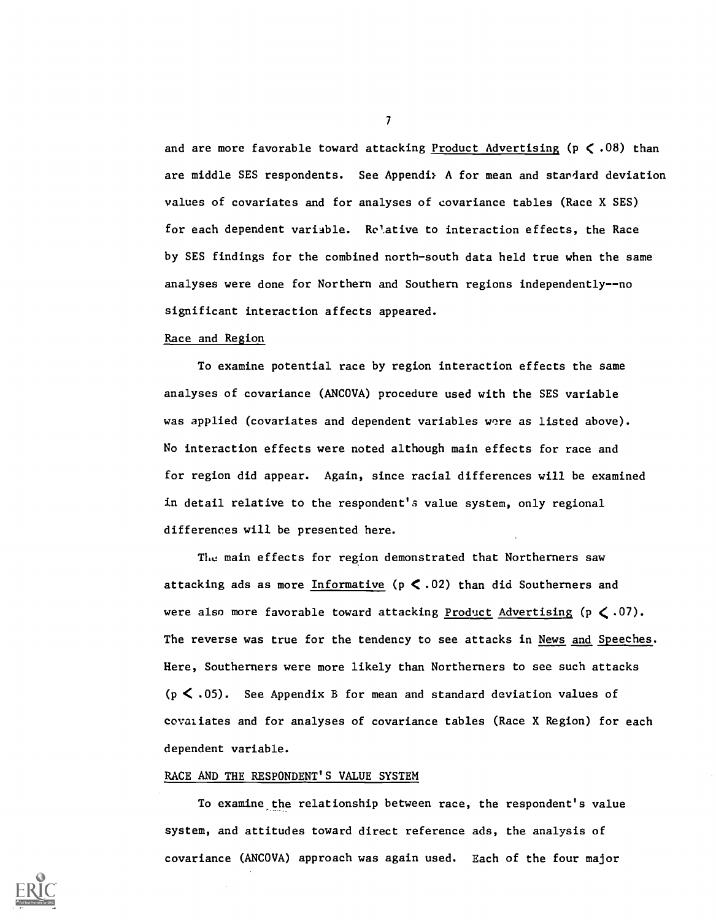and are more favorable toward attacking Product Advertising ( $p < .08$ ) than are middle SES respondents. See Appendi, A for mean and standard deviation values of covariates and for analyses of covariance tables (Race X SES) for each dependent variable. Relative to interaction effects, the Race by SES findings for the combined north-south data held true when the same analyses were done for Northern and Southern regions independently--no significant interaction affects appeared.

#### Race and Region

To examine potential race by region interaction effects the same analyses of covariance (ANCOVA) procedure used with the SES variable was applied (covariates and dependent variables were as listed above). No interaction effects were noted although main effects for race and for region did appear. Again, since racial differences will be examined in detail relative to the respondent's value system, only regional differences will be presented here.

The main effects for region demonstrated that Northerners saw attacking ads as more Informative ( $p \le .02$ ) than did Southerners and were also more favorable toward attacking Product Advertising ( $p \le .07$ ). The reverse was true for the tendency to see attacks in News and Speeches. Here, Southerners were more likely than Northerners to see such attacks  $(p \lt 0.05)$ . See Appendix B for mean and standard deviation values of covaliates and for analyses of covariance tables (Race X Region) for each dependent variable.

## RACE AND THE RESPONDENT'S VALUE SYSTEM

To examine the relationship between race, the respondent's value system, and attitudes toward direct reference ads, the analysis of covariance (ANCOVA) approach was again used. Each of the four major

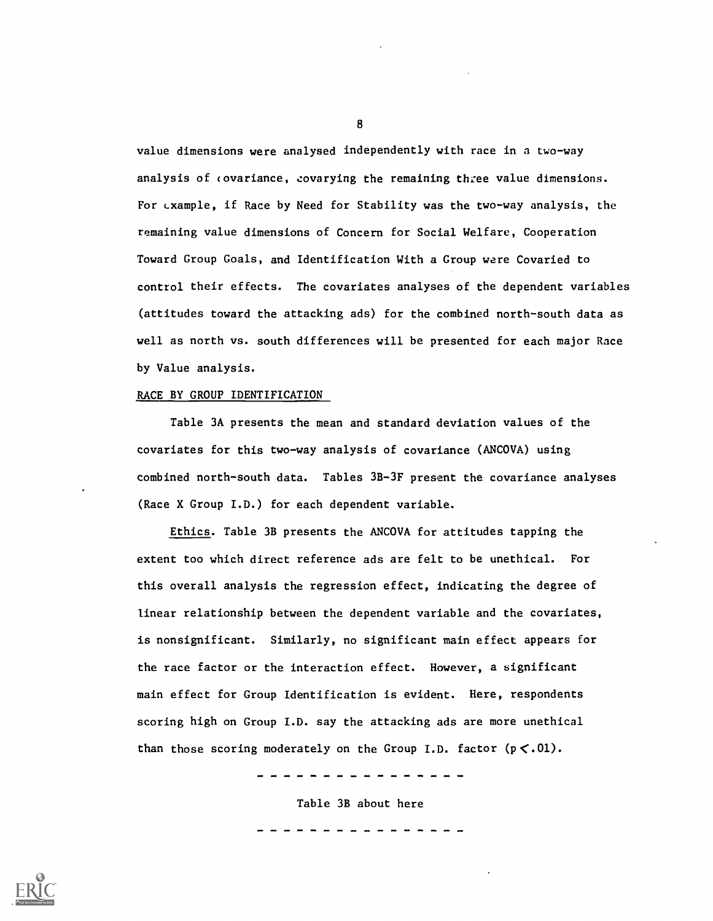value dimensions were analysed independently with race in a two-way analysis of covariance, covarying the remaining three value dimensions. For example, if Race by Need for Stability was the two-way analysis, the remaining value dimensions of Concern for Social Welfare, Cooperation Toward Group Goals, and Identification With a Group were Covaried to control their effects. The covariates analyses of the dependent variables (attitudes toward the attacking ads) for the combined north-south data as well as north vs. south differences will be presented for each major Race by Value analysis.

#### RACE BY GROUP IDENTIFICATION

Table 3A presents the mean and standard deviation values of the covariates for this two-way analysis of covariance (ANCOVA) using combined north-south data. Tables 3B-3F present the covariance analyses (Race X Group I.D.) for each dependent variable.

Ethics. Table 3B presents the ANCOVA for attitudes tapping the extent too which direct reference ads are felt to be unethical. For this overall analysis the regression effect, indicating the degree of linear relationship between the dependent variable and the covariates, is nonsignificant. Similarly, no significant main effect appears for the race factor or the interaction effect. However, a significant main effect for Group Identification is evident. Here, respondents scoring high on Group I.D. say the attacking ads are more unethical than those scoring moderately on the Group I.D. factor  $(p < .01)$ .

Table 3B about here

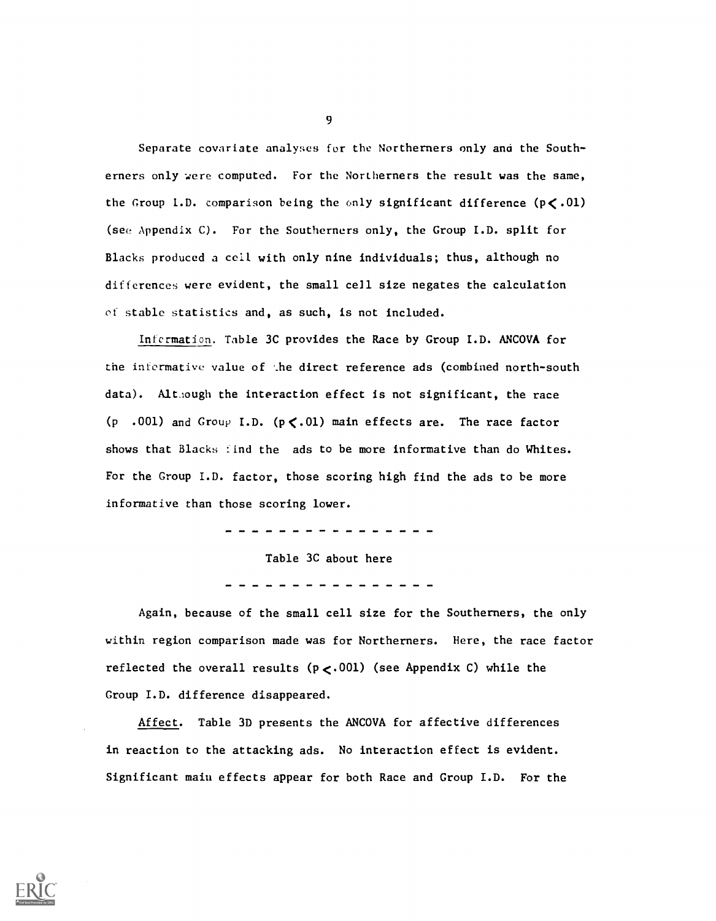Separate covariate analyses for the Northerners only and the Southerners only were computed. For the Northerners the result was the same, the Group I.D. comparison being the only significant difference ( $p < .01$ ) (see Appendix C). For the Southerners only, the Group I.D. split for Blacks produced a cell with only nine individuals; thus, although no differences were evident, the small cell size negates the calculation of stable statistics and, as such, is not included.

Infermation. Table 3C provides the Race by Group I.D. ANCOVA for the informative value of ..he direct reference ads (combined north-south data). Although the interaction effect is not significant, the race (p .001) and Group I.D. ( $p < 01$ ) main effects are. The race factor shows that Blacks find the ads to be more informative than do Whites. For the Group I.D. factor, those scoring high find the ads to be more informative than those scoring lower.

Table 3C about here

Again, because of the small cell size for the Southerners, the only within region comparison made was for Northerners. Here, the race factor reflected the overall results  $(p<.001)$  (see Appendix C) while the Group I.D. difference disappeared.

Affect. Table 3D presents the ANCOVA for affective differences in reaction to the attacking ads. No interaction effect is evident. Significant main effects appear for both Race and Group I.D. For the

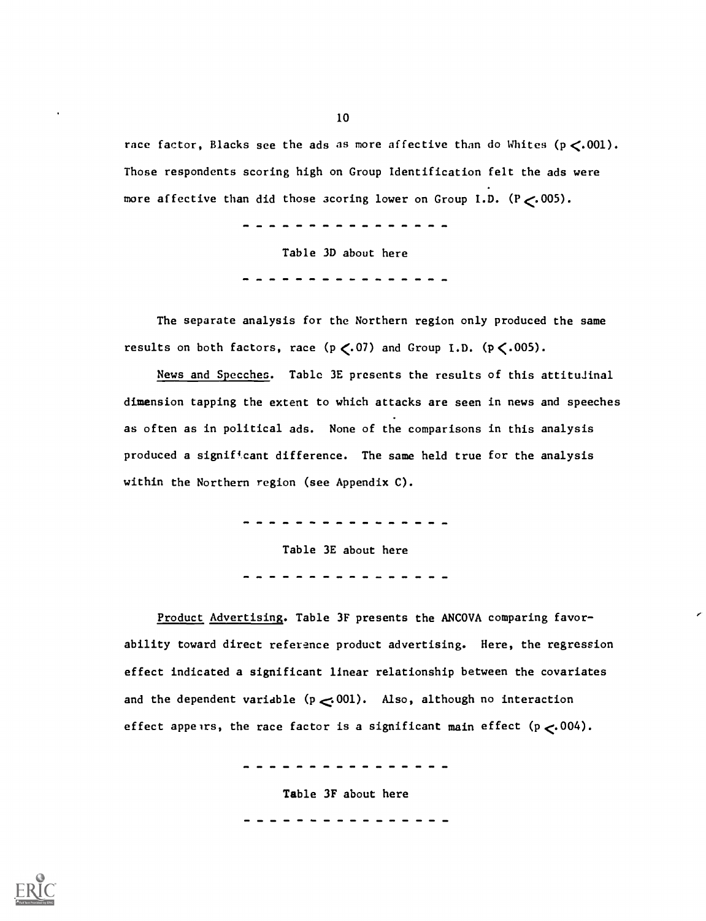race factor, Blacks see the ads as more affective than do Whites  $(p \lt 0.001)$ . Those respondents scoring high on Group Identification felt the ads were more affective than did those scoring lower on Group I.D.  $(P \le 005)$ .

. **. . . . . . . .** .

Table 3D about here

The separate analysis for the Northern region only produced the same results on both factors, race  $(p \lt.07)$  and Group I.D.  $(p \lt.005)$ .

News and Speeches. Table 3E presents the results of this attitudinal dimension tapping the extent to which attacks are seen in news and speeches as often as in political ads. None of the comparisons in this analysis produced a significant difference. The same held true for the analysis within the Northern region (see Appendix C).

> -------------Table 3E about here

Product Advertising. Table 3F presents the ANCOVA comparing favorability toward direct reference product advertising. Here, the regression effect indicated a significant linear relationship between the covariates and the dependent variable  $(p \le 001)$ . Also, although no interaction effect appears, the race factor is a significant main effect  $(p < 004)$ .

. . . . . . . . . . . . .

Table 3F about here

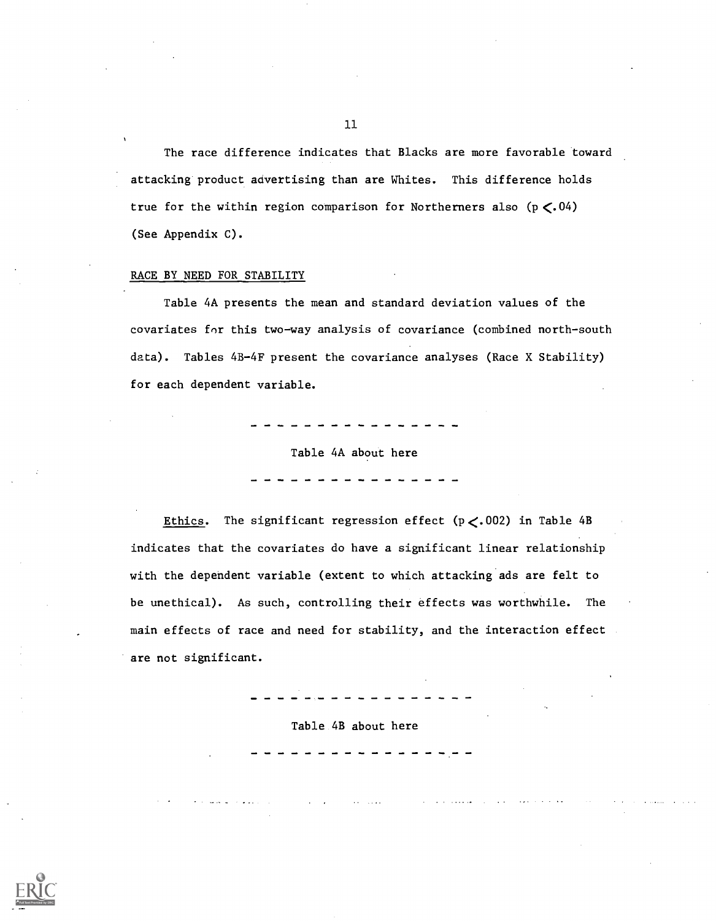The race difference indicates that Blacks are more favorable toward attacking product advertising than are Whites. This difference holds true for the within region comparison for Northerners also  $(p \le 04)$ (See Appendix C).

## RACE BY NEED FOR STABILITY

Table 4A presents the mean and standard deviation values of the covariates for this two-way analysis of covariance (combined north-south data). Tables 4B-4F present the covariance analyses (Race X Stability) for each dependent variable.

Table 4A about here

Ethics. The significant regression effect ( $p < .002$ ) in Table 4B indicates that the covariates do have a significant linear relationship with the dependent variable (extent to which attacking ads are felt to be unethical). As such, controlling their effects was worthwhile. The main effects of race and need for stability, and the interaction effect are not significant.

Table 4B about here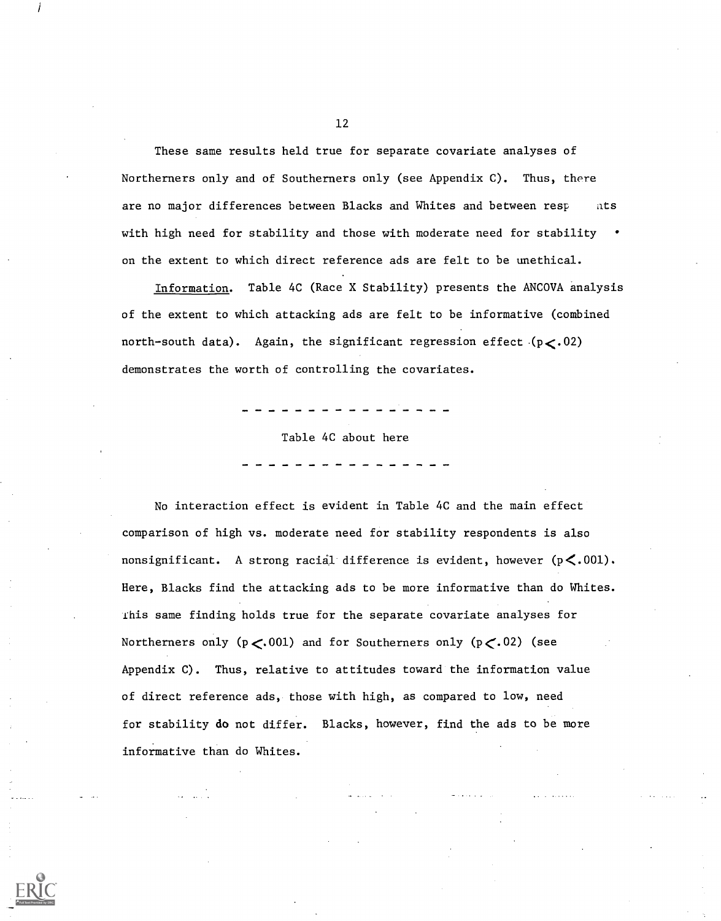These same results held true for separate covariate analyses of Northerners only and of Southerners only (see Appendix C). Thus, there are no major differences between Blacks and Whites and between resp ats with high need for stability and those with moderate need for stability on the extent to which direct reference ads are felt to be unethical.

Information. Table 4C (Race X Stability) presents the ANCOVA analysis of the extent to which attacking ads are felt to be informative (combined north-south data). Again, the significant regression effect  $(p<.02)$ demonstrates the worth of controlling the covariates.

Table 4C about here

No interaction effect is evident in Table 4C and the main effect comparison of high vs. moderate need for stability respondents is also nonsignificant. A strong racial difference is evident, however  $(p<.001)$ . Here, Blacks find the attacking ads to be more informative than do Whites. fhis same finding holds true for the separate covariate analyses for Northerners only ( $p < 001$ ) and for Southerners only ( $p < 02$ ) (see Appendix C). Thus, relative to attitudes toward the information value of direct reference ads, those with high, as compared to low, need for stability do not differ. Blacks, however, find the ads to be more informative than do Whites.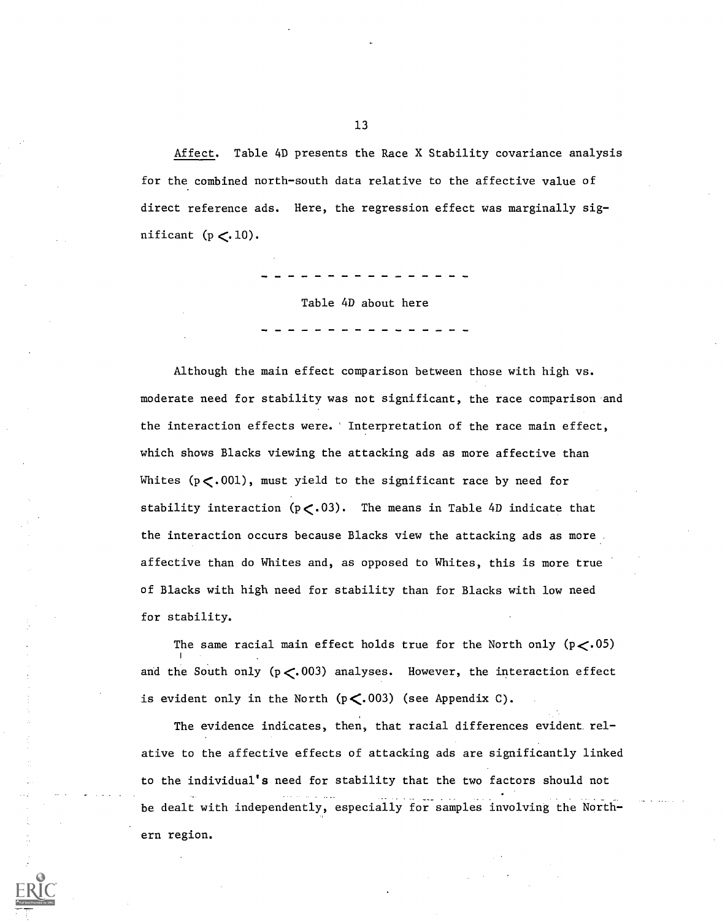Affect. Table 4D presents the Race X Stability covariance analysis for the combined north-south data relative to the affective value of direct reference ads. Here, the regression effect was marginally significant  $(p < 10)$ .

Table 4D about here

Although the main effect comparison between those with high vs. moderate need for stability was not significant, the race comparison and the interaction effects were.' Interpretation of the race main effect, which shows Blacks viewing the attacking ads as more affective than Whites  $(p<.001)$ , must yield to the significant race by need for stability interaction  $(p<.03)$ . The means in Table 4D indicate that the interaction occurs because Blacks view the attacking ads as more affective than do Whites and, as opposed to Whites, this is more true of Blacks with high need for stability than for Blacks with low need for stability.

The same racial main effect holds true for the North only  $(p<05)$ and the South only ( $p < 003$ ) analyses. However, the interaction effect is evident only in the North  $(p<.003)$  (see Appendix C).

The evidence indicates, then, that racial differences evident relative to the affective effects of attacking ads are significantly linked to the individual's need for stability that the two factors should not be dealt with independently, especially for samples involving the Northern region.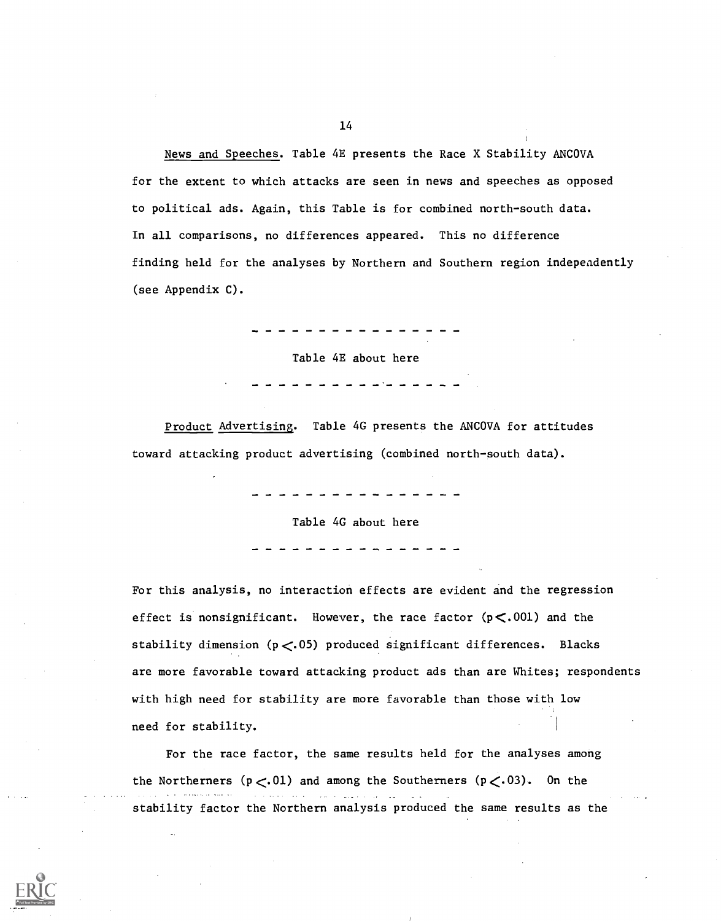News and Speeches. Table 4E presents the Race X Stability ANCOVA for the extent to which attacks are seen in news and speeches as opposed to political ads. Again, this Table is for combined north-south data. In all comparisons, no differences appeared. This no difference finding held for the analyses by Northern and Southern region independently (see Appendix C).

Table 4E about here

Product Advertising. Table 4G presents the ANCOVA for attitudes toward attacking product advertising (combined north-south data).

Table 4G about here

For this analysis, no interaction effects are evident and the regression effect is nonsignificant. However, the race factor  $(p<.001)$  and the stability dimension ( $p < 05$ ) produced significant differences. Blacks are more favorable toward attacking product ads than are Whites; respondents with high need for stability are more favorable than those with low need for stability.

For the race factor, the same results held for the analyses among the Northerners ( $p<.01$ ) and among the Southerners ( $p<.03$ ). On the stability factor the Northern analysis produced the same results as the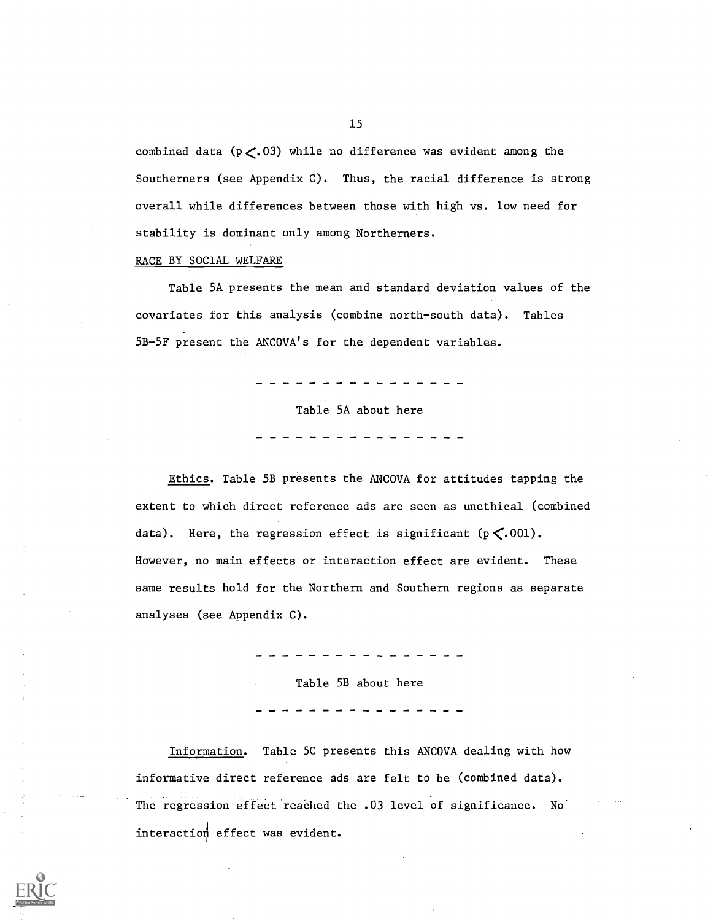combined data ( $p<.03$ ) while no difference was evident among the Southerners (see Appendix C). Thus, the racial difference is strong overall while differences between those with high vs. low need for stability is dominant only among Northerners.

#### RACE BY SOCIAL WELFARE

Table 5A presents the mean and standard deviation values of the covariates for this analysis (combine north-south data). Tables 5B-5F present the ANCOVA's for the dependent variables.

Table 5A about here

Ethics. Table 5B presents the ANCOVA for attitudes tapping the extent to which direct reference ads are seen as unethical (combined data). Here, the regression effect is significant  $(p \le 001)$ . However, no main effects or interaction effect are evident. These same results hold for the Northern and Southern regions as separate analyses (see Appendix C).

Table 5B about here

Information. Table 5C presents this ANCOVA dealing with how informative direct reference ads are felt to be (combined data). The regression effect reached the .03 level of significance. No interactio4 effect was evident.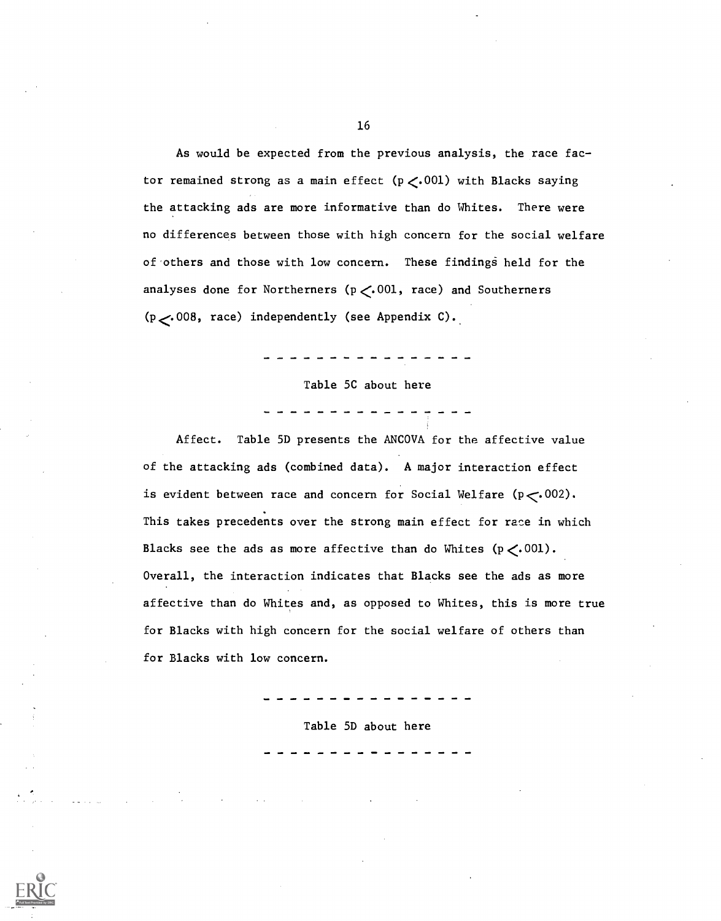As would be expected from the previous analysis, the race factor remained strong as a main effect  $(p \lt 0.001)$  with Blacks saying the attacking ads are more informative than do Whites. There were no differences between those with high concern for the social welfare of others and those with low concern. These findings held for the analyses done for Northerners ( $p \lt 0.001$ , race) and Southerners  $(p \sim 008$ , race) independently (see Appendix C).

Table 5C about here

Affect. Table 5D presents the ANCOVA for the affective value of the attacking ads (combined data). A major interaction effect is evident between race and concern for Social Welfare  $(p \lt 002)$ . This takes precedents over the strong main effect for race in which Blacks see the ads as more affective than do Whites  $(p \lt 0.001)$ . Overall, the interaction indicates that Blacks see the ads as more affective than do Whites and, as opposed to Whites, this is more true for Blacks with high concern for the social welfare of others than for Blacks with low concern.

Table 5D about here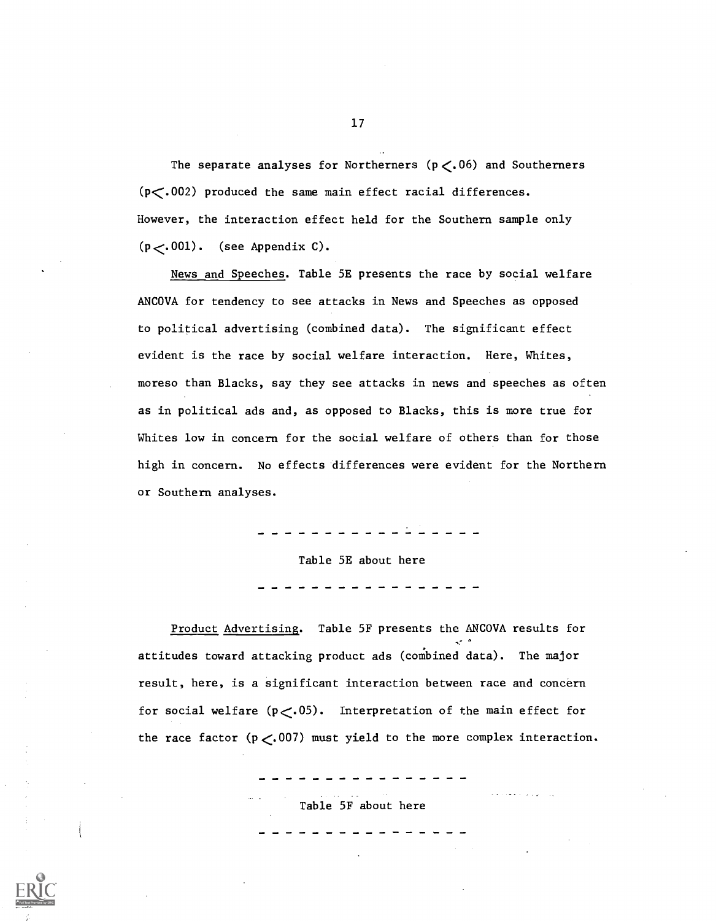The separate analyses for Northerners  $(p \lt, 06)$  and Southerners (p<.002) produced the same main effect racial differences. However, the interaction effect held for the Southern sample only  $(p<.001)$ . (see Appendix C).

News and Speeches. Table 5E presents the race by social welfare ANCOVA for tendency to see attacks in News and Speeches as opposed to political advertising (combined data). The significant effect evident is the race by social welfare interaction. Here, Whites, moreso than Blacks, say they see attacks in news and speeches as often as in political ads and, as opposed to Blacks, this is more true for Whites low in concern for the social welfare of others than for those high in concern. No effects differences were evident for the Northern or Southern analyses.

> \_ \_ \_ \_ \_ \_ \_ \_ \_ \_ \_ Table 5E about here

Product Advertising. Table 5F presents the ANCOVA results for attitudes toward attacking product ads (combined data). The major result, here, is a significant interaction between race and concern for social welfare  $(p<.05)$ . Interpretation of the main effect for the race factor  $(p < .007)$  must yield to the more complex interaction.

Table 5F about here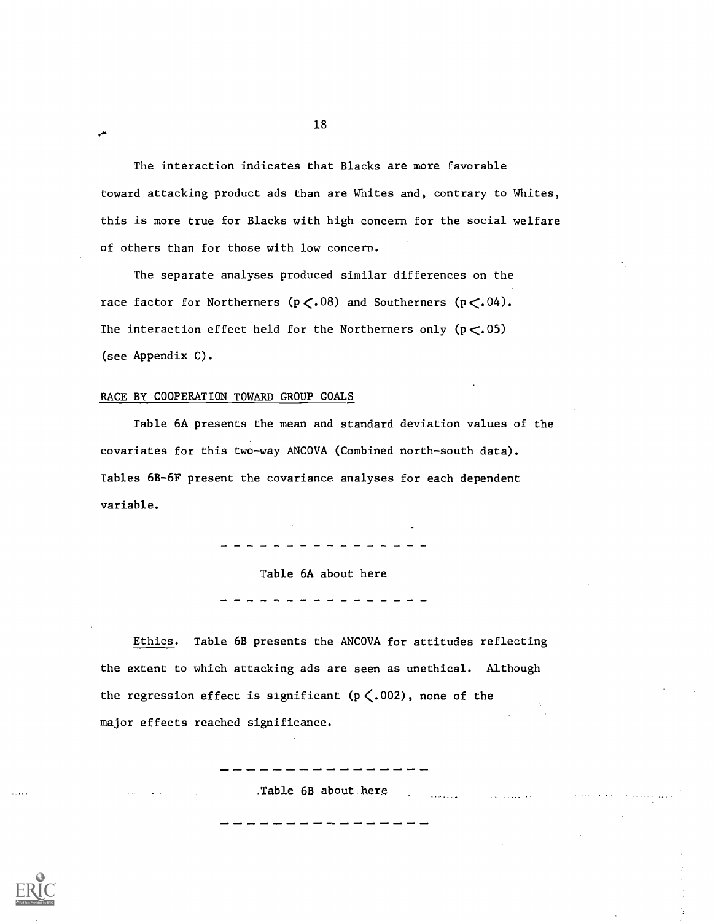The interaction indicates that Blacks are more favorable toward attacking product ads than are Whites and, contrary to Whites, this is more true for Blacks with high concern for the social welfare of others than for those with low concern.

The separate analyses produced similar differences on the race factor for Northerners ( $p \lt.08$ ) and Southerners ( $p \lt.04$ ). The interaction effect held for the Northerners only  $(p < .05)$ (see Appendix C).

## RACE BY COOPERATION TOWARD GROUP GOALS

.40

Table 6A presents the mean and standard deviation values of the covariates for this two-way ANCOVA (Combined north-south data). Tables 6B-6F present the covariance analyses for each dependent variable.

 $\frac{1}{2}$  and  $\frac{1}{2}$  and  $\frac{1}{2}$  and  $\frac{1}{2}$ 

Table 6A about here

Ethics. Table 6B presents the ANCOVA for attitudes reflecting the extent to which attacking ads are seen as unethical. Although the regression effect is significant ( $p \lt .002$ ), none of the major effects reached significance.

\_Table 6B about.here.

---------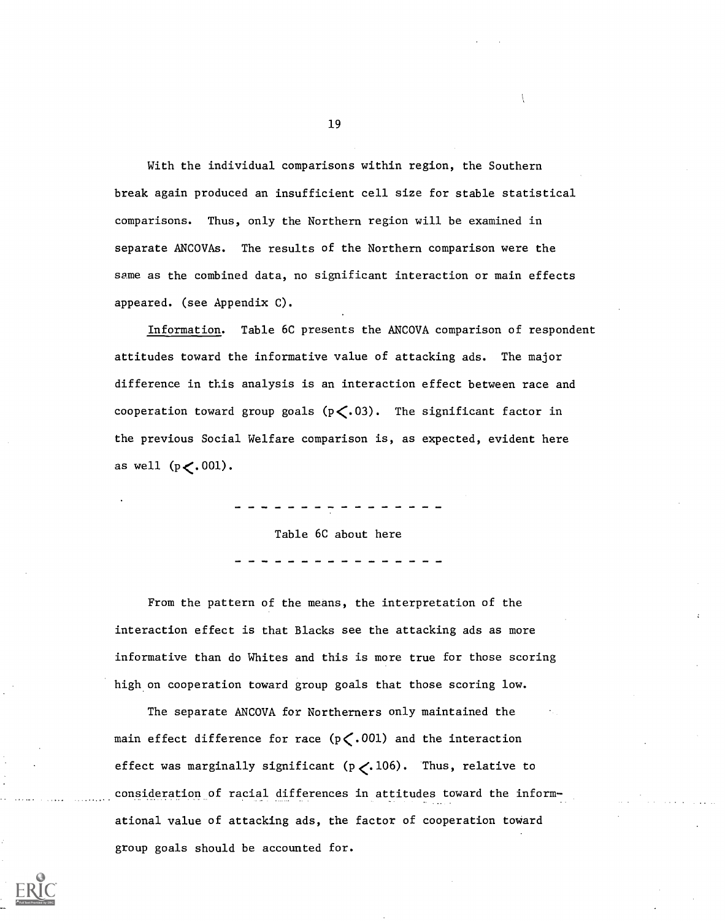With the individual comparisons within region, the Southern break again produced an insufficient cell size for stable statistical comparisons. Thus, only the Northern region will be examined in separate ANCOVAs. The results of the Northern comparison were the same as the combined data, no significant interaction or main effects appeared. (see Appendix C).

Information. Table 6C presents the ANCOVA comparison of respondent attitudes toward the informative value of attacking ads. The major difference in this analysis is an interaction effect between race and cooperation toward group goals  $(p \lt.03)$ . The significant factor in the previous Social Welfare comparison is, as expected, evident here as well  $(p \lt.001)$ .

Table 6C about here

From the pattern of the means, the interpretation of the interaction effect is that Blacks see the attacking ads as more informative than do Whites and this is more true for those scoring high on cooperation toward group goals that those scoring low.

The separate ANCOVA for Northerners only maintained the main effect difference for race  $(p \lt 0.001)$  and the interaction effect was marginally significant  $(p \lt.106)$ . Thus, relative to consideration of racial differences in attitudes toward the informational value of attacking ads, the factor of cooperation toward group goals should be accounted for.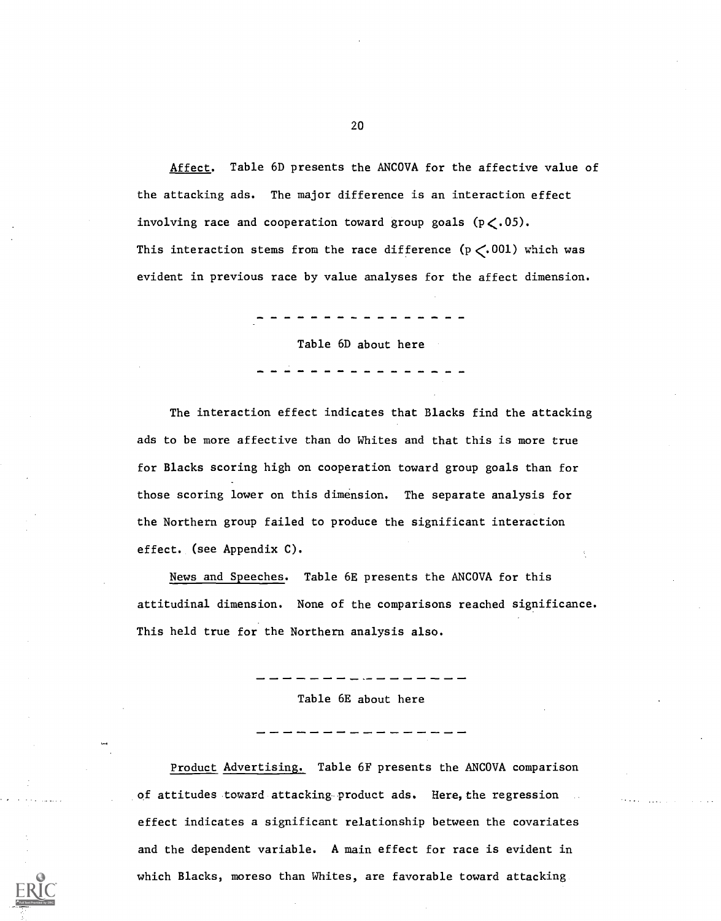Affect. Table 6D presents the ANCOVA for the affective value of the attacking ads. The major difference is an interaction effect involving race and cooperation toward group goals  $(p \lt 0.05)$ . This interaction stems from the race difference  $(p \lt 001)$  which was evident in previous race by value analyses for the affect dimension.

Table 6D about here

The interaction effect indicates that Blacks find the attacking ads to be more affective than do Whites and that this is more true for Blacks scoring high on cooperation toward group goals than for those scoring lower on this dimension. The separate analysis for the Northern group failed to produce the significant interaction effect. (see Appendix C).

News and Speeches. Table 6E presents the ANCOVA for this attitudinal dimension. None of the comparisons reached significance. This held true for the Northern analysis also.

Table 6E about here

Product Advertising. Table 6F presents the ANCOVA comparison of attitudes toward attacking product ads. Here, the regression effect indicates a significant relationship between the covariates and the dependent variable. A main effect for race is evident in which Blacks, moreso than Whites, are favorable toward attacking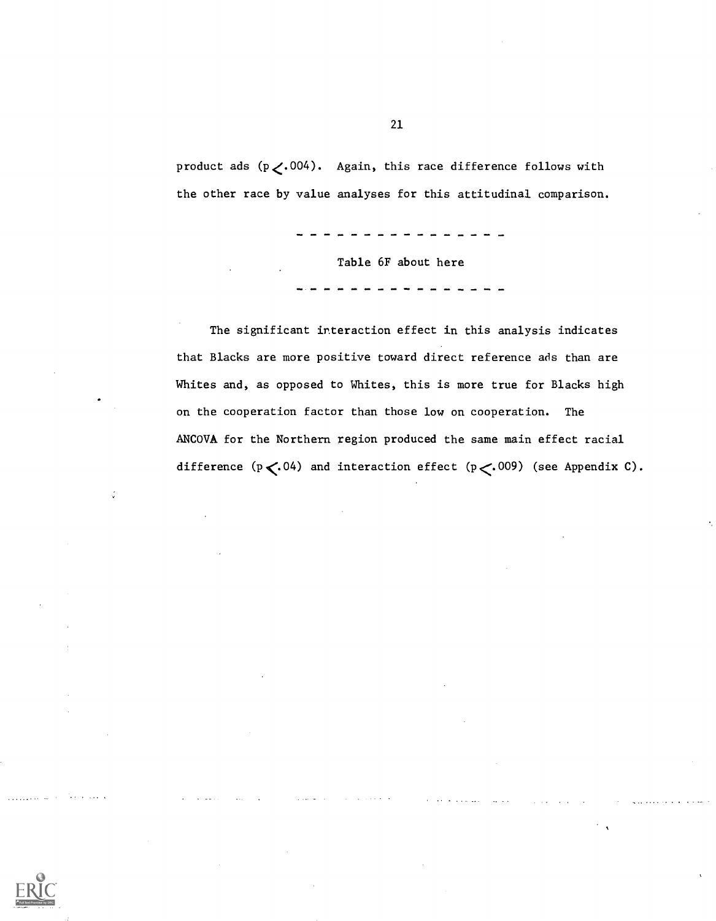product ads  $(p \lt.004)$ . Again, this race difference follows with the other race by value analyses for this attitudinal comparison.

Table 6F about here

The significant interaction effect in this analysis indicates that Blacks are more positive toward direct reference ads than are Whites and, as opposed to Whites, this is more true for Blacks high on the cooperation factor than those low on cooperation. The ANCOVA for the Northern region produced the same main effect racial difference  $(p \lt.04)$  and interaction effect  $(p \lt.009)$  (see Appendix C).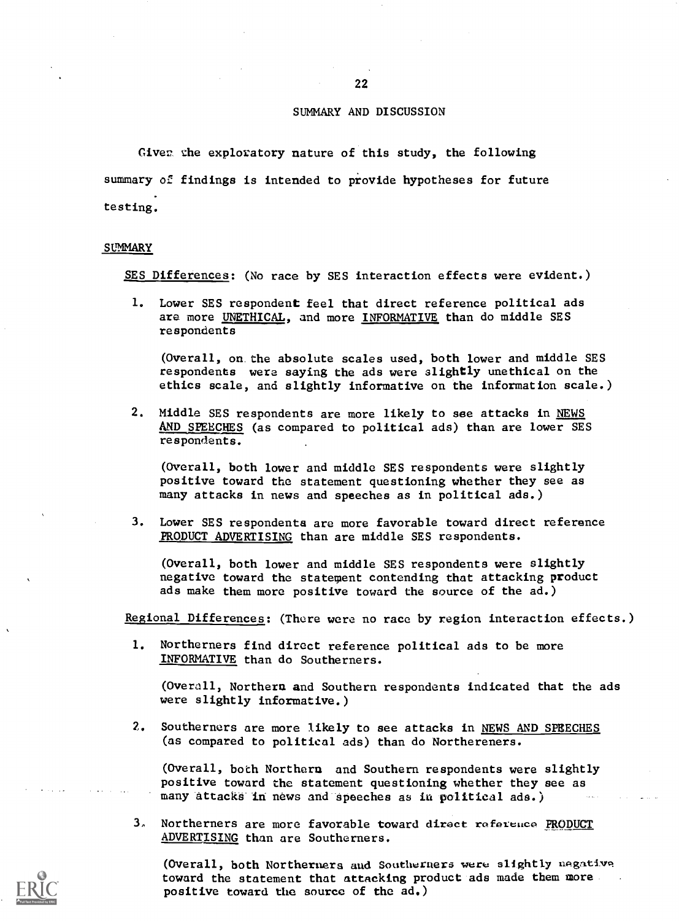## SUMMARY AND DISCUSSION

Giver the exploratory nature of this study, the following summary of findings is intended to provide hypotheses for future testing.

#### **SUMMARY**

SES Differences: (No race by SES interaction effects were evident.)

1. Lower SES respondent feel that direct reference political ads are more UNETHICAL, and more INFORMATIVE than do middle SES respondents

(Overall, on the absolute scales used, both lower and middle SES respondents were saying the ads were slightly unethical on the ethics scale, and slightly informative on the information scale.)

2. Middle SES respondents are more likely to see attacks in NEWS AND SPEECHES (as compared to political ads) than are lower SES respondents.

(Overall, both lower and middle SES respondents were slightly positive toward the statement questioning whether they see as many attacks in news and speeches as in political ads.)

3. Lower SES respondents are more favorable toward direct reference PRODUCT ADVERTISING than are middle SES respondents.

(Overall, both lower and middle SES respondents were slightly negative toward the statement contending that attacking product ads make them more positive toward the source of the ad.)

Regional Differences: (There were no race by region interaction effects.)

1. Northerners find direct reference political ads to be more INFORMATIVE than do Southerners.

(Overall, Northern and Southern respondents indicated that the ads were slightly informative.)

2. Southerners are more likely to see attacks in NEWS AND SPEECHES (as compared to political ads) than do Northereners.

(Overall, both Northern and Southern respondents were slightly positive toward the statement questioning whether they see as many attacks in news and speeches as in political ads.)

3, Northerners are more favorable toward direct reference PRODUCT ADVERTISING than are Southerners.

(Overall, both Northerners and Southerners were slightly nagative toward the statement that attacking product ads made them more positive toward the source of the ad.)

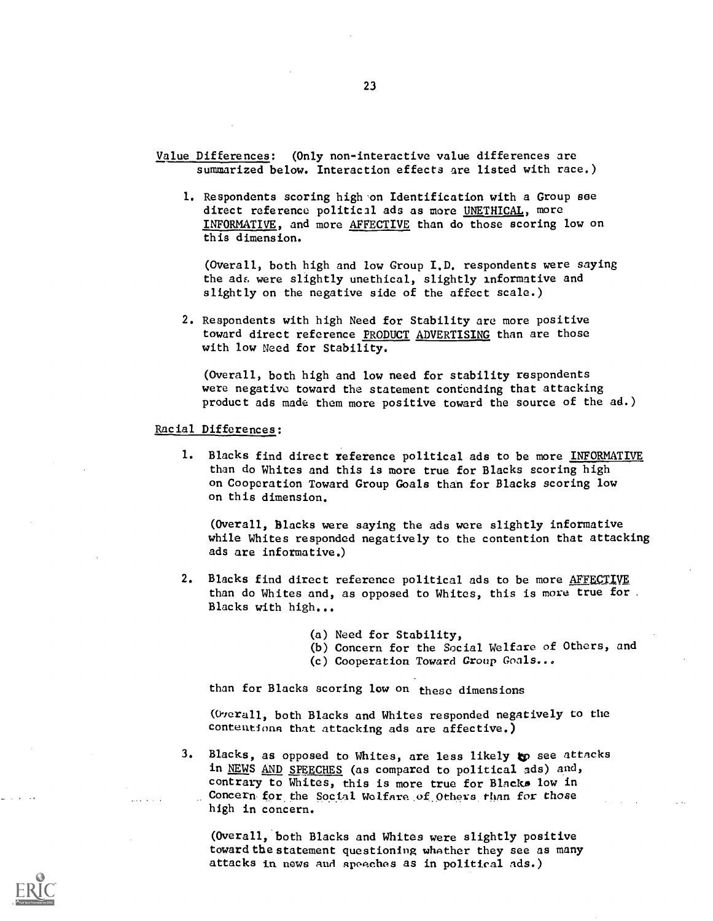Value Differences: (Only non-interactive value differences are summarized below. Interaction effects are listed with race.)

1. Respondents scoring high on Identification with a Group see direct reference political ads as more UNETHICAL, more INFORMATIVE, and more AFFECTIVE than do those scoring low on this dimension.

(Overall, both high and low Group I.D. respondents were saying the ads were slightly unethical, slightly informative and slightly on the negative side of the affect scale.)

2. Respondents with high Need for Stability are more positive toward direct reference PRODUCT ADVERTISING than are those with low Need for Stability.

(Overall, both high and low need for stability respondents were negative toward the statement contending that attacking product ads made them more positive toward the source of the ad.)

Racial Differences:

1. Blacks find direct reference political ads to be more INFORMATIVE than do Whites and this is more true for Blacks scoring high on Cooperation Toward Group Goals than for Blacks scoring low on this dimension.

(Overall, Blacks were saying the ads were slightly informative while Whites responded negatively to the contention that attacking ads are informative.)

- 2. Blacks find direct reference political ads to be more AFFECTIVE than do Whites and, as opposed to Whites, this is more true for . Blacks with high...
	- (a) Need for Stability,
	- (b) Concern for the Social Welfare of Others, and
	- (c) Cooperation Toward Group Goals...

than for Blacks scoring low on these dimensions

(Overall, both Blacks and Whites responded negatively to the contentions that attacking ads are affective.)

3. Blacks, as opposed to Whites, are less likely to see attacks in NEWS AND SPEECHES (as compared to political ads) and, contrary to Whites, this is more true for Blacks low in Concern for the Social Welfare of Others than for those high in concern.

(Overall, both Blacks and Whites were slightly positive toward the statement questioning whather they see as many attacks in news and spoachcs as in political ads.)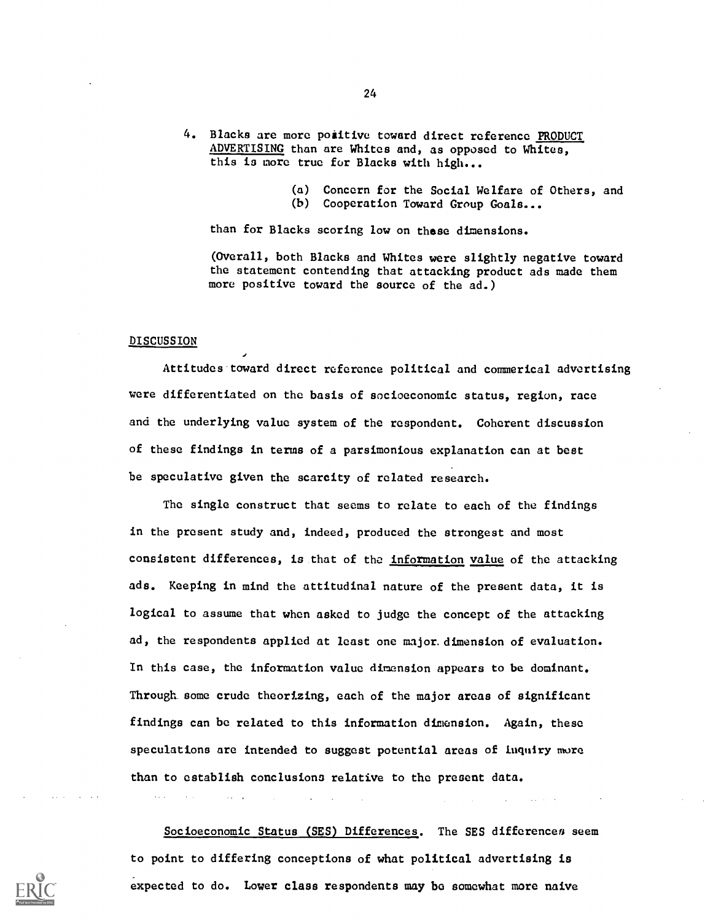- 4. Blacks are more positive toward direct reference PRODUCT ADVERTISING than are Whites and, as opposed to Whites, this is more true for Blacks with high...
	- (a) Concern for the Social Welfare of Others, and
	- (b) Cooperation Toward Group Goals...

than for Blacks scoring low on these dimensions.

(Overall, both Blacks and Whites were slightly negative toward the statement contending that attacking product ads made them more positive toward the source of the ad.)

#### DISCUSSION

Attitudes toward direct reference political and commerical advertising were differentiated on the basis of socioeconomic status, region, race and the underlying value system of the respondent. Coherent discussion of these findings in terms of a parsimonious explanation can at best be speculative given the scarcity of related research.

The single construct that seems to relate to each of the findings in the present study and, indeed, produced the strongest and most consistent differences, is that of the information value of the attacking ads. Keeping in mind the attitudinal nature of the present data, it is logical to assume that when asked to judge the concept of the attacking ad, the respondents applied at least one major.dimension of evaluation. In this case, the information value dimension appears to be dominant. Through some crude theorizing, each of the major areas of significant findings can be related to this information dimension. Again, these speculations are intended to suggest potential areas of luquiry more than to establish conclusions relative to the present data.

Socioeconomic Status (SES) Differences. The SES differences seem to point to differing conceptions of what political advertising is expected to do. Lower class respondents may be somewhat more naive

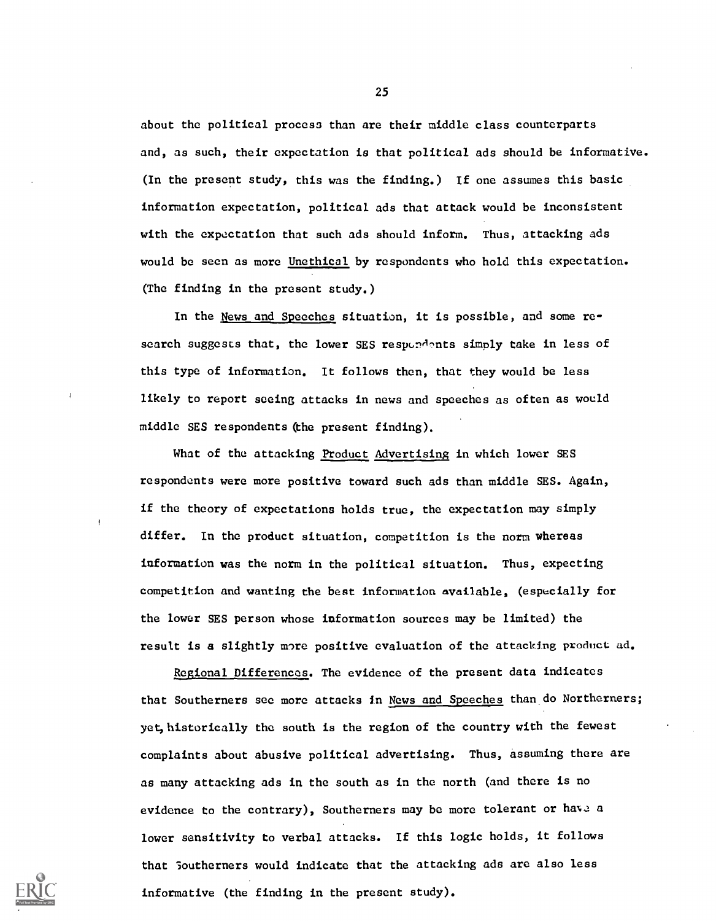about the political process than are their middle class counterparts and, as such, their expectation is that political ads should be informative. (In the present study, this was the finding.) If one assumes this basic information expectation, political ads that attack would be inconsistent with the expectation that such ads should inform. Thus, attacking ads would be seen as more Unethical by respondents who hold this expectation. (The finding in the present study.)

In the News and Speeches situation, it is possible, and some research suggests that, the lower SES respondents simply take in less of this type of information. It follows then, that they would be less likely to report seeing attacks in news and speeches as often as would middle SES respondents (the present finding).

What of the attacking Product Advertising in which lower SES respondents were more positive toward such ads than middle SES. Again, if the theory of expectations holds true, the expectation may simply differ. In the product situation, competition is the norm whereas information was the norm in the political situation. Thus, expecting competition and wanting the bent information available, (especially for the lower SES person whose information sources may be limited) the result is a slightly more positive evaluation of the attacking product ad.

Regional Differences. The evidence of the present data indicates that Southerners see more attacks in News and Speeches than do Northerners; yet, historically the south is the region of the country with the fewest complaints about abusive political advertising. Thus, assuming there are as many attacking ads in the south as in the north (and there is no evidence to the contrary), Southerners may be more tolerant or have a lower sensitivity to verbal attacks. If this logic holds, it follows that Southerners would indicate that the attacking ads are also less informative (the finding in the present study).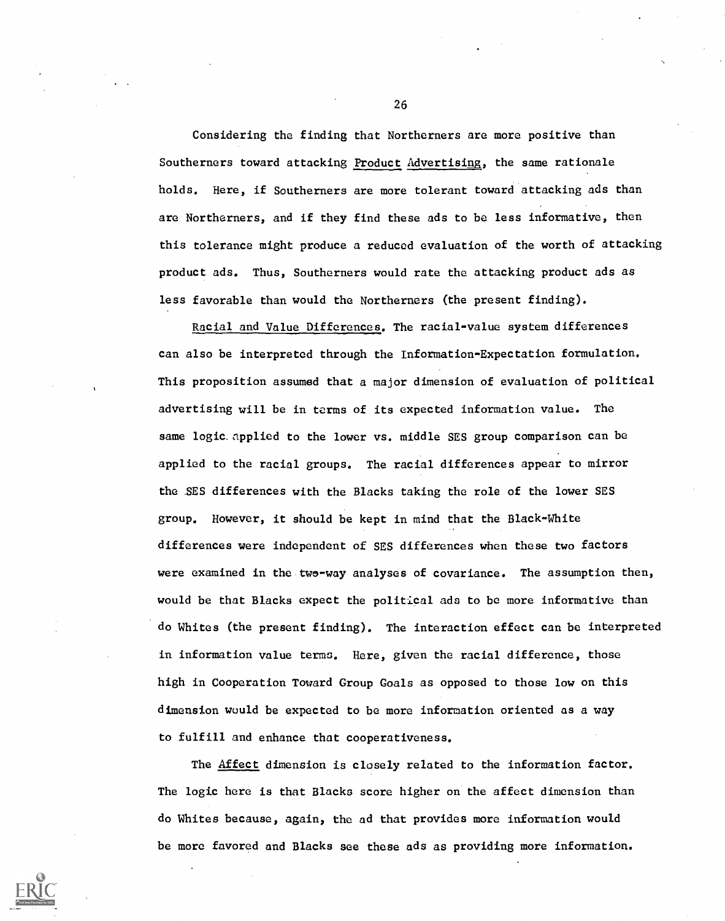Considering the finding that Northerners are more positive than Southerners toward attacking Product Advertising, the same rationale holds. Here, if Southerners are more tolerant toward attacking ads than are Northerners, and if they find these ads to be less informative, then this tolerance might produce a reduced evaluation of the worth of attacking product ads. Thus, Southerners would rate the attacking product ads as less favorable than would the Northerners (the present finding).

Racial and Value Differences. The racial-value system differences can also be interpreted through the Information-Expectation formulation. This proposition assumed that a major dimension of evaluation of political advertising will be in terms of its expected information value. The same logic.applied to the lower vs. middle SES group comparison can be applied to the racial groups. The racial differences appear to mirror the .SES differences with the Blacks taking the role of the lower SES group. However, it should be kept in mind that the Black-White differences were independent of SES differences when these two factors were examined in the twe-way analyses of covariance. The assumption then, would be that Blacks expect the political ads to be more informative than do Whites (the present finding). The interaction effect can be interpreted in information value terms. Here, given the racial difference, those high in Cooperation Toward Group Goals as opposed to those low on this dimension would be expected to be more information oriented as a way to fulfill and enhance that cooperativeness.

The Affect dimension is closely related to the information factor. The logic here is that Blacks score higher on the affect dimension than do Whites because, again, the ad that provides more information would be more favored and Blacks see these ads as providing more information.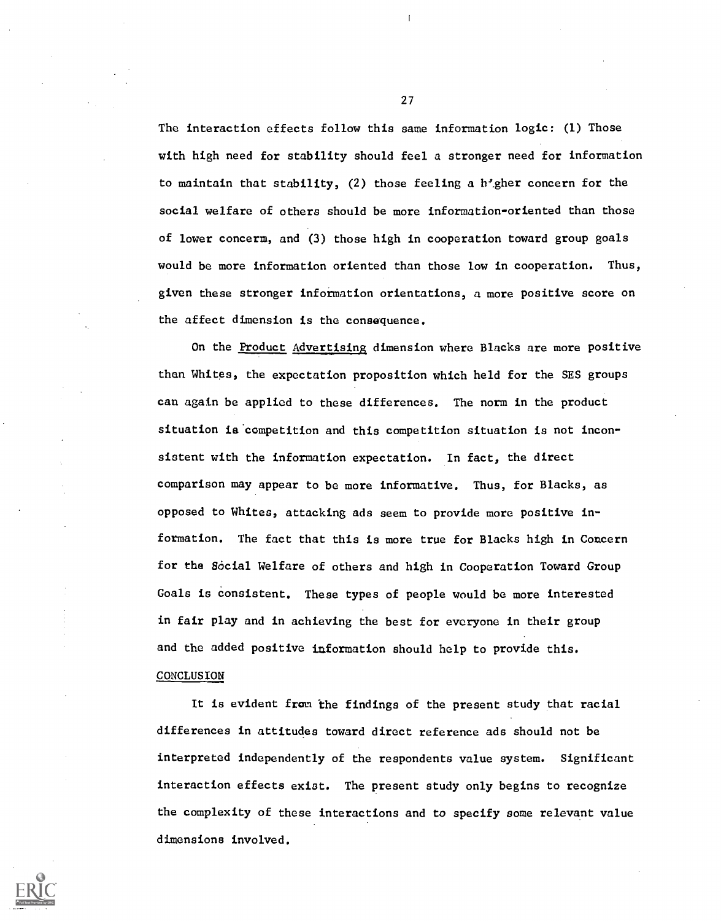The interaction effects follow this same information logic: (1) Those with high need for stability should feel a stronger need for information to maintain that stability,  $(2)$  those feeling a h'gher concern for the social welfare of others should be more information-oriented than those of lower concerm, and (3) those high in cooperation toward group goals would be more information oriented than those low in cooperation. Thus, given these stronger information orientations, a more positive score on the affect dimension is the consequence.

On the Product Advertising dimension where Blacks are more positive than Whites, the expectation proposition which held for the SES groups can again be applied to these differences. The norm in the product situation is competition and this competition situation is not inconsistent with the information expectation. In fact, the direct comparison may appear to be more informative. Thus, for Blacks, as opposed to Whites, attacking ads seem to provide more positive information. The fact that this is more true for Blacks high in Concern for the Social Welfare of others and high in Cooperation Toward Group Goals is consistent. These types of people would be more interested in fair play and in achieving the best for everyone in their group and the added positive information should help to provide this.

### CONCLUSION

It is evident from the findings of the present study that racial differences in attitudes toward direct reference ads should not be interpreted independently of the respondents value system. Significant interaction effects exist. The present study only begins to recognize the complexity of these interactions and to specify some relevant value dimensions involved.

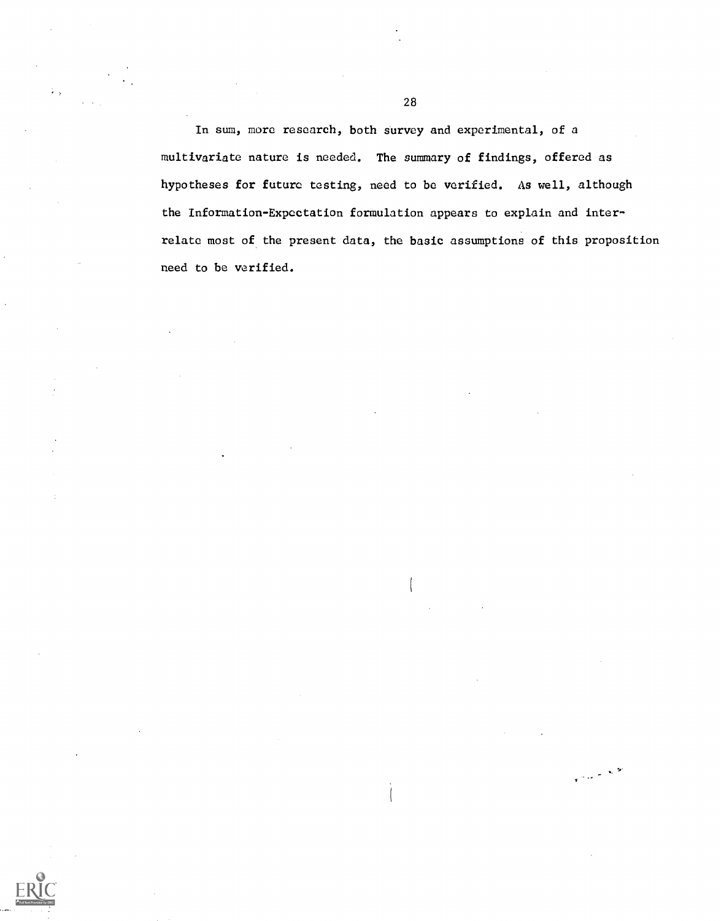In sum, more research, both survey and experimental, of a multivariate nature is needed. The summary of findings, offered as hypotheses for future testing, need to be verified. As well, although the Information-Expectation formulation appears to explain and interrelate most of the present data, the basic assumptions of this proposition need to be verified.

نور<br>محمد المحمد المحمد المحمد المحمد المحمد المحمد المحمد المحمد المحمد المحمد المحمد المحمد المحمد المحمد المحمد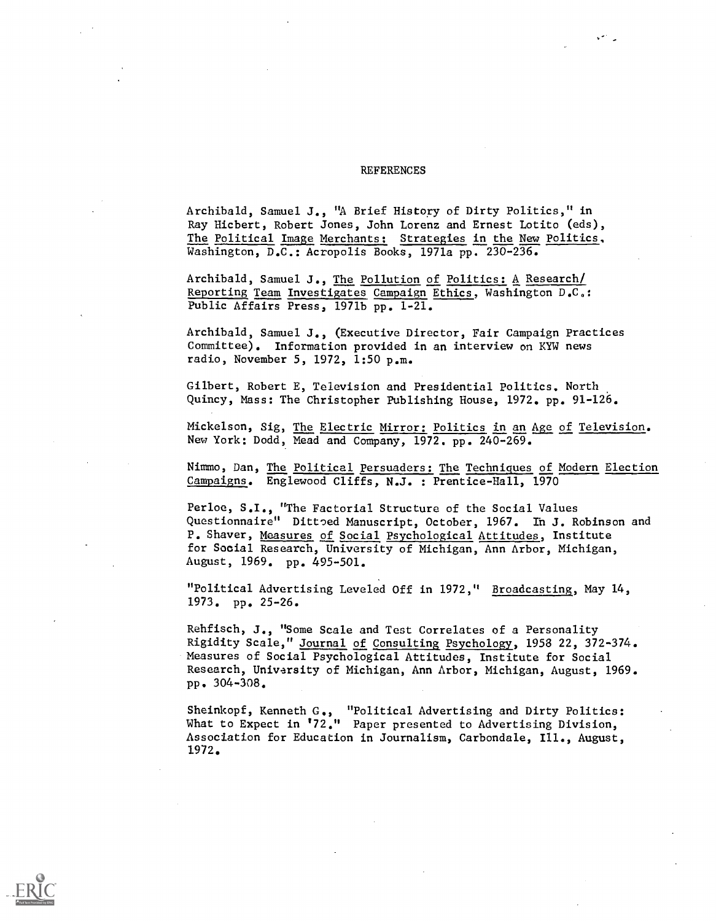#### **REFERENCES**

Archibald, Samuel J., "A Brief History of Dirty Politics," in Ray Hicbert, Robert Jones, John Lorenz and Ernest Lotito (eds), The Political Image Merchants: Strategies in the New Politics, Washington, D.C.: Acropolis Books, 1971a pp. 230-236.

Archibald, Samuel J., The Pollution of Politics: A Research/ Reporting Team Investigates Campaign Ethics, Washington D.C.: Public Affairs Press, 1971b pp. 1-21.

Archibald, Samuel J., (Executive Director, Fair Campaign Practices Committee). Information provided in an interview on KYW news radio, November 5, 1972, 1:50 p.m.

Gilbert, Robert E, Television and Presidential Politics. North Quincy, Mass: The Christopher Publishing House, 1972. pp. 91-126.

Mickelson, Sig, The Electric Mirror: Politics in an Age of Television. New York: Dodd, Mead and Company, 1972. pp. 240-269.

Nimmo, Dan, The Political persuaders: The Techniques of Modern Election Campaigns. Englewood Cliffs, N.J. : Prentice-Hall, 1970

Perloe, S.I., "The Factorial Structure of the Social Values Questionnaire" Dittoed Manuscript, October, 1967. In J. Robinson and P. Shaver, Measures of Social Psychological Attitudes, Institute for Social Research, University of Michigan, Ann Arbor, Michigan, August, 1969. pp. 495-501.

"Political Advertising Leveled Off in 1972," Broadcasting, May 14, 1973. pp. 25-26.

Rehfisch, J., "Some Scale and Test Correlates of a Personality Rigidity Scale," Journal of Consulting Psychology, 1958 22, 372-374. Measures of Social Psychological Attitudes, Institute for Social Research, University of Michigan, Ann Arbor, Michigan, August, 1969. pp. 304-308.

Sheinkopf, Kenneth G., "Political Advertising and Dirty Politics: What to Expect in 172." Paper presented to Advertising Division, Association for Education in Journalism, Carbondale, Ill., August, 1972.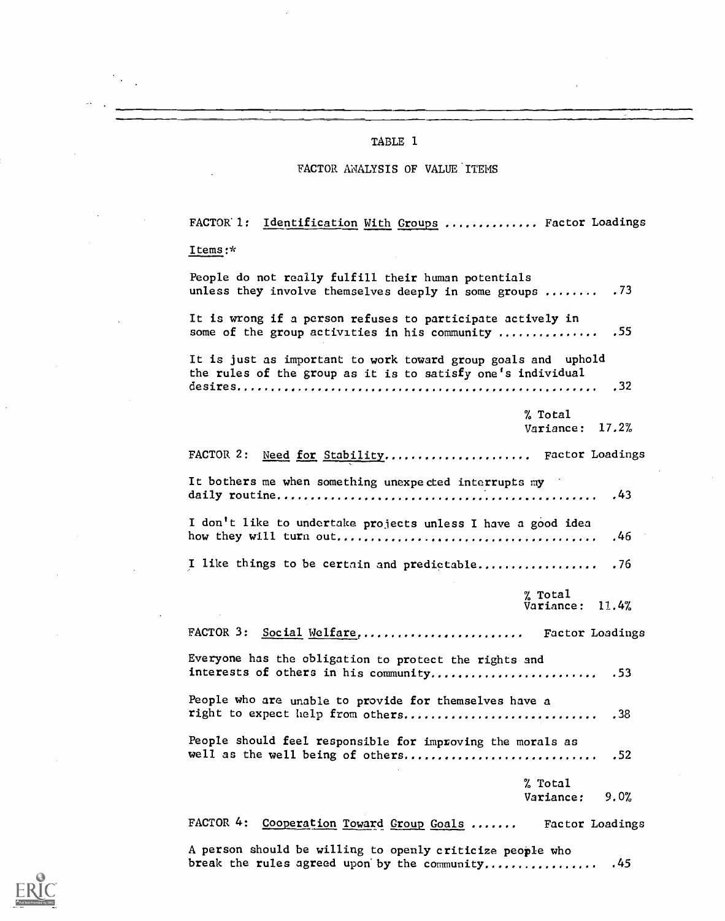#### TABLE 1

#### FACTOR ANALYSIS OF VALUE ITEMS

FACTOR 1: Identification With Groups .............. Factor Loadings Items :\* People do not really fulfill their human potentials unless they involve themselves deeply in some groups  $\dots \dots$  .73 It is wrong if a person refuses to participate actively in some of the group activities in his community ............... .55 It is just as important to work toward group goals and uphold the rules of the group as it is to satisfy one's individual desires .32 % Total Variance: 17.2% FACTOR 2: Need for Stability....................... Factor Loadings It bothers me when something unexpected interrupts my daily routine .43 I don't like to undertake projects unless I have a good idea how they will turn out .46 I like things to be certain and predictable.................. . 76  $\frac{m}{2}$  Total  $\frac{m}{2}$ Variance: 11.4% FACTOR 3: Social Welfare, .......................... Factor Loadings Everyone has the obligation to protect the rights and interests of others in his community .53 People who are unable to provide for themselves have a right to expect help from others .38 People should feel responsible for improving the morals as well as the well being of others .52 % Total Variance: 9.0% FACTOR 4: Cooperation Toward Group Goals ....... Factor Loadings

A person should be willing to openly criticize people who break the rules agreed upon by the community................. . 45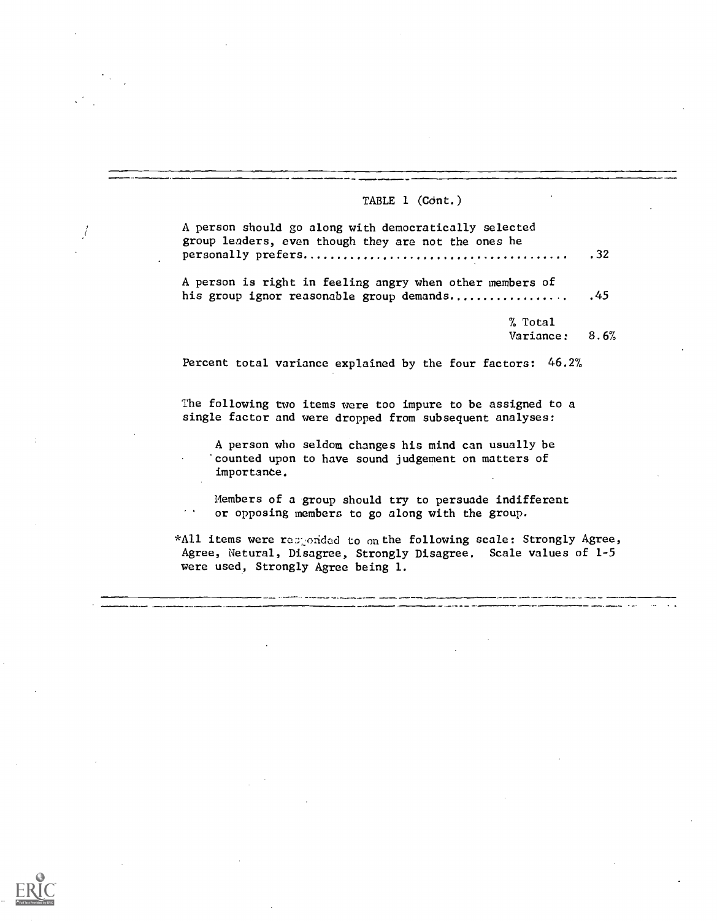# TABLE  $1$  (Cont.)

 $\int$ 

 $\ddot{\phantom{a}}$ 

| A person should go along with democratically selected<br>group leaders, even though they are not the ones he                                                                   | .32 |
|--------------------------------------------------------------------------------------------------------------------------------------------------------------------------------|-----|
| A person is right in feeling angry when other members of<br>his group ignor reasonable group demands                                                                           | .45 |
| % Total                                                                                                                                                                        |     |
| Variance: 8.6%                                                                                                                                                                 |     |
| Percent total variance explained by the four factors: 46.2%                                                                                                                    |     |
| The following two items were too impure to be assigned to a<br>single factor and were dropped from subsequent analyses:                                                        |     |
| A person who seldom changes his mind can usually be<br>counted upon to have sound judgement on matters of<br>importance.                                                       |     |
| Members of a group should try to persuade indifferent<br>$\sigma$ , and $\sigma$<br>or opposing members to go along with the group.                                            |     |
| *All items were responded to on the following scale: Strongly Agree,<br>Agree, Netural, Disagree, Strongly Disagree. Scale values of 1-5<br>were used, Strongly Agree being 1. |     |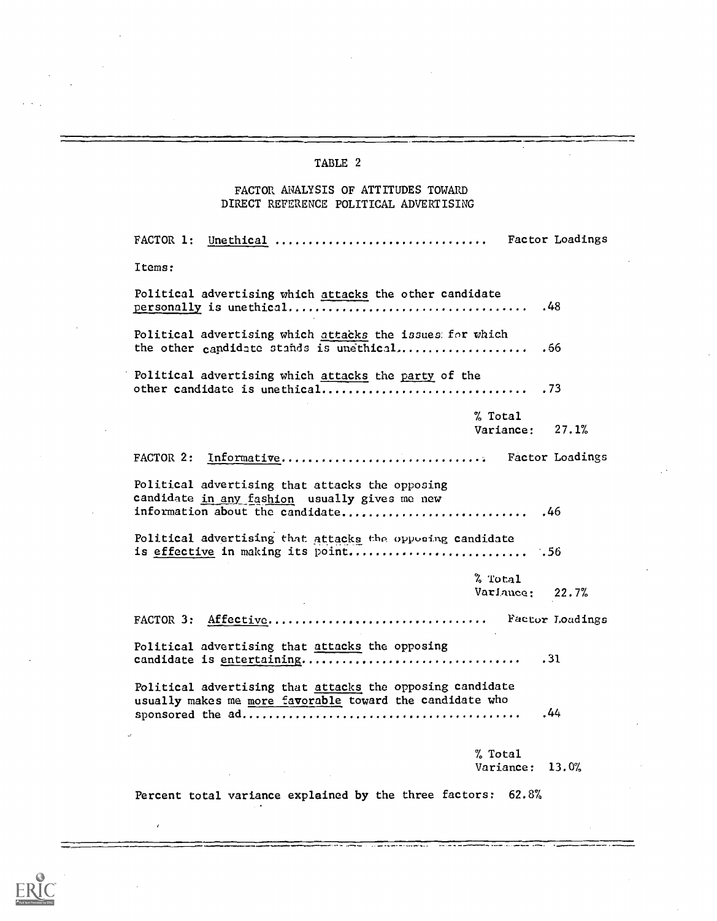### TABLE 2

## FACTOR ANALYSIS OF ATTITUDES TOWARD DIRECT REFERENCE POLITICAL ADVERTISING

FACTOR 1: Unethical ................................ Factor Loadings Items: Political advertising which attacks the other candidate personally is unethical .48 Political advertising which attacks the issues: for which the other candidate stands is unethical.................... .66 Political advertising which attacks the party of the other candidate is unethical .73 % Total Variance: 27.1% FACTOR 2: Informative................................... Factor Loadings Political advertising that attacks the opposing candidate in any fashion usually gives me new information about the candidate .46 Political advertising that attacks the opposing candidate is effective in making its point  $.56$ % Total Variance: 22.7% FACTOR 3: Affective.................................. Factor Loadings Political advertising that attacks the opposing candidate is entertaining .31 Political advertising that attacks the opposing candidate usually makes me more favorable toward the candidate who sponsored the ad .44 % Total Variance: 13.0%

Percent total variance explained by the three factors: 62.8%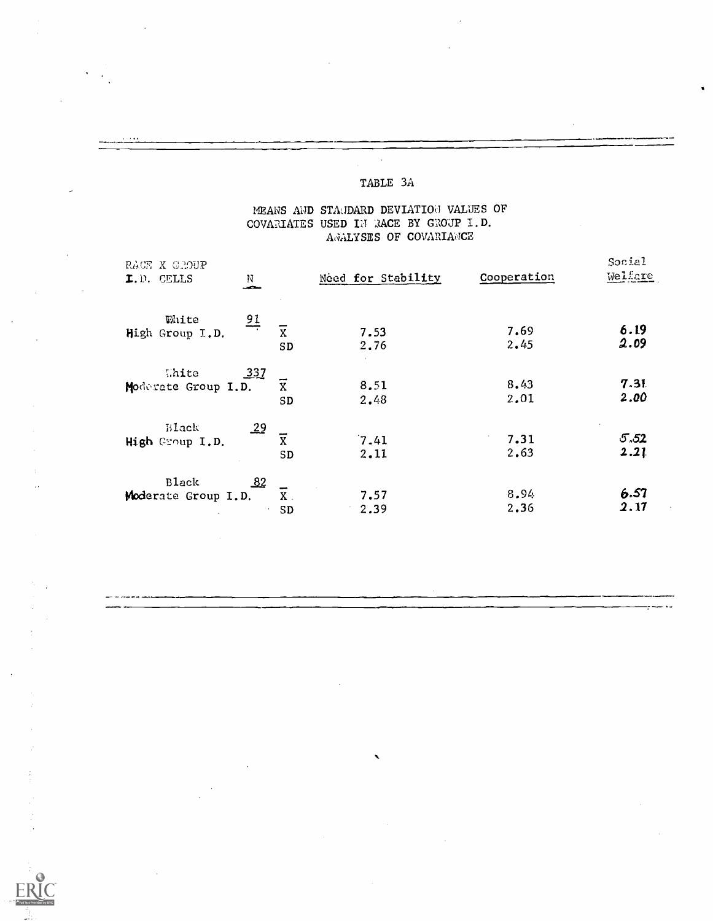# TABLE 3A

## MEANS AND STANDARD DEVIATION VALUES OF COVARIATES USED IN RACE BY GROUP I.D. ANALYSES OF COVARIANCE

| RACE X GROUP<br>I.D. CELLS          | N<br>ستحب                               | Need for Stability | Cooperation  | Social<br>Welfare |  |
|-------------------------------------|-----------------------------------------|--------------------|--------------|-------------------|--|
| White<br>High Group I.D.            | $\frac{91}{7}$<br>$\overline{x}$<br>SD  | 7.53<br>2.76       | 7.69<br>2.45 | 6.19<br>2.09      |  |
| Thite<br>Moderate Group I.D.        | 337<br>$\overline{\mathbf{x}}$<br>SD    | 8.51<br>2.48       | 8.43<br>2.01 | 7.31<br>2.00      |  |
| <b>Black</b><br>High Group I.D.     | $\overline{29}$<br>$\overline{x}$<br>SD | 7.41<br>2.11       | 7.31<br>2.63 | 5.52<br>2.21      |  |
| <b>Black</b><br>Moderate Group I.D. | $\Delta^2$<br>$X$ .<br>SD               | 7.57<br>2.39       | 8.94<br>2.36 | 6.57<br>2.17      |  |

 $\mathcal{S}$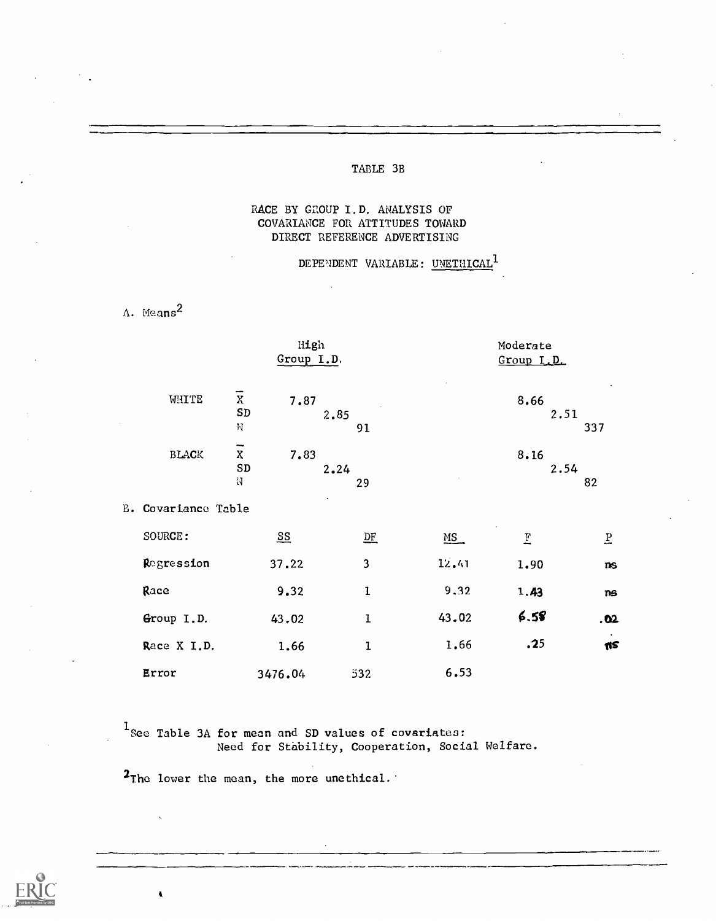## TABLE 3B

## RACE BY GROUP I.D. ANALYSIS OF COVARIANCE FOR ATTITUDES TOWARD DIRECT REFERENCE ADVERTISING

## DEPENDENT VARIABLE: UNETHICAL<sup>1</sup>

A. Means2

I

|                            | High<br>Group I.D.                           |                           |      |              | Moderate<br>Group I.D. |              |                |  |
|----------------------------|----------------------------------------------|---------------------------|------|--------------|------------------------|--------------|----------------|--|
| WHITE                      | $\overline{x}$<br>${\tt SD}$<br>$\rm M$      | 7.87                      | 2.85 | 91           |                        | 8.66<br>2.51 | 337            |  |
| $\operatorname{BLACK}$     | $\overline{\overline{x}}$<br>${\tt SD}$<br>N | 7.83                      | 2.24 | 29           |                        | 8.16<br>2.54 | 82             |  |
| <b>E. Covariance Table</b> |                                              |                           |      |              |                        |              |                |  |
| SOURCE:                    |                                              | $\underline{\mathbf{SS}}$ |      | $D$ $F$      | MS                     | E            | $\overline{b}$ |  |
| Regression                 |                                              | 37.22                     |      | 3            | 12.41                  | 1.90         | ns             |  |
| Race                       |                                              | 9.32                      |      | $\mathbf{I}$ | 9,32                   | 1.43         | ns             |  |
| Group I.D.                 |                                              | 43.02                     |      | $\mathbf{I}$ | 43.02                  | 6.58         | .02            |  |
| Race X I.D.                |                                              | 1.66                      |      | ${\bf 1}$    | 1.66                   | .25          | πs             |  |
| Error                      |                                              | 3476.04                   |      | 532          | 6.53                   |              |                |  |

 $1$  See Table 3A for mean and SD values of covariates: Need for Stability, Cooperation, Social Welfare.

<sup>2</sup>The lower the mean, the more unethical.'

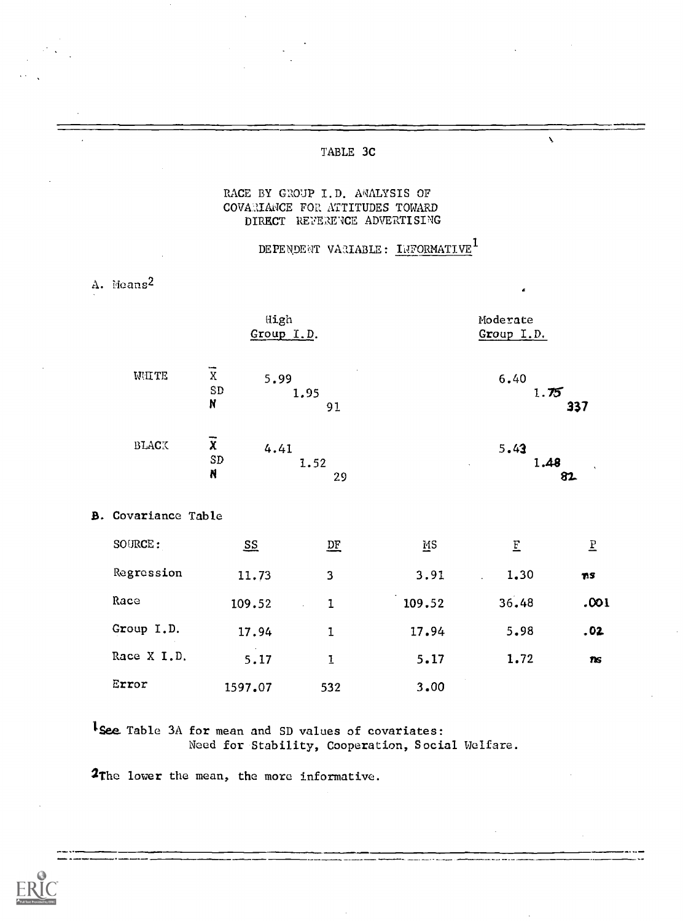### TABLE 3C

### RACE BY GROUP I.D. AMALYSIS OF COVARIANCE FOR ATTITUDES TOWARD DIRECT REFERENCE ADVERTISING

# DEPENDENT VARIABLE: INFORMATIVE<sup>1</sup>

|    |                        | High<br>Group I.D.                                            |                |        | Moderate<br>Group I.D. |                |
|----|------------------------|---------------------------------------------------------------|----------------|--------|------------------------|----------------|
|    | WHITE                  | $\overline{\mathbf{x}}$<br>5.99<br>${\tt SD}$<br>$\mathbf{N}$ | 1.95<br>91     |        | 6.40<br>1.75           | 337            |
|    | $\rm B LAC\bar{\rm X}$ | $\overline{x}$<br>4.41<br>${\tt SD}$<br>$\boldsymbol{N}$      | 1.52<br>29     |        | 5.43<br>1.48           | 82             |
| В. | Covariance Table       |                                                               |                |        |                        |                |
|    | SOURCE:                | $S_{\Sigma}$                                                  | $D_{\text{F}}$ | MS     | E                      | $\overline{E}$ |
|    | Regression             | 11.73                                                         | 3              | 3.91   | 1.30                   | 71S            |
|    | Race                   | 109.52                                                        | $\mathbf{I}$   | 109.52 | 36.48                  | .001           |
|    | Group I.D.             | 17.94                                                         | $\mathbf{I}$   | 17.94  | 5.98                   | .02            |
|    | Race X I.D.            | 5.17                                                          | $\bf I$        | 5.17   | 1.72                   | <b>ns</b>      |
|    | Error                  | 1597.07                                                       | 532            | 3.00   |                        |                |

1 See Table 3A for mean and SD values of covariates: Need for Stability, Cooperation, Social Welfare.

<sup>2</sup>The lower the mean, the more informative.



A. Means<sup>2</sup>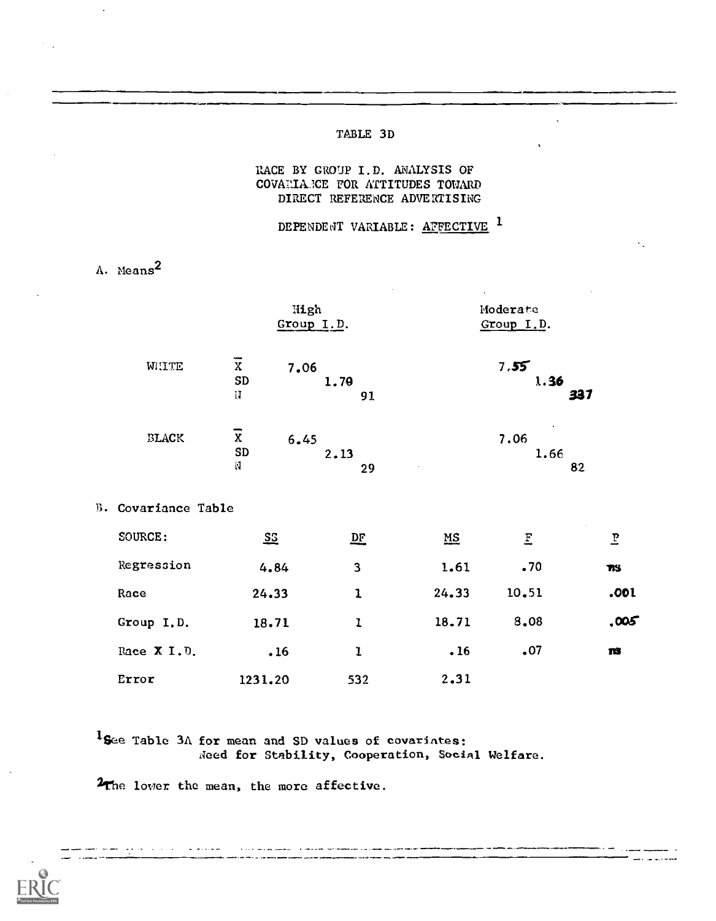### TABLE 3D

### RACE BY GROUP I.D. ANALYSIS OF COVAIIIAICE FOR ATTITUDES TOWARD DIRECT REFERENCE ADVERTISING

DEPENDENT VARIABLE: AFFECTIVE <sup>1</sup>

A. Means<sup>2</sup>

|                     | High                               | Group I.D.                                      |                           | Moderate<br>Group I.D. |            |  |
|---------------------|------------------------------------|-------------------------------------------------|---------------------------|------------------------|------------|--|
| WHTE                | $\overline{x}$<br>7.06<br>SD<br>IJ | 1.79<br>91                                      |                           | 7.55<br>1.36           | 337        |  |
| BLACK               | $\overline{x}$<br>6.45<br>SD<br>N  | 2.13<br>29                                      |                           | 7.06<br>1.66           | 82         |  |
| B. Covariance Table |                                    |                                                 |                           |                        |            |  |
| SOURCE:             | $\Sigma$                           | $\mathbf{D}$ <sub><math>\mathbf{F}</math></sub> | $\underline{\mathtt{MS}}$ | $\overline{\text{E}}$  | P          |  |
| Regression          | 4.84                               | 3                                               | 1.61                      | .70                    | <b>TIS</b> |  |
| Race                | 24.33                              | $\mathbf{1}$                                    | 24.33                     | 10.51                  | .001       |  |
| Group I.D.          | 18.71                              | ı                                               | 18.71                     | 8,08                   | ,005       |  |
| Race X I.D.         | .16                                | ı                                               | .16                       | .07                    | ns         |  |
| Error               | 1231.20                            | 532                                             | 2.31                      |                        |            |  |

'See Table 3A for mean and SD values of covariateS: Need for Stability, Cooperation, Social Welfare.

2The lower the mean, the more affective.



المرادي والفرطوب مستمردها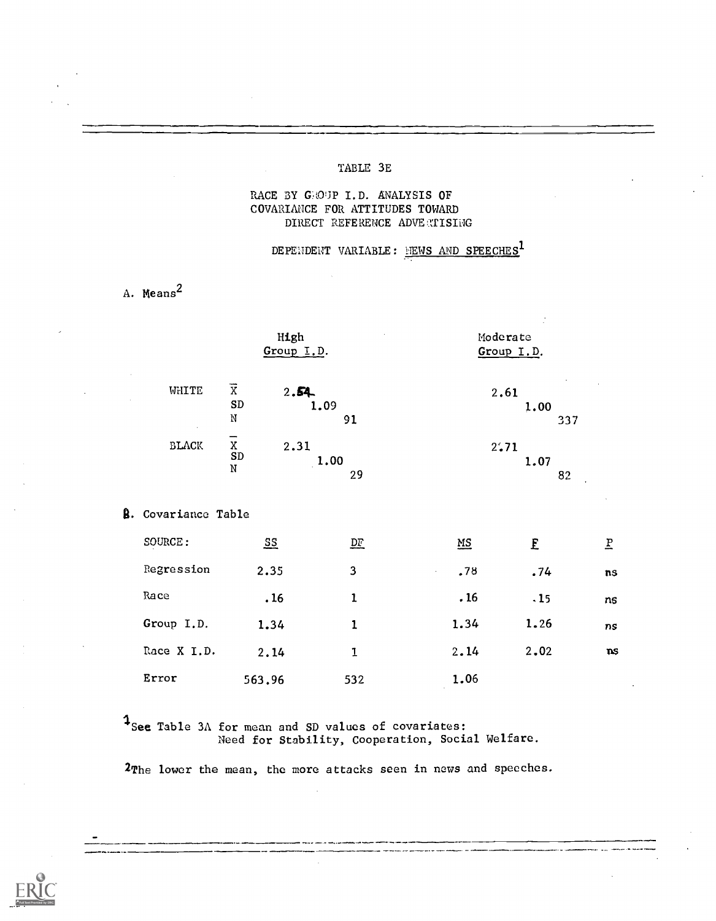#### TABLE 3E

### RACE BY GROUP I.D. ANALYSIS OF COVARIANCE FOR ATTITUDES TOWARD DIRECT REFERENCE ADVE TIISING

DEPENDENT VARIABLE: NEWS AND SPEECHES<sup>1</sup>

## A. Means<sup>2</sup>

|                            | High<br>Group I.D.                                 |                         | Moderate | Group I.D.  |                          |  |
|----------------------------|----------------------------------------------------|-------------------------|----------|-------------|--------------------------|--|
| WHITE<br>$\cdot$           | $\overline{\mathbf{X}}$<br>2.54<br>SD<br>${\rm N}$ | 1.09<br>91              | 2.61     | 1.00<br>337 |                          |  |
| $\operatorname{SLACK}$     | $\bar{x}$<br>SD<br>2.31<br>N                       | 1.00<br>29              | 2:71     | 1.07<br>82  |                          |  |
| <b>8.</b> Covariance Table |                                                    |                         |          |             |                          |  |
| SOURCE:                    | $\overline{\mathbf{S}}\overline{\mathbf{S}}$       | $\mathbf{D} \mathbf{F}$ | MS       | E           | $\underline{\mathbf{P}}$ |  |
| Regression                 | 2.35                                               | 3                       | .78      | .74         | ns                       |  |
| Race                       | .16                                                | $\mathbf 1$             | .16      | .15         | ns                       |  |
| Group I.D.                 | 1.34                                               | $\mathbf{1}$            | 1.34     | 1.26        | ns                       |  |
| Race X I.D.                | 2.14                                               | $\mathbf{I}$            | 2.14     | 2.02        | ns                       |  |
| Error                      | 563.96                                             | 532                     | 1.06     |             |                          |  |

See Table 3A for mean and SD values of covariates: Need for Stability, Cooperation, Social Welfare.

2The lower the mean, the more attacks seen in news and speeches.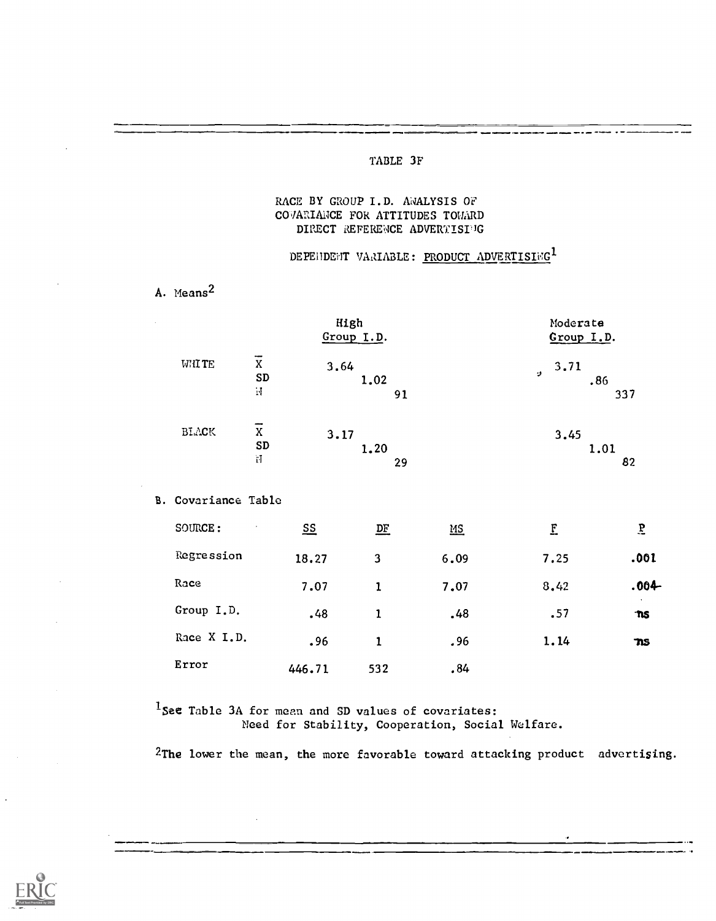### TABLE 3F

#### RACE BY GROUP I.D. ANALYSIS OF COVARIANCE FOR ATTITUDES TOMARD DIRECT REFERENCE ADVERTISIJG

#### DEPENDENT VARIABLE: PRODUCT ADVERTISING<sup>1</sup>

A. Means2

|              |                     | High<br>Group I.D. | Moderate<br>Group I.D.        |
|--------------|---------------------|--------------------|-------------------------------|
| <b>WHITE</b> | X<br><b>SD</b><br>N | 3.64<br>1.02<br>91 | 3.71<br>$\cdot$<br>.86<br>337 |
| BLACK        | X<br><b>SD</b><br>Ħ | 3.17<br>1.20<br>29 | 3.45<br>1.01<br>82            |

B. Covariance Table

| SOURCE:<br>$\cdot$ | $S_{\frac{5}{2}}$ | $D_{E}$ | $\underline{MS}$ | E    | $\overline{b}$ |
|--------------------|-------------------|---------|------------------|------|----------------|
| Regression         | 18.27             | 3       | 6.09             | 7.25 | .001           |
| Race               | 7.07              | ı       | 7.07             | 8.42 | $.004 -$       |
| Group I.D.         | .48               | 1       | .48              | .57  | $\cdot$<br>ms. |
| Race X I.D.        | .96               | 1       | .96              | 1.14 | TIS.           |
| Error              | 446.71            | 532     | .84              |      |                |

<sup>1</sup>See Table 3A for mean and SD values of covariates: Need for Stability, Cooperation, Social Welfare.

2The lower the mean, the more favorable toward attacking product advertising.

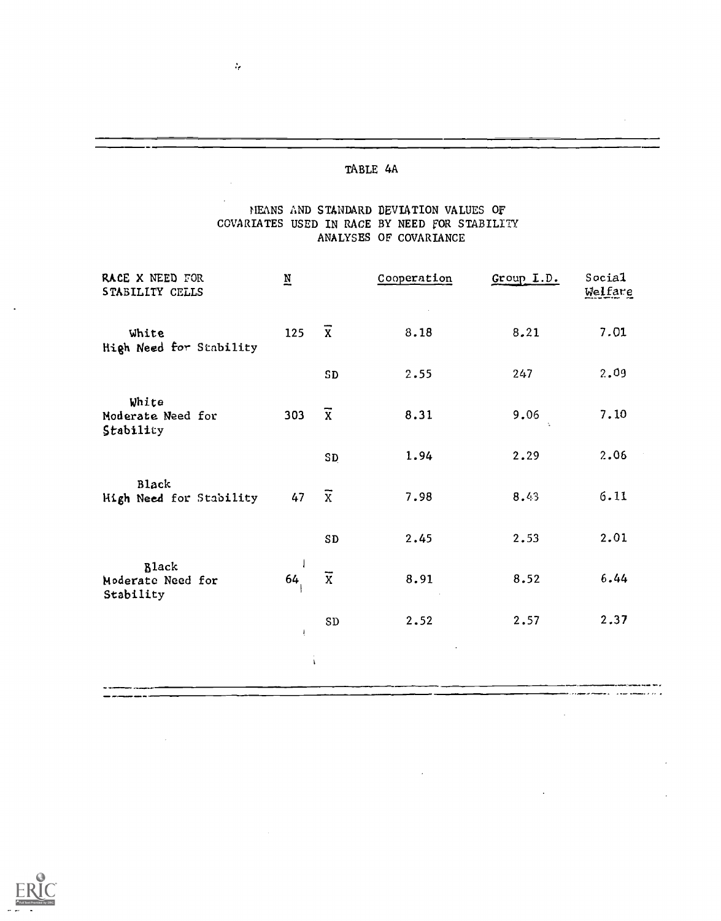$\mathcal{L}_{\mathcal{C}}$ 

### MEANS AND STANDARD DEVIATION VALUES Of COVARIATES USED IN RACE BY NEED FOR STABILITY ANALYSES OF COVARIANCE

| RACE X NEED FOR<br>STABILITY CELLS             | $\underline{\textbf{N}}$ |                         | Cooperation | Group L.D. | Social<br>Welfare |
|------------------------------------------------|--------------------------|-------------------------|-------------|------------|-------------------|
| White<br>High Need for Stability               | 125                      | $\overline{x}$          | 8.18        | 8.21       | 7.01              |
|                                                |                          | ${\tt SD}$              | 2.55        | 247        | 2.09              |
| White<br>Moderate Need for<br>Stability        | 303                      | $\overline{x}$          | 8.31        | 9.06       | 7.10              |
|                                                |                          | <b>SD</b>               | 1.94        | 2.29       | 2.06              |
| <b>Black</b><br>High Need for Stability        | 47                       | $\overline{x}$          | 7.98        | 8.43       | 6.11              |
|                                                |                          | SD                      | 2.45        | 2.53       | 2.01              |
| <b>Black</b><br>Moderate Need for<br>Stability | 64                       | $\overline{\textbf{x}}$ | 8.91        | 8.52       | 6.44              |
|                                                | Ţ                        | ${\tt SD}$              | 2.52        | 2.57       | 2.37              |
|                                                |                          |                         |             |            |                   |

 $\bar{z}$ 

 $\mathcal{A}$ 

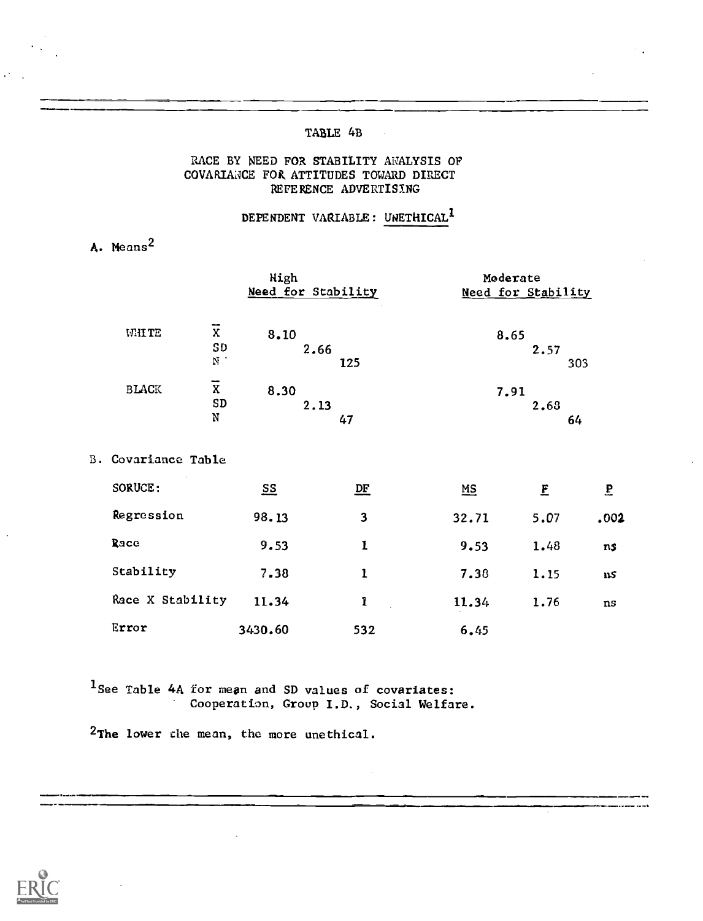### TABLE 4B

#### RACE BY NEED FOR STABILITY ANALYSIS OF COVARIANCE FOR ATTITUDES TOWARD DIRECT REFERENCE ADVERTISING

DEPENDENT VARIABLE: UNETHICAL<sup>1</sup>

A. Means2

|              |         | High               | Moderate           |
|--------------|---------|--------------------|--------------------|
|              |         | Need for Stability | Need for Stability |
|              | --      |                    |                    |
| WHITE        | X       | 8.10               | 8.65               |
|              | SD      | 2.66               | 2.57               |
|              | N.      | 125                | 303                |
| <b>BLACK</b> | --<br>X | 8.30               | 7.91               |
|              | SD      | 2.13               | 2.68               |
|              | N       | 47                 | 64                 |

B. Covariance Table

| SORUCE:          | $\underline{\mathbf{S}}$ | $\underline{\mathbf{DF}}$ | $\underline{MS}$ | £    | $\mathbf{P}$ |  |
|------------------|--------------------------|---------------------------|------------------|------|--------------|--|
| Regression       | 98.13                    | 3                         | 32.71            | 5.07 | .002         |  |
| Race             | 9.53                     | 1                         | 9.53             | 1.48 | ns           |  |
| Stability        | 7.38                     |                           | 7.38             | 1.15 | ns.          |  |
| Race X Stability | 11.34                    | 1                         | 11.34            | 1.76 | ns           |  |
| Error            | 3430.60                  | 532                       | 6.45             |      |              |  |

<sup>1</sup> See Table 4A for mean and SD values of covariates: Cooperation, Group I.D., Social Welfare.

2The lower the mean, the more unethical.

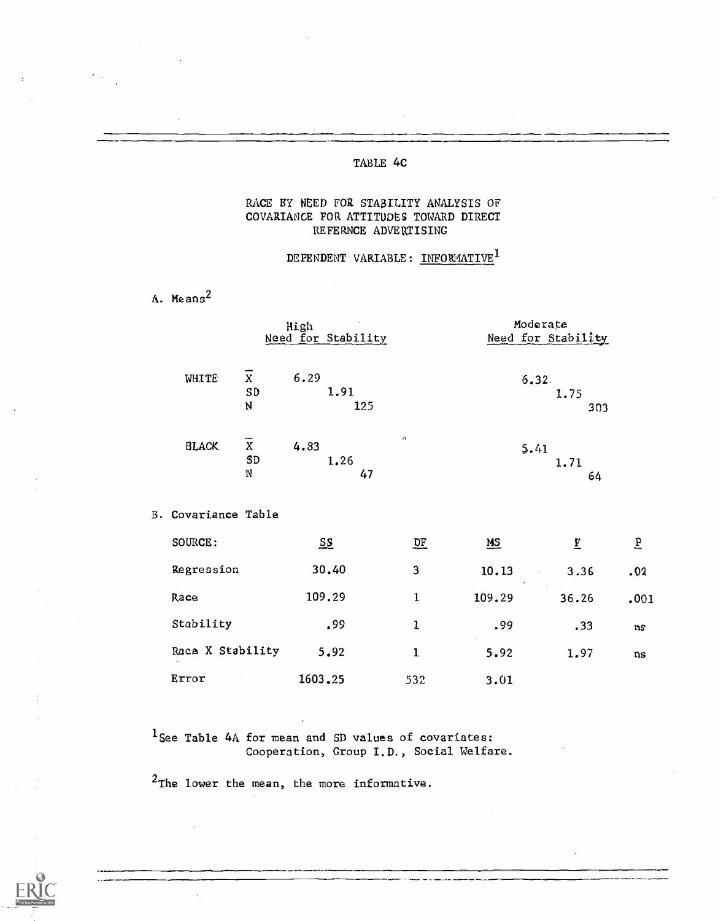### TABLE 4C

### RACE BY NEED FOR STABILITY ANALYSIS OF COVARIANCE FOR ATTITUDES TOWARD DIRECT REFERNCE ADVERTISING

### DEPENDENT VARIABLE: INFORMATIVE<sup>1</sup>

A. Means<sup>2</sup>

|                                           | High<br>Need for Stability |                        |                  | Moderate<br>Need for Stability                      |           |  |
|-------------------------------------------|----------------------------|------------------------|------------------|-----------------------------------------------------|-----------|--|
| $\overline{x}$<br>WHITE<br>SD<br>Ŋ        | 6.29                       | 1.91<br>125            |                  | 6,32.<br>1.75<br>303                                |           |  |
| $\overline{X}$<br><b>BLACK</b><br>SD<br>N | 4.83                       | v)<br>1.26<br>47       |                  | 5.41<br>1.71<br>64                                  |           |  |
| B. Covariance Table                       |                            |                        |                  |                                                     |           |  |
| SOURCE:                                   | $S_{\mathcal{S}}$          | $\overline{\text{DE}}$ | $\underline{MS}$ | $\overline{\mathbf{E}}$                             | $\vec{b}$ |  |
| Regression                                | 30.40                      | 3                      | 10.13            | 3.36<br>$\mathbf{r} = \mathbf{r} \times \mathbf{r}$ | .02       |  |
| Race                                      | 109.29                     | $\mathbf{1}$           | 109.29           | 36.26                                               | .001      |  |
| Stability                                 | .99                        | $\mathbf{I}$           | .99              | .33                                                 | ns        |  |
| Race X Stability                          | 5.92                       | $\mathbf{1}$           | 5.92             | 1.97                                                | ns        |  |
| Error                                     | 1603.25                    | 532                    | 3.01             |                                                     |           |  |

 $1$ See Table 4A for mean and SD values of covariates: Cooperation, Group I.D., Social Welfare.

2The lower the mean, the more informative.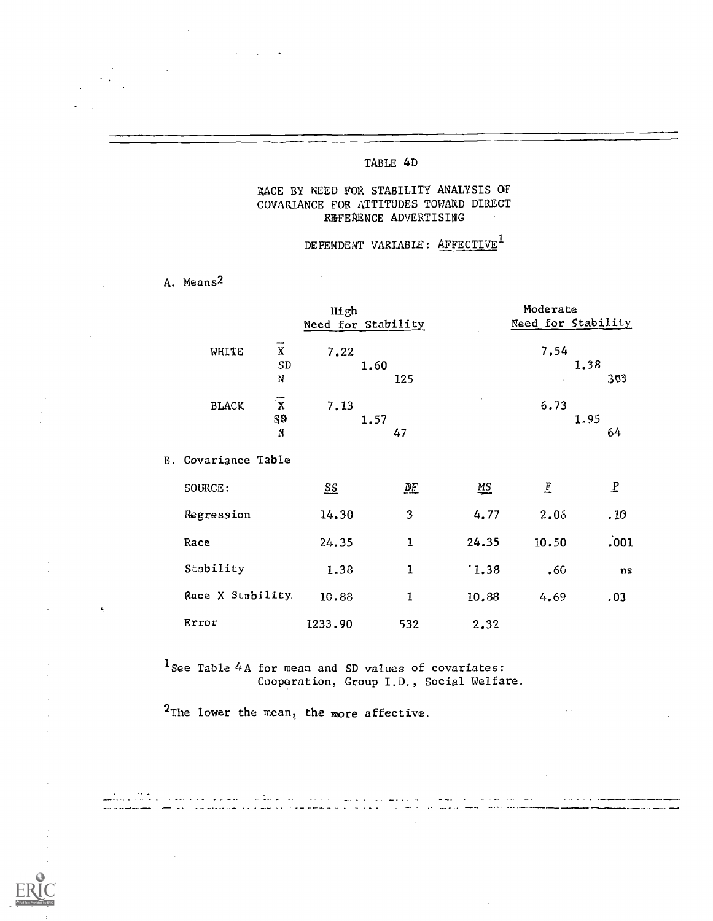### TABLE 4D

### RACE BY NEED FOR STABILITY ANALYSIS OF COVARIANCE FOR ATTITUDES TOWARD DIRECT REFERENCE ADVERTISING

# DEPENDENT VARIABLE:  ${\tt AFFECTIVE}^1$

A. Means2

|              |                           | High<br>Need for Stability | Moderate<br><b>Need for Stability</b>                       |
|--------------|---------------------------|----------------------------|-------------------------------------------------------------|
| WHITE        | --<br>х<br>SD<br>N        | 7.22<br>1.60<br>125        | 7.54<br>1.38<br>303<br>$\sim$<br>$\mathcal{L}^{\text{max}}$ |
| <b>BLACK</b> | $\overline{X}$<br>SĐ<br>N | 7.13<br>1.57<br>47         | 6.73<br>1.95<br>64                                          |

B. Covariance Table

 $\sigma_{\rm t}$ 

| SOURCE:           | <u>ss</u> | <u>DF</u> | $\underline{\mathbf{M}}$ | E     | P    |  |
|-------------------|-----------|-----------|--------------------------|-------|------|--|
| Regression        | 14.30     | 3         | 4.77                     | 2.06  | .10  |  |
| Race              | 24.35     |           | 24.35                    | 10.50 | .001 |  |
| Stability         | 1.38      | 1         | 1.38                     | .60   | ns   |  |
| Race X Stability. | 10.88     |           | 10.88                    | 4.69  | .03  |  |
| Error             | 1233.90   | 532       | 2.32                     |       |      |  |

لمسار المتماريف

سداد بالحاملة

 $1$  See Table 4A for mean and SD values of covariates: Cooperation, Group I.D., Social Welfare.

2The lower the mean, the more affective.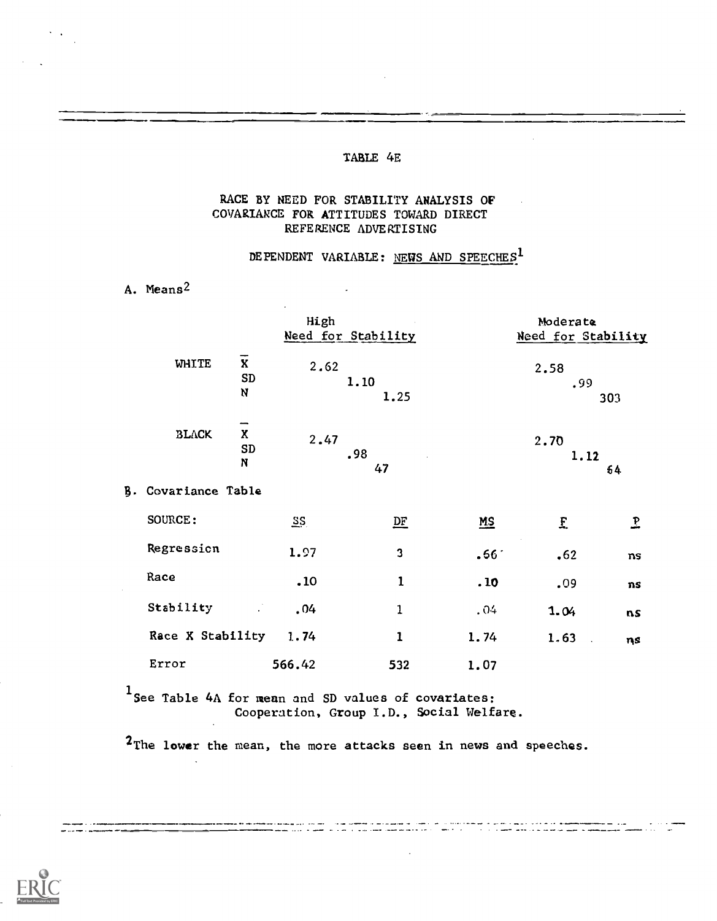#### TABLE 4E

### RACE BY NEED FOR STABILITY ANALYSIS OF COVARIANCE FOR ATTITUDES TOWARD DIRECT REFERENCE ADVERTISING

 $\ddot{\phantom{a}}$ 

## DEPENDENT VARIABLE: NEWS AND SPEECHES<sup>1</sup>

A. Means2

|                                                                   | High   | Need for Stability      |                  | Moderate<br>Need for Stability      |     |  |
|-------------------------------------------------------------------|--------|-------------------------|------------------|-------------------------------------|-----|--|
| $\overline{\mathbf{x}}$<br><b>WHITE</b><br><b>SD</b><br>${\bf N}$ | 2.62   | 1.10<br>1.25            |                  | 2.58<br>.99                         | 303 |  |
| -<br>$\mathbf{x}$<br><b>BLACK</b><br>SD<br>N                      | 2.47   | .98<br>47               |                  | 2.70<br>1.12                        | 64  |  |
| B. Covariance Table                                               |        |                         |                  |                                     |     |  |
| SOURCE:                                                           | $\S$   | $D_{E}$                 | $MS$             | £                                   | L   |  |
| Regression                                                        | 1.97   | $\overline{\mathbf{3}}$ | .66 <sup>°</sup> | .62                                 | ns  |  |
| Race                                                              | .10    | 1                       | . 10             | .09                                 | ns  |  |
| Stability<br>$\mathcal{L}^{\mathcal{L}}$                          | .04    | 1                       | .04              | 1.04                                | ns  |  |
| Race X Stability                                                  | 1.74   | $\mathbf{1}$            | 1.74             | 1.63<br>$\mathcal{L}_{\mathcal{A}}$ | ηs  |  |
| Error                                                             | 566.42 | 532                     | 1.07             |                                     |     |  |

1 See Table 4A for mean and SD values of covariates: Cooperation, Group I.D., Social Welfare.

2The lower the mean, the more attacks seen in news and speeches.

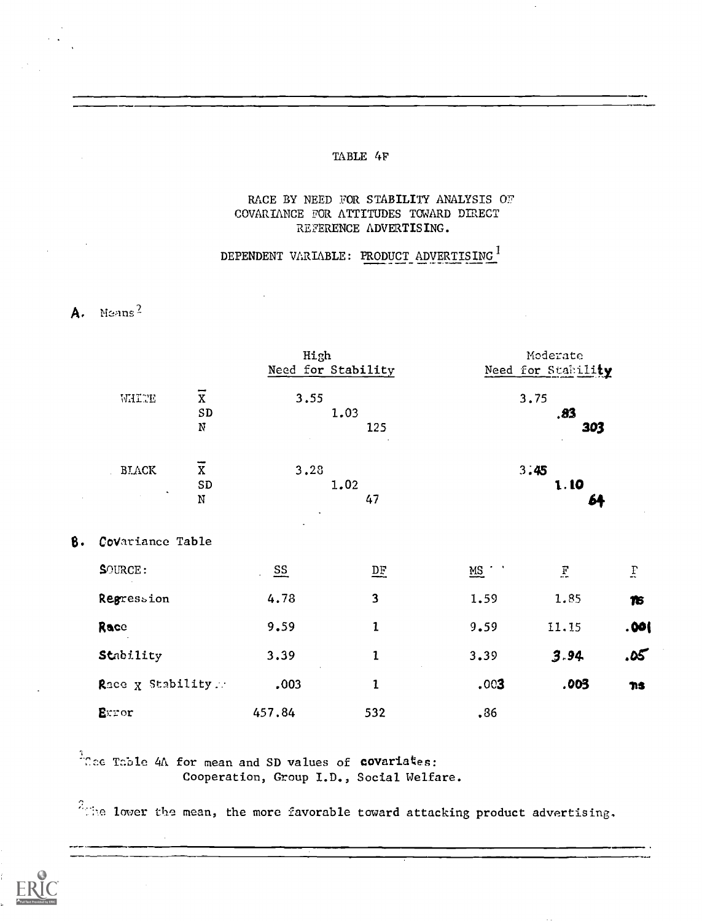### TABLE 4F

### RACE BY NEED FOR STABILITY ANALYSIS OF COVARIANCE FOR ATTITUDES TOWARD DIRECT REFERENCE ADVERTISING.

## DEPENDENT VARIABLE: PRODUCT ADVERTISING<sup>1</sup>

# A. Means<sup>2</sup>

|    |                                          |                   | High                    |               | Moderate           |      |  |  |
|----|------------------------------------------|-------------------|-------------------------|---------------|--------------------|------|--|--|
|    |                                          |                   | Need for Stability      |               | Need for Stability |      |  |  |
|    | $\overline{\textbf{x}}$<br>WHITE         | 3.55              |                         |               | 3.75               |      |  |  |
|    | ${\tt SD}$                               |                   | 1.03                    |               | .83                |      |  |  |
|    | ${\bf N}$                                |                   | 125                     |               | 303                |      |  |  |
|    | $\overline{x}$<br>$\operatorname{BIACK}$ | 3.28              |                         |               | 3:45               |      |  |  |
|    | SD                                       |                   | 1.02                    |               | 1.10               |      |  |  |
|    | N                                        |                   | 47                      |               | 64                 |      |  |  |
| ₿. | Covariance Table                         |                   |                         |               |                    |      |  |  |
|    | SOURCE:                                  | $S_{\frac{S}{2}}$ | $\overline{\text{DE}}$  | $MS$ $\qquad$ | $\mathbf{F}$       | Ϊ    |  |  |
|    | Regression                               | 4.78              | $\overline{\mathbf{3}}$ | 1.59          | 1.85               | 16   |  |  |
|    | Race                                     | 9.59              | $\mathbf{1}$            | 9.59          | 11.15              | .001 |  |  |
|    | Stability                                | 3.39              | $\mathbf{1}$            | 3.39          | 3.94               | .05  |  |  |
|    | Race x Stability.                        | .003              | $\mathbf{1}$            | .003          | .003               | TS.  |  |  |
|    | Exror                                    | 457.84            | 532                     | .86           |                    |      |  |  |

## $\frac{3}{4}$ The Table 4A for mean and SD values of covariates: Cooperation, Group I.D., Social Welfare.

 $\frac{2}{\pi}$  he lower the mean, the more favorable toward attacking product advertising.

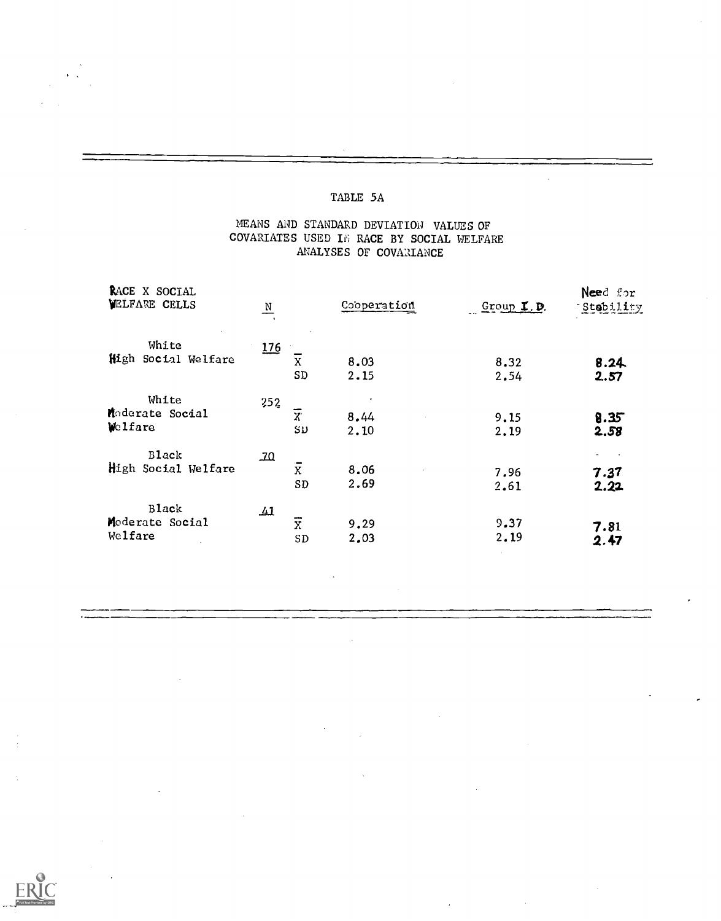### MEANS AND STANDARD DEVIATION VALUES OF COVARIATES USED IN RACE BY SOCIAL WELFARE ANALYSES OF COVARIANCE

 $\ddot{\phantom{0}}$ 

| RACE X SOCIAL<br><b>VELFARE CELLS</b> | $\frac{N}{2}$                                  | Cooperation  | Group I.D.   | Need for<br>Stebility |
|---------------------------------------|------------------------------------------------|--------------|--------------|-----------------------|
| White<br>High Social Welfare          | 176<br>X<br>SD                                 | 8.03<br>2.15 | 8.32<br>2.54 | 8.24<br>2.57          |
| White<br>Moderate Social<br>Welfare   | 252<br>$\overline{x}$<br>SD                    | 8.44<br>2.10 | 9.15<br>2.19 | 8.35<br>2.58          |
| <b>Black</b><br>High Social Welfare   | 20<br>$\bullet$<br>$\overline{X}$<br>SD        | 8.06<br>2,69 | 7.96<br>2.61 | 7.37<br>2.22          |
| Black<br>Moderate Social<br>Welfare   | $\mathbf{\mathcal{L}}$<br>$\overline{x}$<br>SD | 9.29<br>2.03 | 9.37<br>2.19 | 7.81<br>2.47          |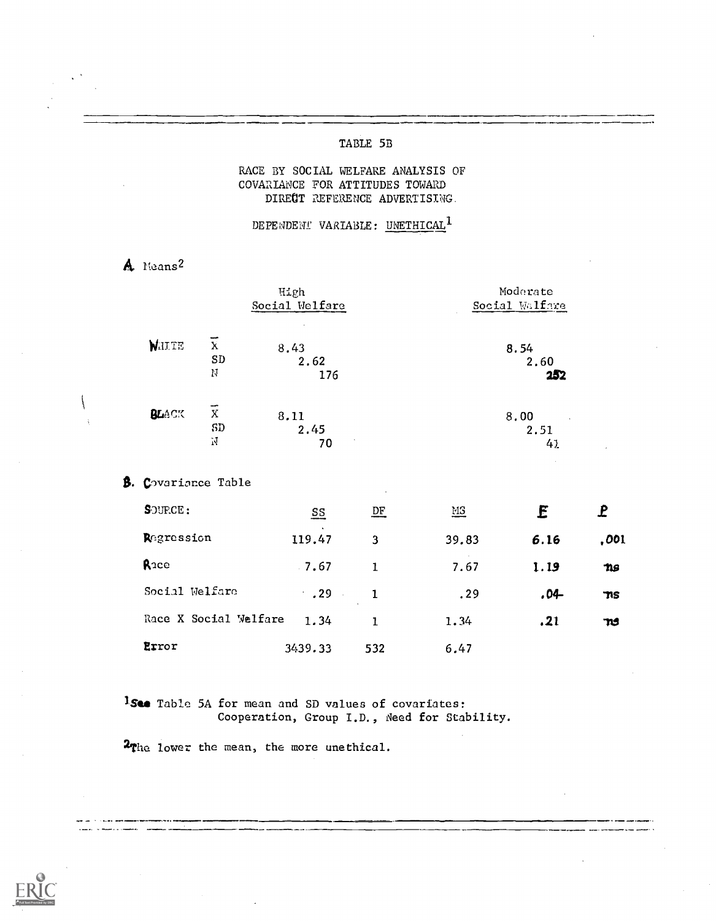### TABLE 5B

### RACE BY SOCIAL WELFARE ANALYSIS OF COVARIANCE FOR ATTITUDES TOWARD DIRECT REFERENCE ADVERTISING.

DEPENDENT VARIABLE: UNETHICAL<sup>1</sup>

A Means<sup>2</sup>

|              |                                 | High<br>Social Welfare         | Moderate<br>Social Walfare |
|--------------|---------------------------------|--------------------------------|----------------------------|
| <b>WHITE</b> | $\mathbf{\tilde{X}}$<br>SD<br>N | 8.43<br>2.62<br>176            | 8.54<br>2.60<br>252        |
| BLACK        | --<br>$\rm X$<br>SD<br>Ń        | 8.11<br>2.45<br>$\gamma$<br>70 | 8.00<br>2.51<br>4.1        |

**B.** Covariance Table

| SOURCE:               | $\underline{\mathsf{SS}}$ | <u>DF</u> | <b>MS</b> | E       | P    |
|-----------------------|---------------------------|-----------|-----------|---------|------|
| Regression            | 119.47                    | 3         | 39.83     | 6.16    | ,001 |
| Race                  | $-7.67$                   | 1         | 7.67      | 1.19    | ns   |
| Social Welfare        | $\cdot$ . 29              | 1.        | .29       | $.04 -$ | าาร  |
| Race X Social Welfare | 1.34                      | 1.        | 1.34      | .21     | ms   |
| Error                 | 3439.33                   | 532       | 6.47      |         |      |

1.See Table 5A for mean and SD values of covariates: Cooperation, Group I.D., Need for Stability.

2<sub>The</sub> lower the mean, the more unethical.

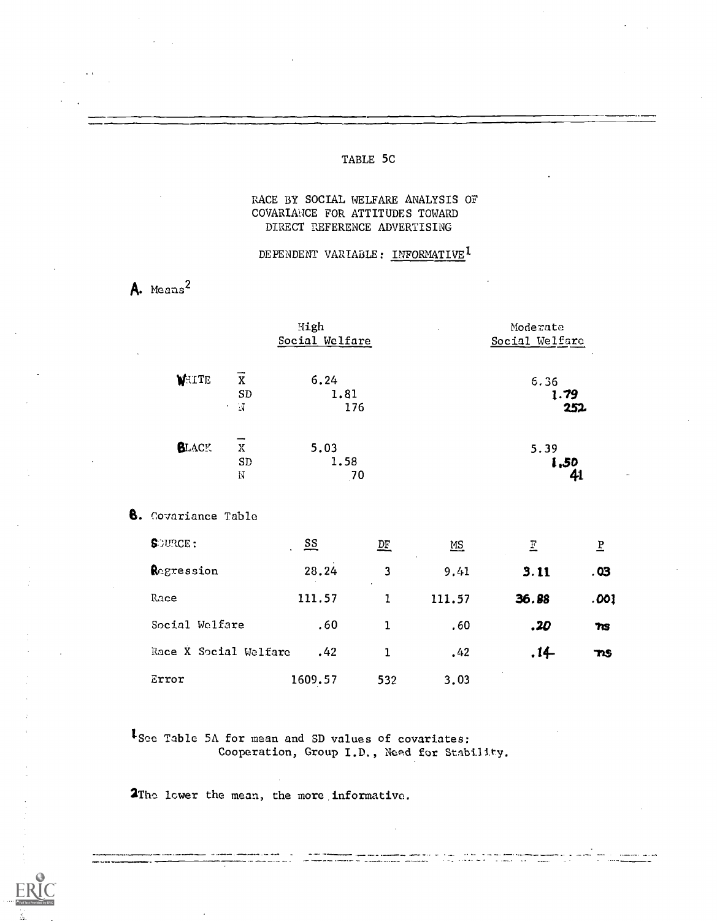### TABLE 5C

### RACE BY SOCIAL WELFARE ANALYSIS OF COVARIANCE FOR ATTITUDES TOWARD DIRECT REFERENCE ADVERTISING

### DEPENDENT VARIABLE: INFORMATIVE<sup>1</sup>

# A. Means<sup>2</sup>

|              |                                                                   | High<br>Social Welfare | Moderate<br>Social Welfare                |
|--------------|-------------------------------------------------------------------|------------------------|-------------------------------------------|
| WHITE        | $\bar{\textbf{X}}$<br>SD<br>$\overline{\mathcal{A}}$<br>$\bullet$ | 6.24<br>1.81<br>176    | 6.36<br>1.79<br>252                       |
| <b>BLACK</b> | --<br>X<br>SD<br>N                                                | 5.03<br>1.58<br>70     | 5.39<br>1,50<br>41<br>$\hat{\phantom{a}}$ |

#### 8. Covariance Table

| <b>S</b> OURCE:       | $rac{SS}{S}$ | 坚            | $\underline{\mathsf{MS}}$ | E      | E          |  |
|-----------------------|--------------|--------------|---------------------------|--------|------------|--|
| Regression            | 28.24        | 3<br>$\cdot$ | 9.41                      | 3.11   | .03        |  |
| Race                  | 111.57       |              | 111.57                    | 36.88  | .001       |  |
| Social Welfare        | .60          |              | .60                       | .20    | 7G         |  |
| Race X Social Welfare | .42          |              | .42                       | $.14-$ | <b>TAS</b> |  |
| Error                 | 1609.57      | 532          | 3.03                      |        |            |  |

سام معامل السام<br>الأحد للعمل الإسار

ISce Table 5A for mean and SD values of covariates: Cooperation, Group I.D., Need for Stability.

2Thc lower the mean, the more informative.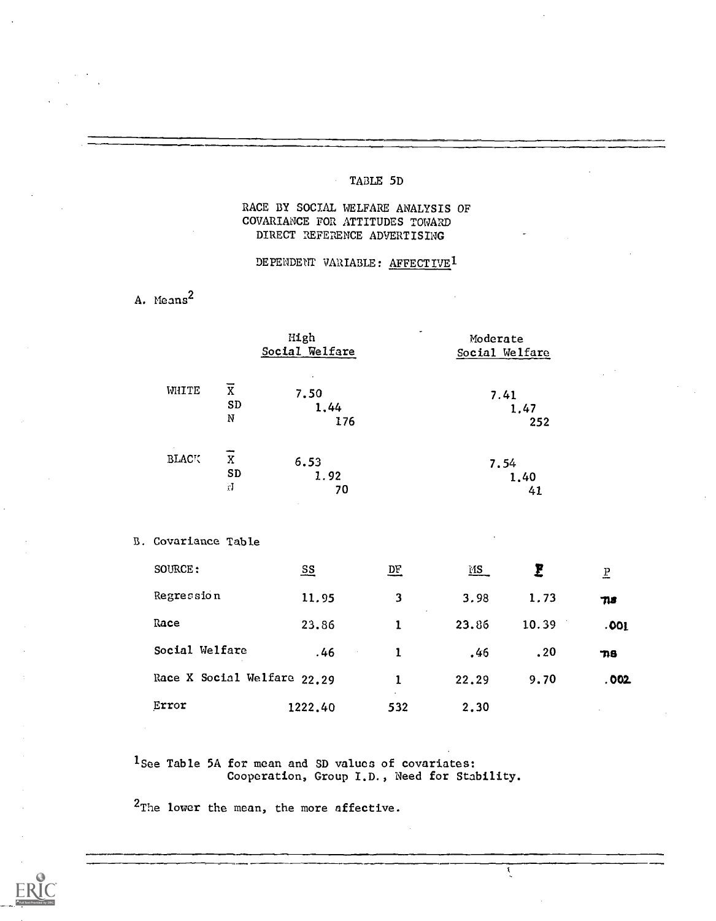### TABLE 5D

### RACE BY SOCIAL WELFARE ANALYSIS OF COVARIANCE FOR ATTITUDES TOWARD DIRECT REFERENCE ADVERTISING

### DEPENDENT VARIABLE: AFFECTIVE<sup>1</sup>

A. Means<sup>2</sup>

|                        |                                    | High<br>Social Welfare | Moderate<br>Social Welfare |
|------------------------|------------------------------------|------------------------|----------------------------|
| WHITE                  | $\overline{\mathrm{x}}$<br>SD<br>N | 7.50<br>1,44<br>176    | 7.41<br>1.47<br>252        |
| $\sim$<br><b>BLACK</b> | X<br>SD<br>71                      | 6.53<br>1.92<br>70     | 7.54<br>1,40<br>41         |

#### B. Covariance Table

| SOURCE:                     | $\overline{\mathbf{s}}$ | $\overline{D}E$ | MS    | E     | $\overline{E}$ |
|-----------------------------|-------------------------|-----------------|-------|-------|----------------|
| Regression                  | 11.95                   | 3               | 3.98  | 1.73  | $\eta s$       |
| Race                        | 23.86                   |                 | 23.86 | 10.39 | .001           |
| Social Welfare              | .46                     |                 | .46   | .20   | 706            |
| Race X Social Welfare 22.29 |                         |                 | 22.29 | 9.70  | .002           |
| Error                       | 1222.40                 | 532             | 2,30  |       |                |

 $\overline{\mathbf{S}}$ 

1See Table 5A for mean and SD values of covariates: Cooperation, Group I.D., Need for Stability.

2The lower the mean, the more affective.

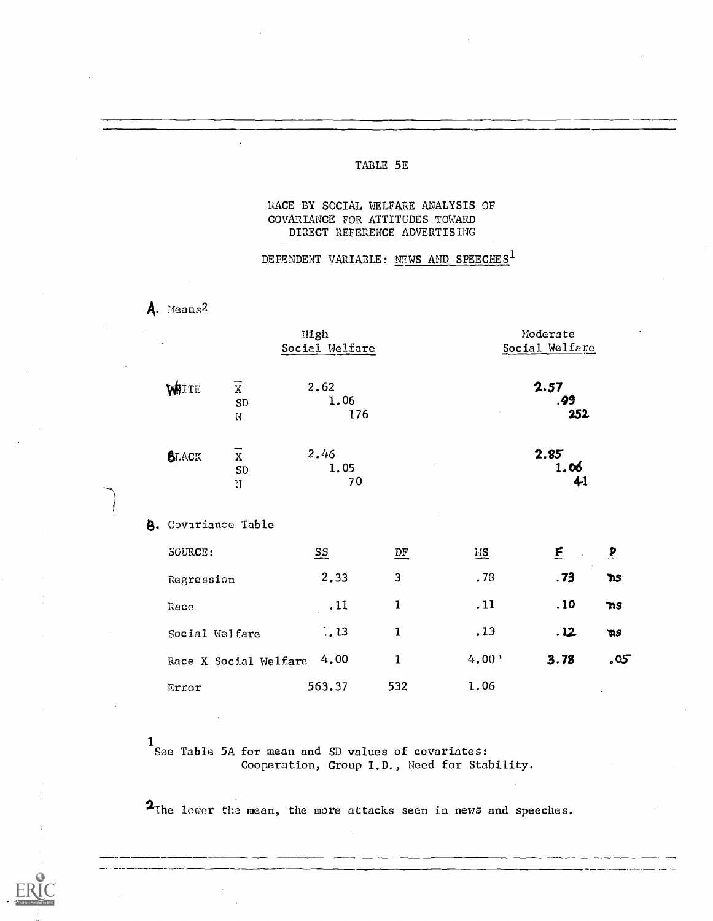### TABLE 5E

### RACE BY SOCIAL WELFARE ANALYSIS OF COVARIANCE FOR ATTITUDES TOWARD DIRECT REFERENCE ADVERTISING

DEPENDENT VARIABLE: NEWS AND SPEECHES<sup>1</sup>

A. means2

| High<br>Social Welfare     |                                                |                     | Moderate<br>Social Welfare |       |                    |                 |  |
|----------------------------|------------------------------------------------|---------------------|----------------------------|-------|--------------------|-----------------|--|
| WHITE                      | $\overline{x}$<br>${\tt SD}$<br>$\rm \ddot{N}$ | 2.62<br>1.06<br>176 |                            |       | 2.57<br>.99<br>252 |                 |  |
| <b>BLACK</b>               | $\overline{x}$<br>SD<br>N                      | 2.46<br>1.05<br>70  |                            |       | 2.85<br>1.06<br>41 |                 |  |
| <b>B.</b> Covariance Table |                                                |                     |                            |       |                    |                 |  |
| <b>SOURCE:</b>             |                                                | $\Sigma$            | $\mathbf{D}^{\mathbf{F}}$  | HS    | E<br>$\sim$        | $\mathbf{P}$    |  |
| Regression                 |                                                | 2.33                | $\overline{\mathbf{3}}$    | .73   | .73                | <b>ns</b>       |  |
| Race                       |                                                | .11                 | $\mathbf{1}$               | .11   | .10                | $\mathbf{ns}$   |  |
| Social Welfare             |                                                | $\therefore$ 13     | $\mathbf{1}$               | .13   | .12                | $\mathfrak{p}s$ |  |
|                            | Race X Social Welfare                          | 4.00                | $\mathbf{1}$               | 4.00' | 3.78               | .05             |  |
| Error                      |                                                | 563.37              | 532                        | 1.06  |                    |                 |  |

1<br>See Table 5A for mean and SD values of covariates: Cooperation, Group I.D., Need for Stability.

2The lower the mean, the more attacks seen in news and speeches.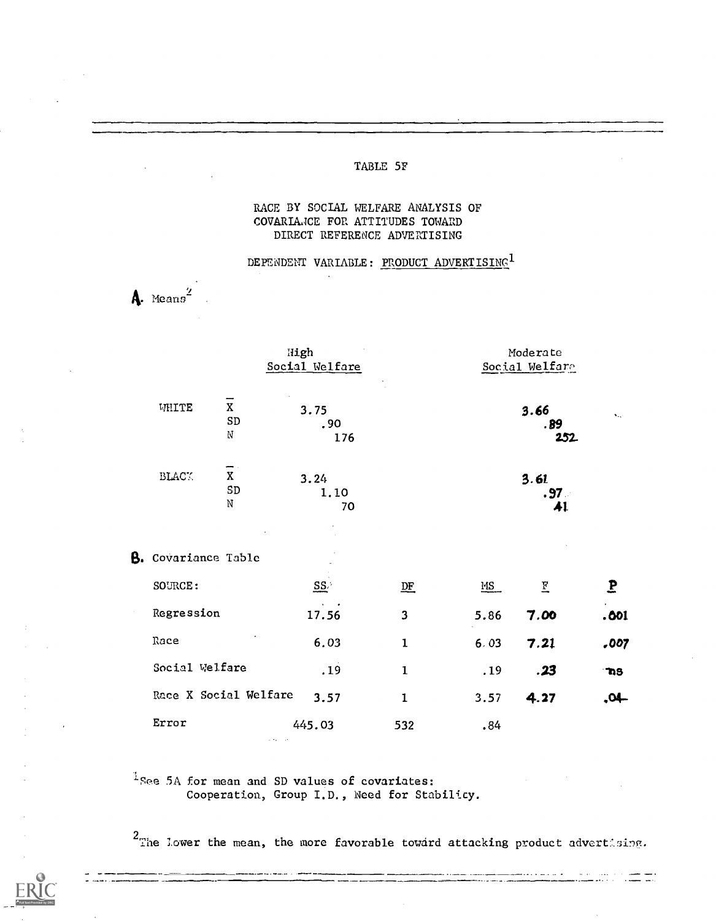### TABLE 5F

### RACE BY SOCIAL WELFARE ANALYSIS OF COVARIANCE FOR ATTITUDES TOWARD DIRECT REFERENCE ADVERTISING

## DEPENDENT VARIABLE: PRODUCT ADVERTISING<sup>1</sup>

A. Means<sup>2</sup>

|                            |                                                                  | High<br>Social Welfare |              |      | Moderate<br>Social Welfare     |                       |  |
|----------------------------|------------------------------------------------------------------|------------------------|--------------|------|--------------------------------|-----------------------|--|
| WHITE                      | $\mathbf X$<br>${\tt SD}$<br>$\rm N$                             | 3.75<br>.90<br>176     |              |      | 3.66<br>. 89<br>252            | $\mathbf{v}_{\rm ex}$ |  |
| $\operatorname{BLAC}$ .    | $\overline{\phantom{a}}$<br>$\mathbf X$<br>${\tt SD}$<br>$\rm N$ | 3.24<br>1.10<br>70     |              |      | 3.61<br>.97 <sub>•</sub><br>41 |                       |  |
| <b>B.</b> Covariance Table |                                                                  |                        |              |      |                                |                       |  |
| SOURCE:                    |                                                                  | $\underline{SS}$       | DE           | MS   | Ξ                              | $\mathbf{P}$          |  |
| Regression                 |                                                                  | 17.56                  | 3            | 5.86 | 7.00                           | .001                  |  |
| Race                       |                                                                  | 6.03                   | $\mathbf{1}$ | 6.03 | 7.21                           | ,007                  |  |
| Social Welfare             |                                                                  | .19                    | $\mathbf{I}$ | .19  | .23                            | n <sub>3</sub>        |  |
| Race X Social Welfare      |                                                                  | 3.57                   | $\mathbf 1$  | 3.57 | 4.27                           | -10.                  |  |
| Error                      |                                                                  | 445.03                 | 532          | .84  |                                |                       |  |

 $1$  See 5A for mean and SD values of covariates: Cooperation, Group I.D., Need for Stabilicy.

 $2<sub>T</sub>$  he lower the mean, the more favorable toward attacking product advertising.

الجامر ويساء ولاء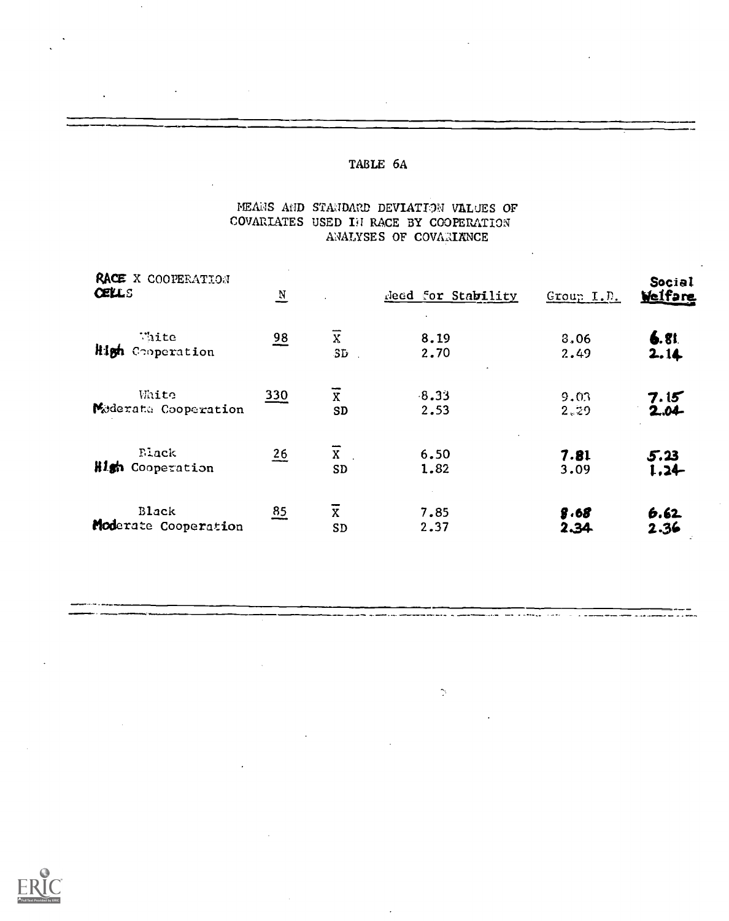### MEANS AND STANDARD DEVIATION VALUES OF COVARIATES USED IN RACE BY COOPERATION ANALYSES OF COVARIANCE

| RACE X COOPERATION<br><b>CELLS</b> | $\mathbf{N}$   |                | deed for Stability | Group I.D. | Social<br>Welfare |
|------------------------------------|----------------|----------------|--------------------|------------|-------------------|
| Wite                               | $\frac{98}{1}$ | $\overline{x}$ | 8.19               | 3,06       | 6.81              |
| High Cooperation                   |                | SD             | 2.70               | 2.49       | 2.14              |
| White                              | 330            | $\overline{x}$ | $-8.33$            | 9.03       | 7.15              |
| Mederate Cooperation               |                | <b>SD</b>      | 2.53               | 2.29       | 2.04              |
| Flack                              | $\frac{26}{5}$ | $\overline{x}$ | 6.50               | 7.81       | 5.23              |
| High Cooperation                   |                | <b>SD</b>      | 1.82               | 3.09       | $1.24 -$          |
| Black                              | 85             | X              | 7.85               | 8.68       | 6.62              |
| Moderate Cooperation               |                | SD             | 2.37               | 2.34       | 2.36              |

 $\gamma$ 

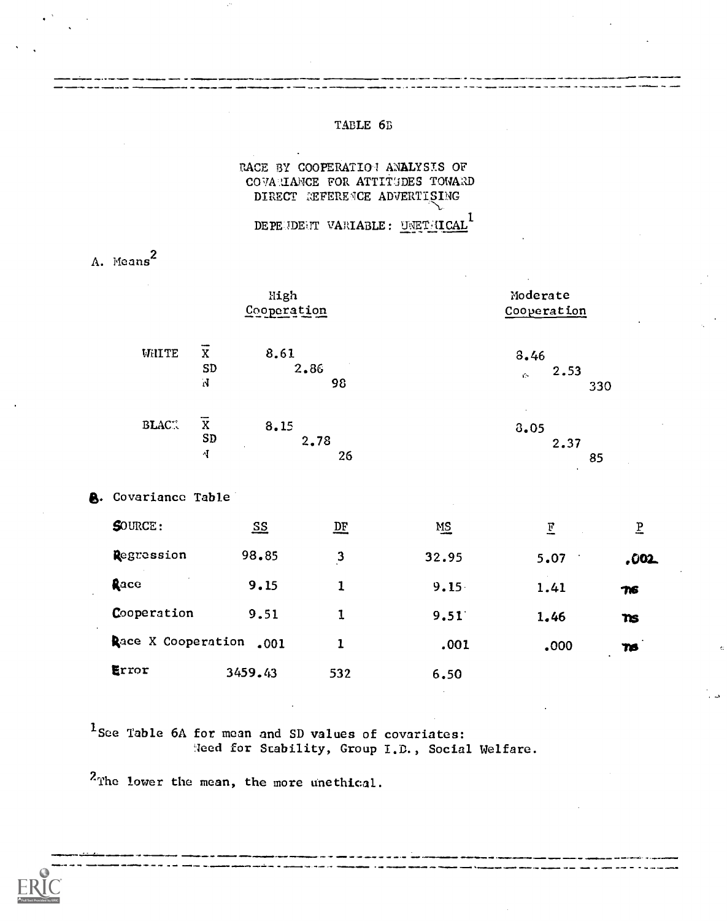#### TABLE 6B

### RACE BY COOPERATION ANALYSIS OF COVARIANCE FOR ATTITUDES TOWARD DIRECT REFERENCE ADVERTISING

DEPEUDEUT VARIABLE: UNETHICAL

A. Means<sup>2</sup>

|              |                                  | High<br>Cooperation | Moderate<br>Cooperation         |
|--------------|----------------------------------|---------------------|---------------------------------|
| WHITE        | ---<br>X<br>SD<br>N              | 8.61<br>2.86<br>98  | 8.46<br>2.53<br>τb.<br>330      |
| <b>BLACK</b> | $\overline{\text{x}}$<br>SD<br>4 | 8.15<br>2.78<br>26  | 3.05<br>2.37<br>85<br>$\bullet$ |

#### **A.** Covariance Table

| $S$ OURCE:            | $S_{\Sigma}$ | <u>DF</u>    | MS       | $\mathbf{F}$ | P             |
|-----------------------|--------------|--------------|----------|--------------|---------------|
| Regression            | 98.85        | $\mathbf{3}$ | 32.95    | 5.07         | .002.         |
| $\sim$<br><b>Race</b> | 9.15         | 1            | $9.15 -$ | 1.41         | $T =$         |
| Cooperation           | 9.51         | 1            | 9.51     | 1,46         | $\mathbf n$ s |
| Race X Cooperation    | .001         |              | .001     | .000         | TS.           |
| Error                 | 3459.43      | 532          | 6.50     |              |               |

<sup>1</sup>See Table 6A for mean and SD values of covariates: Heed for Stability, Group I.D., Social Welfare.

<sup>2</sup>The lower the mean, the more unethical.

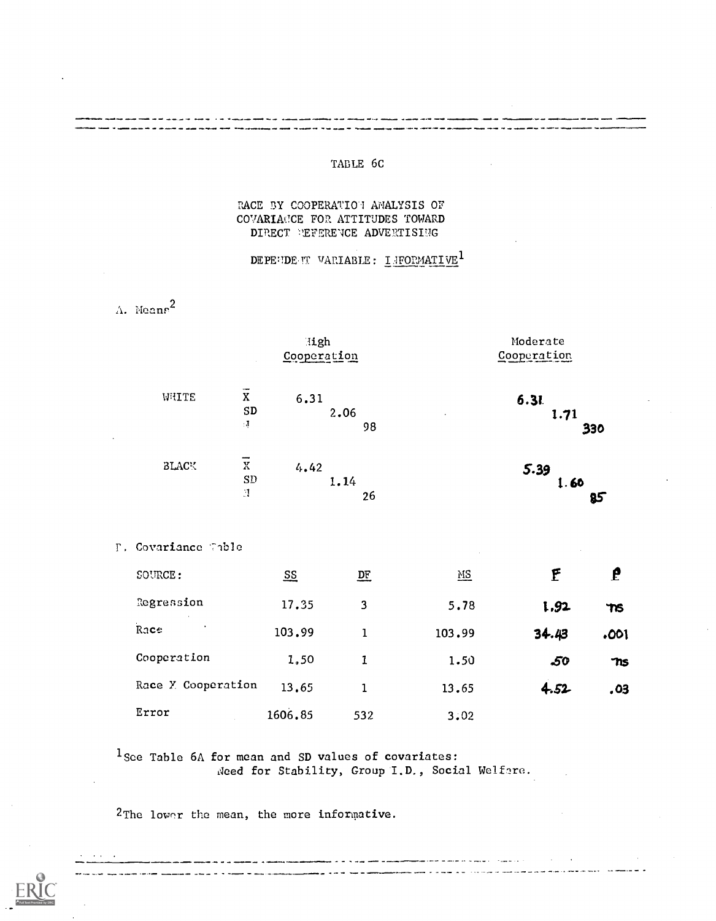### TABLE 6C

### RACE BY COOPERATION ANALYSIS OF COVARIANCE FOR ATTITUDES TOWARD DIRECT PEFERENCE ADVERTISING

DEPENDENT VARIABLE: INFORMATIVE<sup>1</sup>

 $\Lambda$ . Means<sup>2</sup>

 $\Gamma$  .

وسيسترون وسروين

----

. . .

|                                                    |         | High<br>Cooperation |        | Moderate<br>Cooperation |              |
|----------------------------------------------------|---------|---------------------|--------|-------------------------|--------------|
| $\overline{x}$<br>WHITE<br>${\tt SD}$<br>$\cdot$ J | 6.31    | 2.06<br>98          |        | 6.31<br>1.71            | 330          |
| $\rm X$<br><b>BLACK</b><br>SD<br>N.                | 4.42    | 1.14<br>26          |        | 5.39<br>1.60            | 85           |
| Covariance Table                                   |         |                     |        |                         |              |
| SOURCE:                                            | $S_{S}$ | $D_{\rm E}$         | $MS$   | F                       | $\mathbf{f}$ |
| Regression                                         | 17.35   | 3                   | 5.78   | 1.92                    | TIS          |
| Race                                               | 103.99  | $\mathbf 1$         | 103.99 | 34.43                   | .001         |
| Cooperation                                        | 1.50    | $\mathbf{1}$        | 1.50   | -50                     | TIS          |
| Race Y Cooperation                                 | 13.65   | $\mathbf{1}$        | 13.65  | 4.52                    | .03          |
| Error                                              | 1606.85 | 532                 | 3.02   |                         |              |

 $1$  Sce Table 6A for mean and SD values of covariates: Need for Stability, Group I.D., Social Welfare.

المستقلب المسابقين والدائد

.<br>La provincia de la componentación de la provincia de la provincia de la provincia de la provincia de la provin

مرعوبك كالمنفاذ كتفت

2The lower the mean, the more informative.

and the state

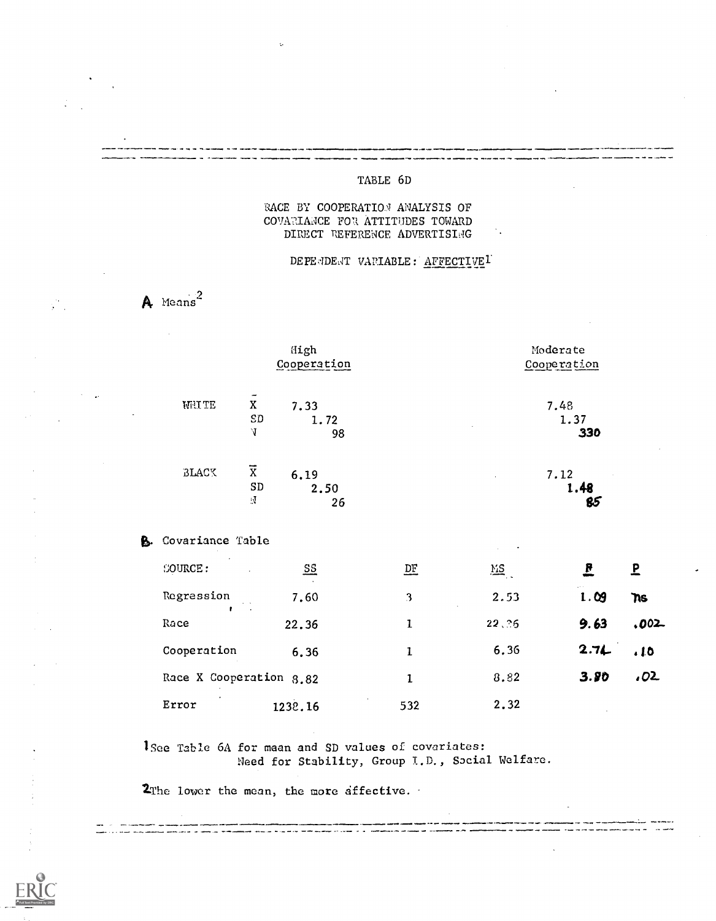### TABLE 6D

#### RACE BY COOPERATION ANALYSIS OF COVARIANCE FOR ATTITUDES TOWARD DIRECT REFERENCE ADVERTISLAG

### DEPE4DEAT VARIABLE: AFFECTIVE<sup>1</sup>

 $\mathsf A$  Means<sup>2</sup>

 $\mathcal{L}^{\mathcal{L}}$ 

|    |                         |                                               | High<br>Cooperation       |              |       | Moderate<br>Cooperation |                |
|----|-------------------------|-----------------------------------------------|---------------------------|--------------|-------|-------------------------|----------------|
|    | <b>WHITE</b>            | $\tilde{\mathbf{x}}$<br>SD<br>V               | 7.33<br>1.72<br>98        |              |       | 7.48<br>1.37<br>330     |                |
|    | BLACK                   | $\overline{\mathrm{x}}$<br>SD<br>$\mathbf{N}$ | 6.19<br>2.50<br>26        |              |       | 7.12<br>1.48<br>85      |                |
| В. | Covariance Table        |                                               |                           |              |       |                         |                |
|    | <b>SOURCE:</b>          |                                               | $\underline{\mathbf{SS}}$ | $D_{\rm E}$  | MS    | <u>e</u>                | $\overline{P}$ |
|    | Regression              | $\sim 10$                                     | 7.60                      | 3            | 2.53  | 1.09                    | <b>TIS</b>     |
|    | Race                    |                                               | 22.36                     | $\mathbf 1$  | 22,26 | 9.63                    | $.002 -$       |
|    | Cooperation             |                                               | 6.36                      | $\mathbf{I}$ | 6.36  | 2.71                    | .10            |
|    | Race X Cooperation 8.82 |                                               |                           | $\mathbf{I}$ | 8.82  | 3.80                    | ,02            |
|    | Error                   |                                               | 1238.16                   | 532          | 2.32  |                         |                |
|    |                         |                                               |                           |              |       |                         |                |

'See Table 6A for mean and SD values of covariates: Need for Stability, Group I.D., Social Welfare.

2The lower the mean, the more affective.

 $\frac{1}{\pi}$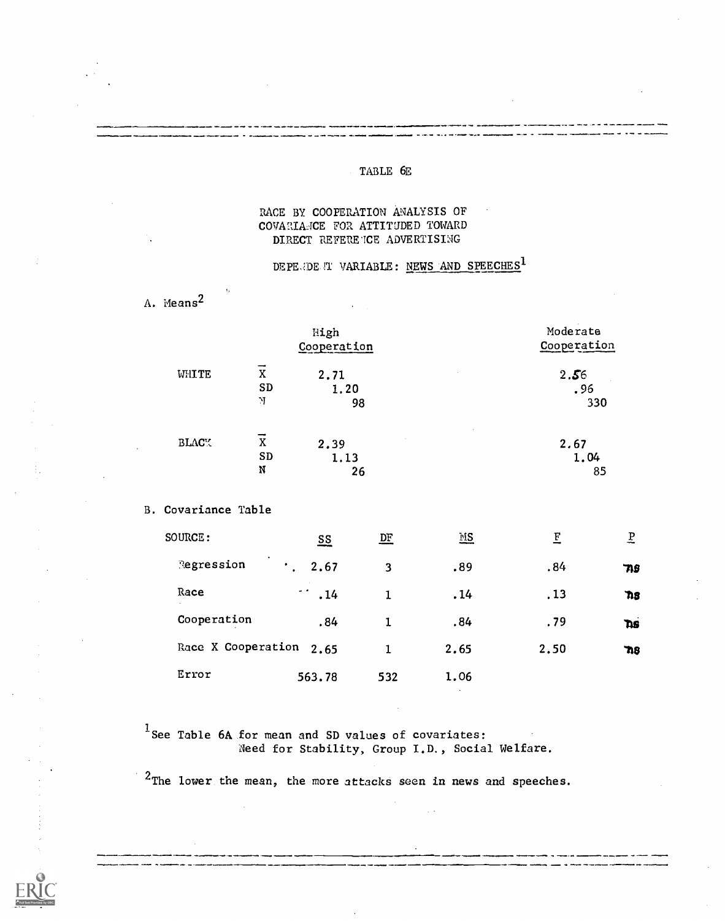### TABLE 6E

#### RACE BY COOPERATION ANALYSIS OF COVARIANCE FOR ATTITUDED TOWARD DIRECT REFERENCE ADVERTISING

## DEPE OF T VARIABLE: NEWS AND SPEECHES<sup>1</sup>

A. Means<sup>2</sup>

 $\mathcal{A}_1$ 

|              |           | High           | Moderate       |
|--------------|-----------|----------------|----------------|
|              |           | Cooperation    | Cooperation    |
| WHITE        | X         | 2.71           | 2.56<br>$\sim$ |
|              | <b>SD</b> | 1.20           | .96            |
|              | N         | 98             | 330            |
| <b>BLACY</b> | X         | $\sim$<br>2.39 | $\sim$<br>2.67 |
|              | SD        | 1.13           | 1.04           |
|              | N         | 26             | 85             |

### B. Covariance Table

| <b>SOURCE :</b>         | $\underline{\mathbf{ss}}$ | $\overline{\text{DE}}$ | $\underline{\mathbb{MS}}$ | E    | $\overline{b}$ |                   |
|-------------------------|---------------------------|------------------------|---------------------------|------|----------------|-------------------|
| Regression              | 2.67<br>$\mathbf{r}$      | 3                      | .89                       | .84  | 719            |                   |
| Race                    | $\sim$ $\sim$<br>.14      |                        | .14                       | .13  | 718            | $\sim$<br>$\cdot$ |
| Cooperation             | .84                       |                        | .84                       | .79  | <b>Ths</b>     |                   |
| Race X Cooperation 2.65 |                           |                        | 2.65                      | 2.50 | $\mathbf{n}$ s |                   |
| Error                   | 563.78                    | 532                    | 1.06                      |      |                |                   |

<sup>1</sup> See Table 6A for mean and SD values of covariates: Need for Stability, Group I.D., Social Welfare.

<sup>2</sup>The lower the mean, the more attacks seen in news and speeches.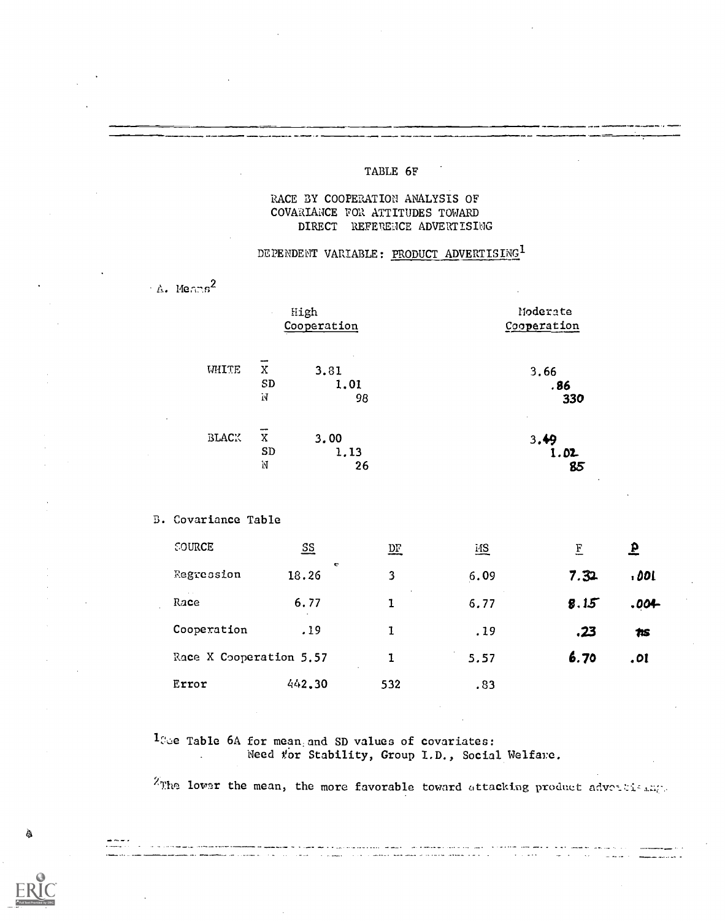### TABLE 6F

### RACE BY COOPERATION ANALYSIS OF COVARIANCE FOR ATTITUDES TOWARD DIRECT REFERENCE ADVERTISING

## DEPENDENT VARIABLE: PRODUCT ADVERTISING<sup>1</sup>

 $\cdot$  A. Means<sup>2</sup>

| High<br>$\mathcal{L}$ |           |             | Moderate    |  |  |
|-----------------------|-----------|-------------|-------------|--|--|
|                       |           | Cooperation | Cooperation |  |  |
| WHITE                 | X         | 3.81        | 3.66        |  |  |
|                       | <b>SD</b> | 1,01        | . 86        |  |  |
|                       | N         | 98          | 330         |  |  |
| <b>BLACK</b>          | X         | 3,00        | 3.49        |  |  |
|                       | SD        | 1.13        | 1.02        |  |  |
|                       | N         | 26          | 85          |  |  |

### B. Covariance Table

| <b>SOURCE</b>           | $\underline{\mathsf{SS}}$ | <u>DF</u> | <u>ИS</u> | E    | $\mathbf{P}$ |
|-------------------------|---------------------------|-----------|-----------|------|--------------|
| Regression              | <b>R</b><br>18.26         | 3         | 6.09      | 7.32 | , OOL        |
| $\sim$ $\sim$<br>Race   | 6.77                      |           | 6.77      | 8.15 | .004         |
| Cooperation             | .19                       |           | .19       | .23  | tis          |
| Race X Cooperation 5.57 |                           | 1         | 5.57      | 6.70 | .01          |
| Error                   | 442.30                    | 532       | .83       |      |              |

 $1$ Coe Table 6A for mean and SD values of covariates: Need for Stability, Group I.D., Social Welfare.  $\mathbf{L}$ 

 $z_{\text{The lower}}$  the mean, the more favorable toward attacking product above the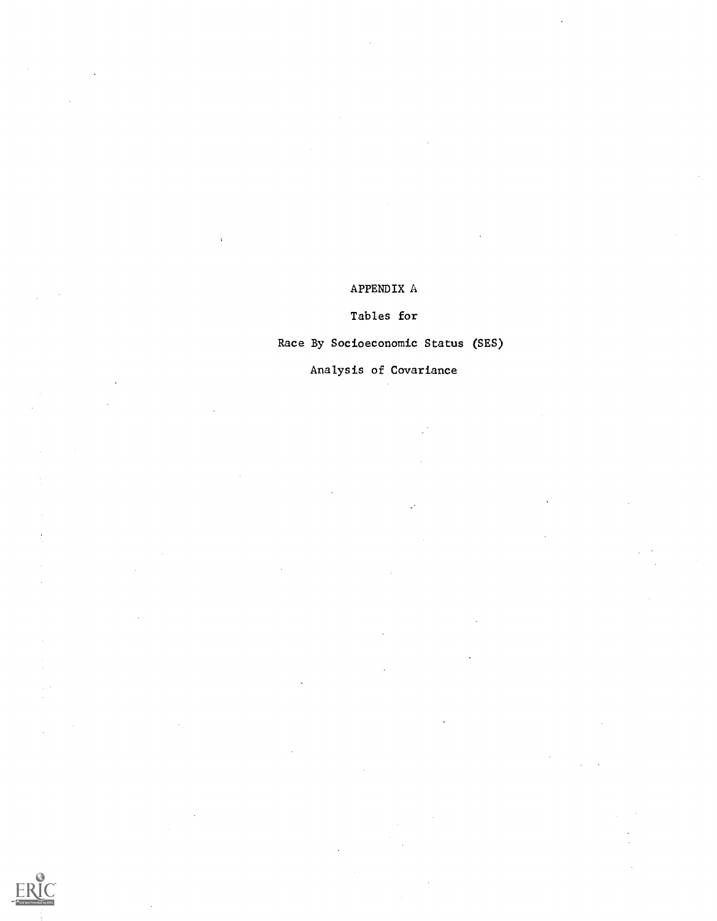## APPENDIX A

 $\lambda$ 

## Tables for

## Race By Socioeconomic Status (SES)

÷.

## Analysis of Covariance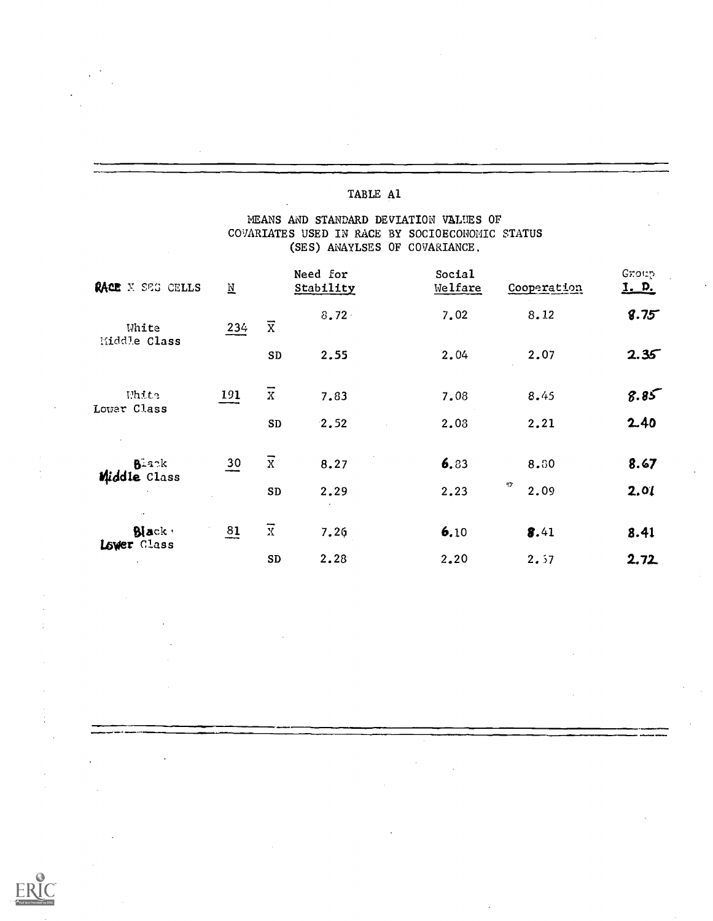### MEANS AND STANDARD DEVIATION VALUES OF COVARIATES USED IN RACE BY SOCIOECONOMIC STATUS (SES) ANAYLSES OF COVARIANCE.

| RACE X SEG CELLS                              | $\underline{\texttt{N}}$ |                | Need for<br>Stability | Social<br>Welfare | Cooperation          | Group<br><u>I. p.</u> |
|-----------------------------------------------|--------------------------|----------------|-----------------------|-------------------|----------------------|-----------------------|
| White                                         | 234                      | $\overline{x}$ | $8.72 -$              | 7.02              | 8.12                 | 8.75                  |
| Middle Class                                  |                          | SD             | 2.55                  | 2.04              | 2.07                 | 2.35                  |
| White<br>Lower Class                          | 191                      | $\overline{x}$ | 7.83                  | 7.08              | 8.45                 | 8.85                  |
|                                               |                          | SD             | 2.52                  | 2.08              | 2.21                 | 2.40                  |
| B <sup>2</sup> 22k<br>Middle Class            | $\frac{30}{1}$           | $\overline{x}$ | 8.27                  | 6.83              | 8.80                 | 8.67                  |
|                                               |                          | SD             | 2.29                  | 2.23              | $\eta\gamma$<br>2.09 | 2.01                  |
| $\ddot{\phantom{0}}$<br>Black:<br>Lower Class | $\frac{81}{1}$           | $\overline{x}$ | 7.26                  | 6.10              | 8.41                 | 8.41                  |
|                                               |                          | ${\bf SD}$     | 2.28                  | 2.20              | 2.57                 | 2.72                  |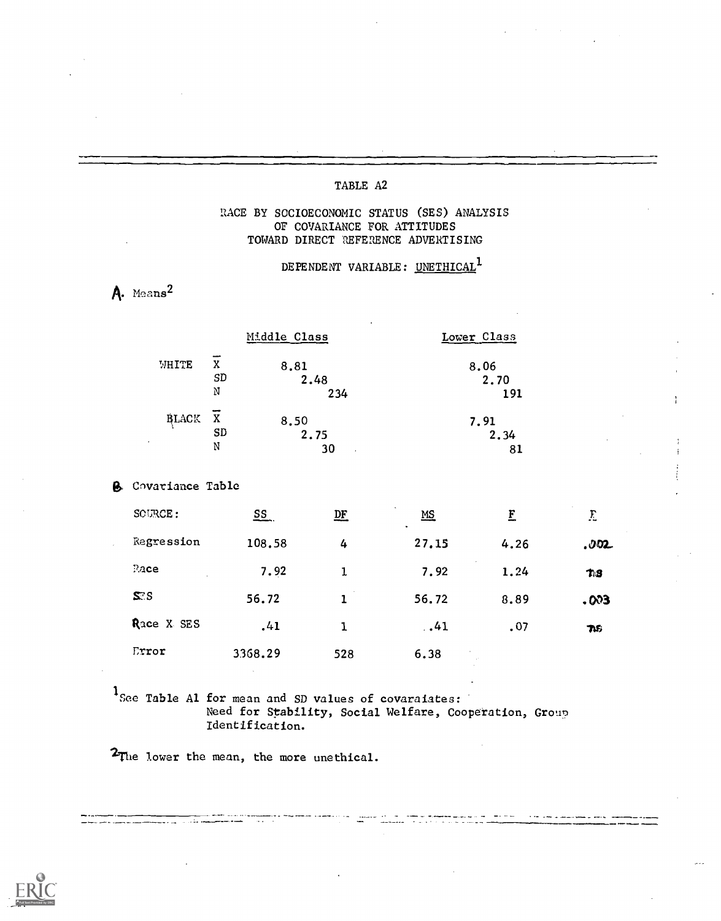### RACE BY SOCIOECONOMIC STATUS (SES) ANALYSIS OF COVARIANCE FOR ATTITUDES TOWARD DIRECT REFERENCE ADVERTISING

## DEPENDENT VARIABLE: UNETHICAL<sup>1</sup>

## A. Means<sup>2</sup>

|              |    | Middle Class | Lower Class |
|--------------|----|--------------|-------------|
| WHITE        | X  | 8.81         | 8.06        |
|              | SD | 2.48         | 2.70        |
|              | N  | 234          | 191         |
| <b>BLACK</b> | X  | 8.50         | 7.91        |
|              | SD | 2.75         | 2.34        |
|              | N  | 30           | 81          |

**B.** Covariance Table

| SCURCE:    | $S_{\frac{1}{2}}$ | $D_{\mathbf{r}}$ | $\sim$<br>$\underline{MS}$<br>$\bullet$ | $\mathbf{F}$ | E    |
|------------|-------------------|------------------|-----------------------------------------|--------------|------|
| Regression | 108.58            | 4                | 27.15                                   | 4.26         | .002 |
| $P_4$ ce   | 7.92              | 1                | 7.92                                    | 1.24         | T.S  |
| S S        | 56.72             |                  | 56.72                                   | 8.89         | .003 |
| Race X SES | .41               | 1                | .41                                     | .07          | TVS  |
| Error      | 3368.29           | 528              | 6.38                                    | $\sim$       |      |

 $1$ See Table Al for mean and SD values of covaraiates: Need for Stability, Social Welfare, Cooperation, Group Identification.

2The lower the mean, the more unethical.

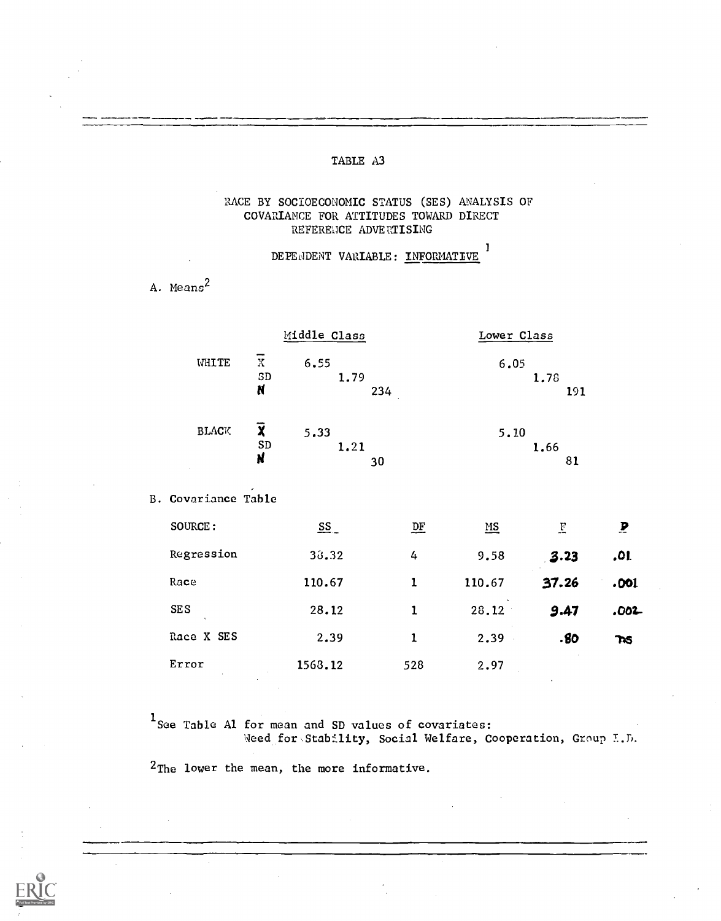### RACE BY SOCIOECONOMIC STATUS (SES) ANALYSIS OF COVARIANCE FOR ATTITUDES TOWARD DIRECT REFERENCE ADVERTISING

DEPENDENT VARIABLE: INFORMATIVE<sup>1</sup>

A. Means<sup>2</sup>

|              |              | Middle Class                   | Lower Class         |
|--------------|--------------|--------------------------------|---------------------|
| <b>WHITE</b> | Χ<br>SD<br>N | 6.55<br>1.79<br>234<br>$\cdot$ | 6.05<br>1.78<br>191 |
| <b>BLACK</b> | Y<br>SD<br>N | 5.33<br>1.21<br>30             | 5.10<br>1.66<br>81  |

B. Covariance Table

| SOURCE:         | $S$     | $\mathbf{D} \mathbf{F}$ | $\underline{\mathbf{MS}}$ | $\overline{E}$ | $\mathbf{P}$ |
|-----------------|---------|-------------------------|---------------------------|----------------|--------------|
| Regression      | 30.32   | 4                       | 9.58                      | 3.23           | .01          |
| Race            | 110.67  | 1                       | 110.67                    | 37.26          | .001         |
| <b>SES</b>      | 28.12   |                         | 28.12                     | 9.47           | $.002 -$     |
| Race X SES      | 2.39    | 1                       | 2.39                      | .80            | $\mathbf{R}$ |
| Error<br>$\sim$ | 1568.12 | 528                     | 2.97                      |                |              |

<sup>1</sup> See Table Al for mean and SD values of covariates: Need for Stability, Social Welfare, Cooperation, Group T.D.

<sup>2</sup>The lower the mean, the more informative.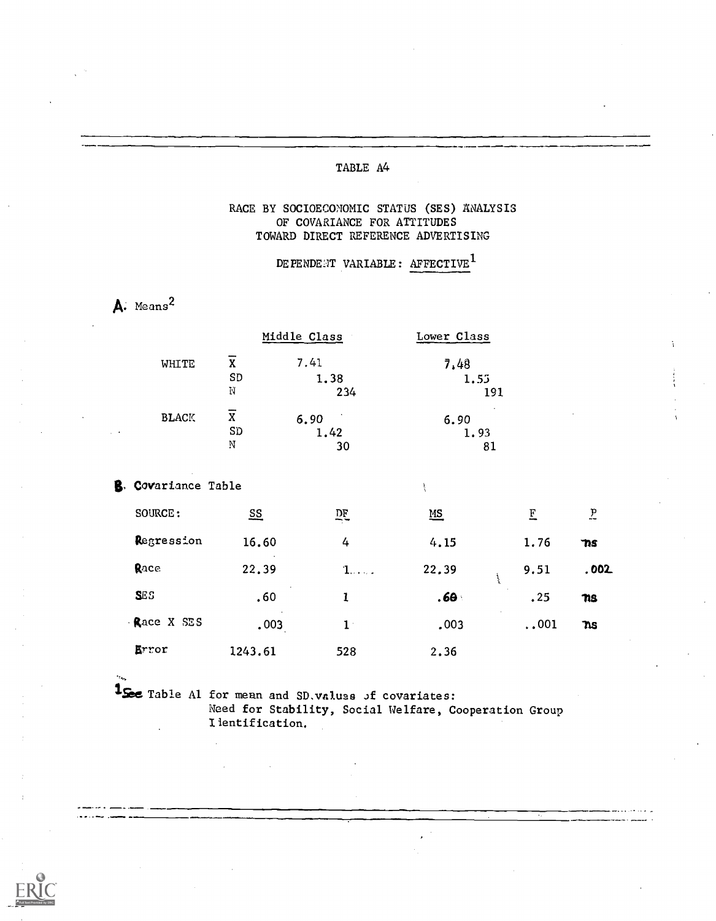### RACE BY SOCIOECONOMIC STATUS (SES) ANALYSIS OF COVARIANCE FOR ATTITUDES TOWARD DIRECT REFERENCE ADVERTISING

DEPENDENT VARIABLE: AFFECTIVE<sup>1</sup>

 $T_{\text{average}}$   $Q1_{\text{data}}$ 

A. Means<sup>2</sup>

|              |                         | Middle Class | LOWEL CIASS |
|--------------|-------------------------|--------------|-------------|
| WHITE        | X                       | 7.41         | 7.48        |
|              | SD                      | 1.38         | 1.55        |
|              | N                       | 234          | 191         |
| <b>BLACK</b> | $\overline{\mathbf{x}}$ | 6.90         | 6.90        |
|              | SD                      | 1.42         | 1.93        |
|              | N                       | 30           | 81          |

 $MADA$ 

**B.** Covariance Table

| SOURCE:    | $\underline{\mathbf{ss}}$ | 뜨           | $\underline{\mathsf{MS}}$ | Ε            | $\overline{L}$ |
|------------|---------------------------|-------------|---------------------------|--------------|----------------|
| Regression | 16.60                     | 4           | 4.15                      | 1.76         | 7IS            |
| Race       | 22.39                     | $1$         | 22.39                     | 9.51         | .002.          |
| <b>SES</b> | .60                       | ı           | .60 <sub>1</sub>          | .25          | ns             |
| Race X SES | .003                      | $1^{\circ}$ | .003                      | $\ldots$ 001 | ns             |
| Error      | 1243.61                   | 528         | 2.36                      |              |                |

1See Table Al for mean and SD. values of covariates: Need for Stability, Social Welfare, Cooperation Group I lentification.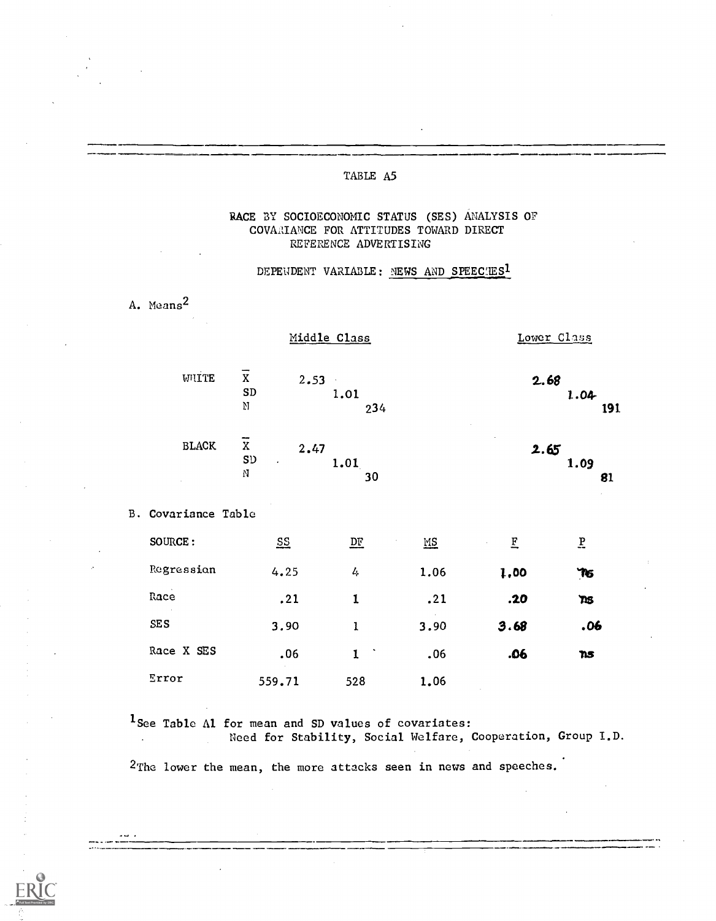### RACE BY SOCIOECONOMIC STATUS (SES) ANALYSIS OF COVAAIANCE FOR ATTITUDES TOWARD DIRECT REFERENCE ADVERTISING

### DEPENDENT VARIABLE: NEWS AND SPEECHES1

A. Means2

 $\mathcal{L}$ 

|                     |                                                  | Middle Class           |      | Lower Class |                          |  |
|---------------------|--------------------------------------------------|------------------------|------|-------------|--------------------------|--|
| WIITE               | $\mathbf X$<br>$2.53 -$<br>${\tt SD}$<br>Ŋ       | 1.01<br>234            |      | 2.68        | 1.04<br>191              |  |
| <b>BLACK</b>        | $\overline{x}$<br>2.47<br>${\tt S} {\tt D}$<br>N | 1.01<br>30             |      | 2.65        | 1.09<br>81               |  |
| B. Covariance Table |                                                  |                        |      |             |                          |  |
| SOURCE:             | $S_{\frac{1}{2}}$                                | $\overline{\text{DE}}$ | MS   | E           | $\underline{\mathbf{P}}$ |  |
| Regression          | 4.25                                             | 4                      | 1.06 | 1,00        | TG                       |  |
| Race                | .21                                              | $\mathbf 1$            | .21  | .20         | TIS.                     |  |
| SES                 | 3.90                                             | $\mathbf{1}$           | 3.90 | 3.68        | .06                      |  |
| Race X SES          | .06                                              | $\mathbf 1$            | .06  | .06         | ns                       |  |
| Error               | 559.71                                           | 528                    | 1.06 |             |                          |  |

1See Table Al for mean and SD values of covariates:

Need for Stability, Social Welfare, Cooperation, Group T.D.

<sup>2</sup>The lower the mean, the more attacks seen in news and speeches.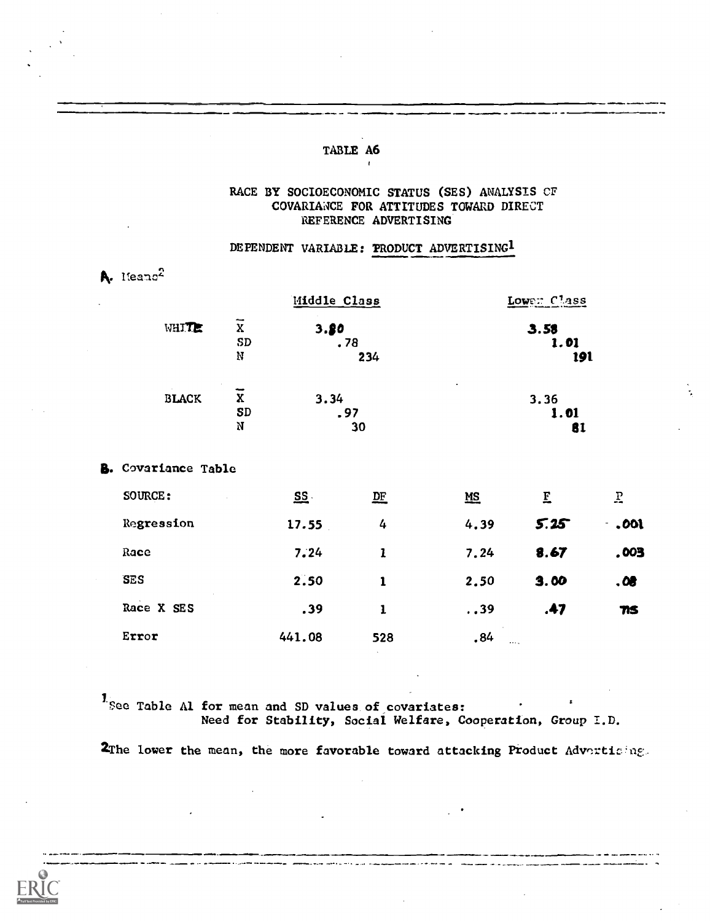#### RACE BY SOCIOECONOMIC STATUS (SES) ANALYSIS CF COVARIANCE FOR ATTITUDES TOWARD DIRECT REFERENCE ADVERTISING

### DEPENDENT VARIABLE: PRODUCT ADVERTISING<sup>1</sup>

| A. Heano <sup>2</sup>      |                           |                    |             |                     |              |
|----------------------------|---------------------------|--------------------|-------------|---------------------|--------------|
|                            |                           | Middle Class       |             | Lower Class         |              |
| WHITE                      | $\overline{x}$<br>SD<br>N | 3.80<br>.78<br>234 |             | 3.58<br>1.01<br>191 |              |
| <b>BLACK</b>               | $\overline{x}$<br>SD<br>N | 3.34<br>. 97<br>30 |             | 3.36<br>1.01<br>81  |              |
| <b>B.</b> Covariance Table |                           |                    |             |                     |              |
| SOURCE:                    | $S\bar{S}$ .              | D E                | $MS$        | $\overline{E}$      | $\mathbf{F}$ |
| Regression                 | 17.55                     | 4                  | 4.39        | 5.25                | .001<br>÷,   |
| Race                       | 7.24                      | $\mathbf{1}$       | 7.24        | 8.67                | ,003         |
| <b>SES</b>                 | 2.50                      | $\mathbf{1}$       | 2.50        | 3.00                | .08          |
| Race X SES                 | .39                       | $\mathbf{1}$       | $\ldots$ 39 | .47                 | 71S          |
| Error                      | 441.08                    | 528                | .84         |                     |              |

1<sub>See</sub> Table Al for mean and SD values of covariates:<br>Need for Stability, Social Welfare, Cooperation, Group I.D.

2The lower the mean, the more favorable toward attacking Product Advertising.

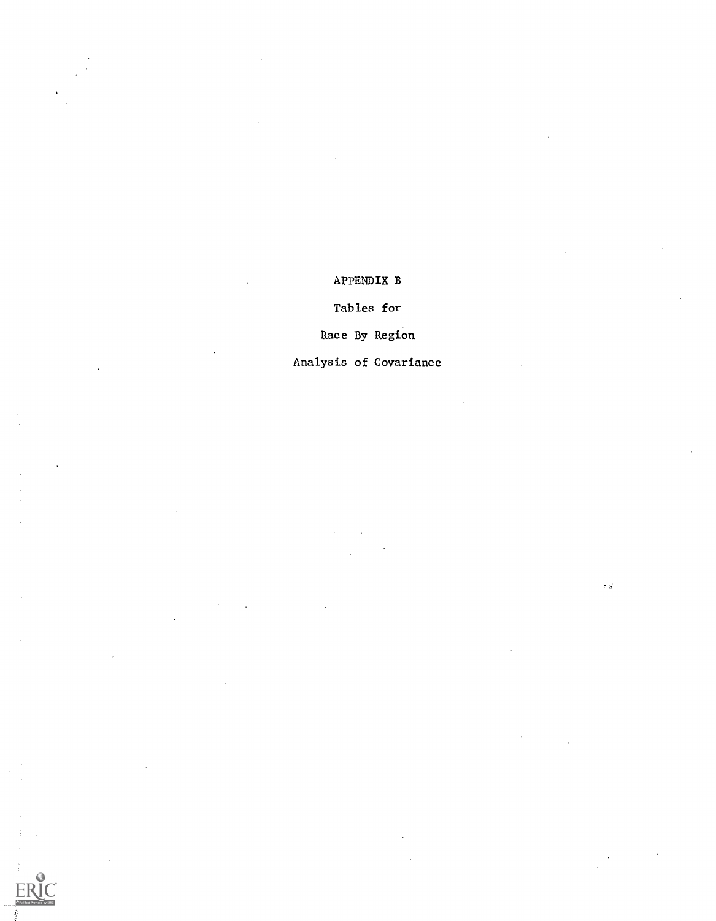## APPENDIX B

## Tables for

## Race By Region

## Analysis of Covariance

E

ea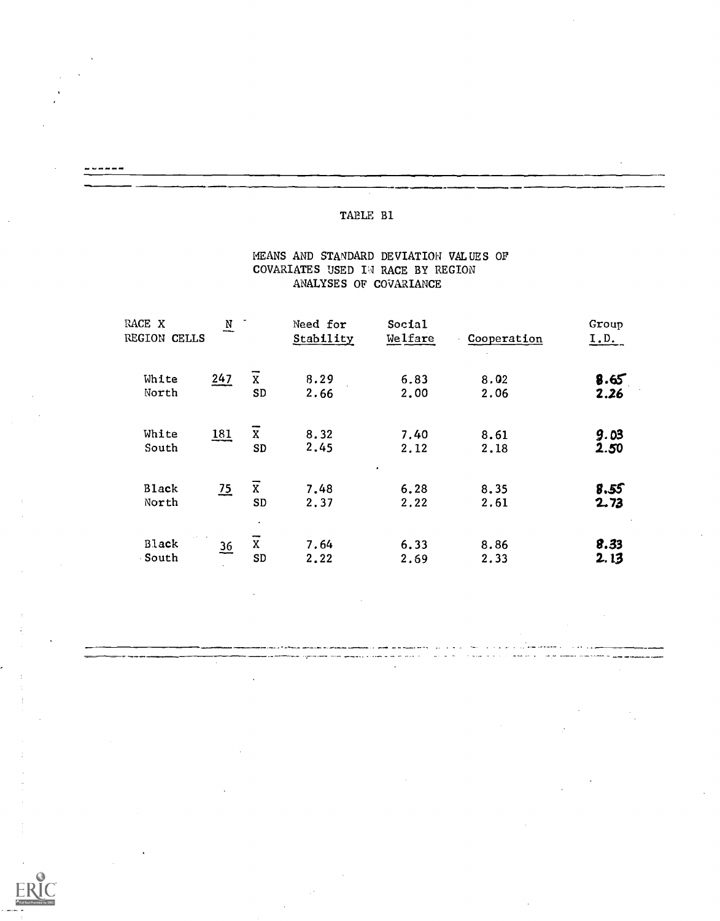### TABLE Bl

------

### MEANS AND STANDARD DEVIATION VALUES OF COVARIATES USED IN RACE BY REGION ANALYSES OF COVARIANCE

| RACE X<br>REGION CELLS | $\overline{\mathbf{N}}$ |                                       | Need for<br>Stability | Social<br>Welfare         | Cooperation  | Group<br>I.D. |  |
|------------------------|-------------------------|---------------------------------------|-----------------------|---------------------------|--------------|---------------|--|
| White<br>North         | 247                     | $\overline{\mathbf{X}}$<br>${\tt SD}$ | 8.29<br>2.66          | 6.83<br>2,00              | 8.02<br>2.06 | 8.65<br>2.26  |  |
| White<br>South         | 181                     | $\mathbf{x}$<br>SD                    | 8.32<br>2.45          | 7.40<br>2.12              | 8.61<br>2.18 | 9.03<br>2.50  |  |
| <b>Black</b><br>North  | $\overline{25}$         | $\overline{x}$<br>SD                  | 7.48<br>2.37          | $\bullet$<br>6.28<br>2.22 | 8.35<br>2.61 | 8.55<br>2.73  |  |
| <b>Black</b><br>South  | <u>36</u>               | $\mathbf X$<br>SD                     | 7.64<br>2.22          | 6.33<br>2.69              | 8.86<br>2.33 | 8.33<br>2.13  |  |

الأدامية فاعتصبت ويتهض سما  $\overline{a}$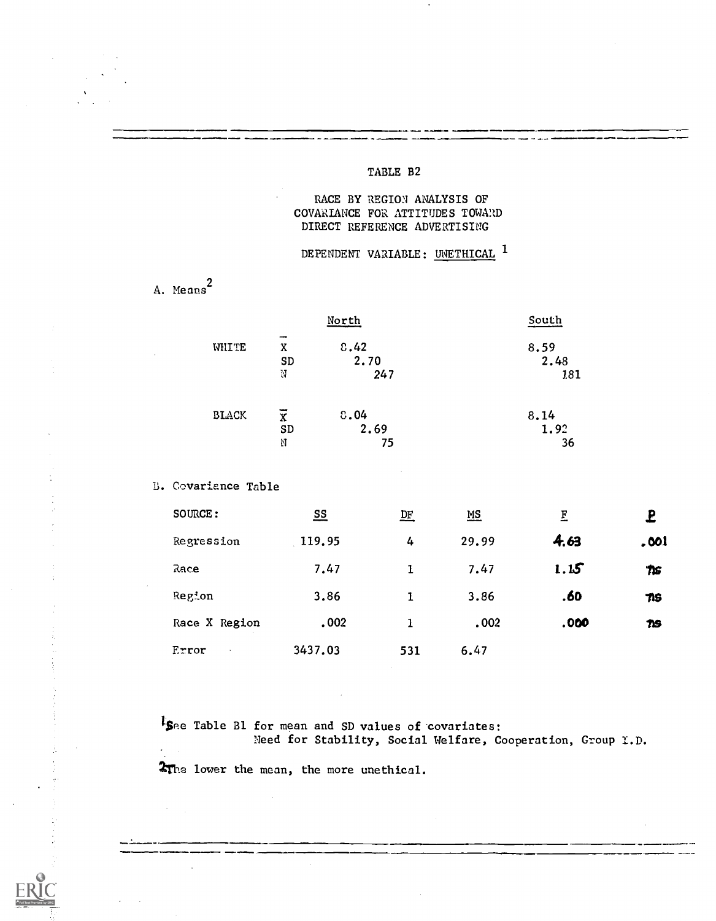#### TABLE B2

### RACE BY REGION ANALYSIS OF COVARIANCE FOR ATTITUDES TOWARD DIRECT REFERENCE ADVERTISING

## DEPENDENT VARIABLE: UNETHICAL <sup>1</sup>

A. Means<sup>2</sup>

|              |                | North | South |
|--------------|----------------|-------|-------|
| WHITE        | x              | 8.42  | 8.59  |
|              | SD             | 2.70  | 2.48  |
|              | N              | 247   | 181   |
| <b>BLACK</b> | $\overline{x}$ | 0.04  | 8.14  |
|              | SD             | 2.69  | 1.92  |
|              | N              | 75    | 36    |

B. Covariance Table

| SOURCE:         | $\underline{\mathbf{ss}}$ | 匹   | $\underline{\mathbf{MS}}$ | $\mathbf{F}$ | £                |
|-----------------|---------------------------|-----|---------------------------|--------------|------------------|
| Regression      | 119.95                    | 4   | 29.99                     | 4.63         | .001             |
| Race            | 7.47                      | 1   | 7.47                      | 1.15         | $\boldsymbol{n}$ |
| Region          | 3.86                      |     | 3.86                      | .60          | $\tau$           |
| Race X Region   | .002                      | 1   | .002                      | .000         | TIS              |
| Error<br>$\sim$ | 3437.03                   | 531 | 6.47                      |              |                  |

*I*See Table B1 for mean and SD values of covariates: Need for Stability, Social Welfare, Cooperation, Group I.D.

The lower the mean, the more unethical.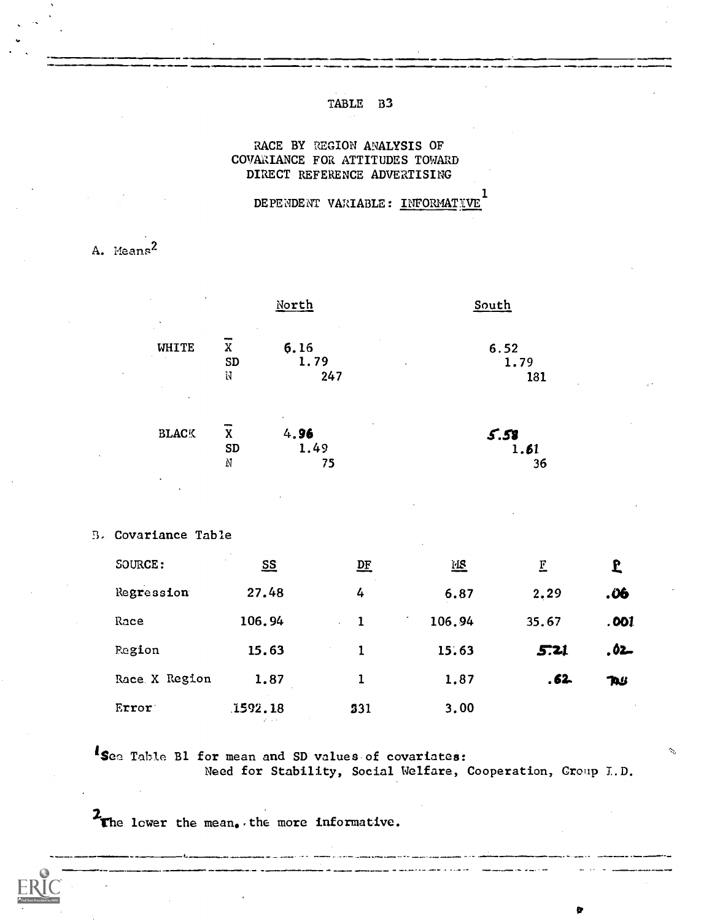#### **TABLE**  $B<sub>3</sub>$

#### RACE BY REGION ANALYSIS OF COVARIANCE FOR ATTITUDES TOWARD DIRECT REFERENCE ADVERTISING

DE PENDENT VARIABLE : INFORMATIVE

A. Means<sup>2</sup>

| $\sim$<br>$\cdot$ |              | North                                                     | South               |
|-------------------|--------------|-----------------------------------------------------------|---------------------|
| WHITE<br>٠        | X<br>SD<br>N | 6.16<br>1.79<br>٠<br>247                                  | 6.52<br>1.79<br>131 |
| <b>BLACK</b>      | X<br>SD<br>Ņ | $\epsilon$<br>$\tilde{\phantom{a}}$<br>4.96<br>1.49<br>75 | 5.58<br>1.61<br>36  |

B. Covariance Table

| SOURCE:       | $S_{\mathcal{S}}$ | 匹                                | 诬      | E     | £    |
|---------------|-------------------|----------------------------------|--------|-------|------|
| Regression    | 27.48             | 4                                | 6.87   | 2.29  | .06  |
| Race          | 106.94            | -1<br>$\mathcal{L}^{\text{max}}$ | 106.94 | 35.67 | .001 |
| Region        | 15.63             |                                  | 15.63  | 5.21  | .02  |
| Race X Region | 1.87              | 1                                | 1.87   | . 62. | TAU  |
| Error:        | 1592.18           | 531                              | 3.00   |       |      |

Isea Table B1 for mean and SD values of covariates: Need for Stability, Social Welfare, Cooperation, Croup I.D.

b

The lower the mean, the more informative.

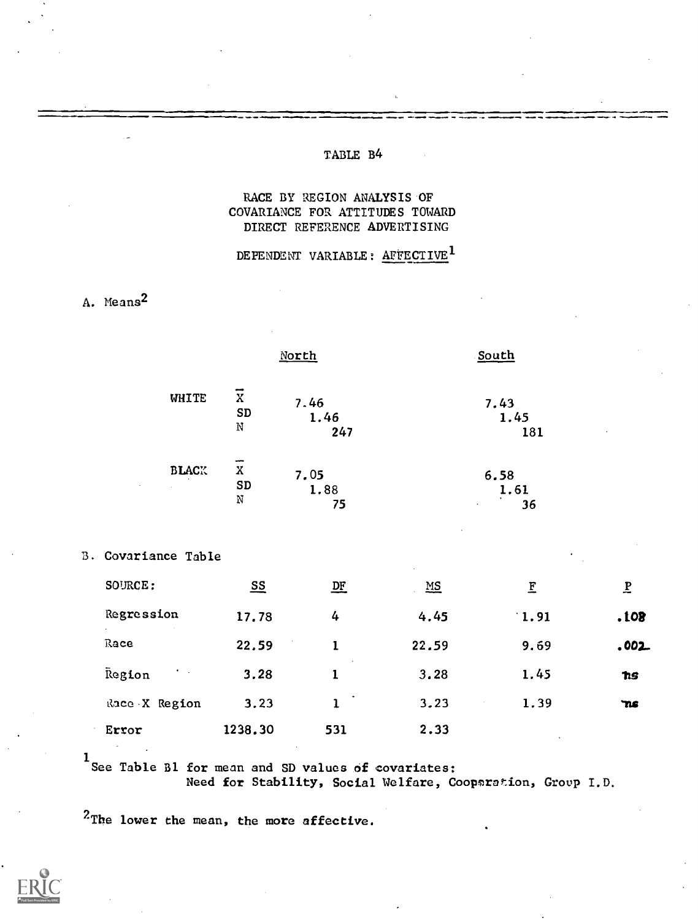#### TABLE B4

### RACE BY REGION ANALYSIS OF COVARIANCE FOR ATTITUDES TOWARD DIRECT REFERENCE ADVERTISING

### DEPENDENT VARIABLE: AFFECTIVE<sup>1</sup>

## A. Means2

|                                          |                                   | North               |            | South               |                          |
|------------------------------------------|-----------------------------------|---------------------|------------|---------------------|--------------------------|
| WHITE                                    | $\overline{x}$<br>${\bf SD}$<br>N | 7.46<br>1.46<br>247 |            | 7.43<br>1.45<br>181 | $\bullet$                |
| <b>BLACK</b><br>$\sim$<br>$\sim 10^{-1}$ | $\mathbf{x}$<br>SD<br>$\rm N$     | 7.05<br>1.88<br>75  | $\epsilon$ | 6.58<br>1.61<br>36  |                          |
| B. Covariance Table                      |                                   |                     | $\epsilon$ | $\bullet$           |                          |
| SOURCE:                                  | $\overline{\mathbf{S}}$           | $D_{\Gamma}$        | $MS$       | E                   | $\underline{\mathbf{P}}$ |

| --------                          | ≕       | ≕            | ---   | ∸    | ∸         |  |
|-----------------------------------|---------|--------------|-------|------|-----------|--|
| Regression                        | 17.78   | 4            | 4.45  | 1.91 | .108      |  |
| Race                              | 22.59   |              | 22.59 | 9.69 | .002.     |  |
| Region<br>$\mathbf{r}=\mathbf{r}$ | 3.28    | $\cdot$      | 3.28  | 1.45 | <b>hs</b> |  |
| Race X Region                     | 3.23    | $\mathbf{1}$ | 3.23  | 1.39 | `ns       |  |
| Error                             | 1238.30 | 531          | 2.33  |      |           |  |

1<br>See Table B1 for mean and SD values of covariates:

Need for Stability, Social Welfare, Coopsration, Group I.D.

<sup>2</sup>'The lower the mean, the more affective.

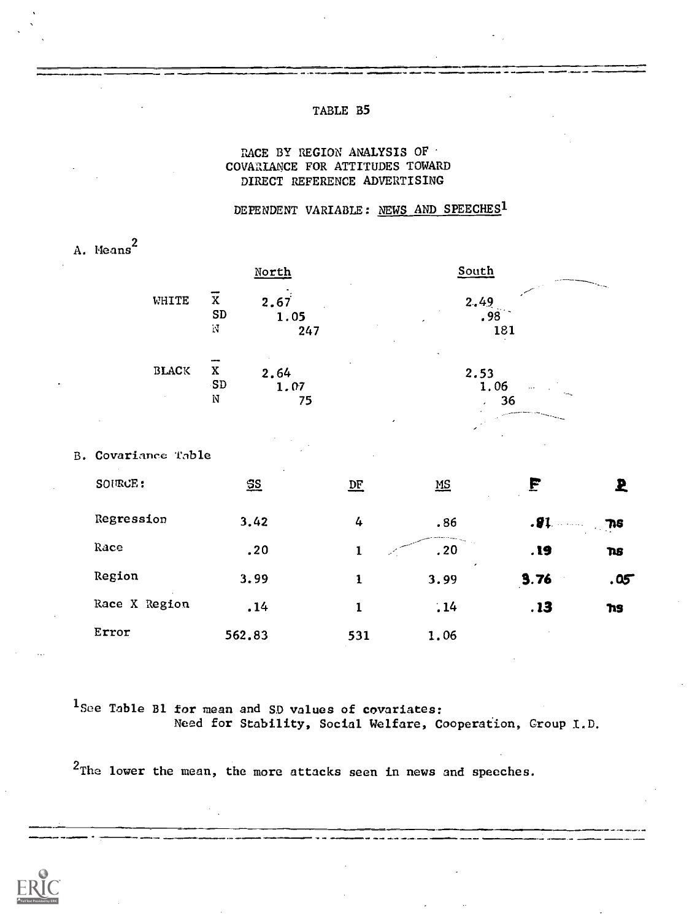#### TABLE B5

#### RACE BY REGION ANALYSIS OF : COVARIANCE FOR ATTITUDES TOWARD DIRECT REFERENCE ADVERTISING

DEPENDENT VARIABLE: NEWS AND SPEECHES<sup>1</sup>

|            |                            |                                            | North               |                  | South                     |            |            |
|------------|----------------------------|--------------------------------------------|---------------------|------------------|---------------------------|------------|------------|
|            | WHITE                      | $\overline{\mathbf{x}}$<br>${\tt SD}$<br>N | 2.67<br>1.05<br>247 |                  | 2.49<br>.98               | 181        |            |
|            | $\operatorname{BLACK}$     | $\mathbf x$<br>SD<br>N                     | 2.64<br>1.07<br>75  |                  | 2.53                      | 1.06<br>36 |            |
|            |                            |                                            |                     |                  |                           |            |            |
|            | <b>B. Covariance Table</b> |                                            |                     |                  |                           |            |            |
| SOURCE:    |                            |                                            | $\S$                | $D_{\mathbf{E}}$ | $\underline{\mathsf{MS}}$ | F          | Ł          |
| Regression |                            |                                            | 3.42                | 4                | .86                       | $.91 -$    | 78         |
| Race       |                            |                                            | .20                 | $\mathbf 1$      | .20                       | . 19       | <b>ns</b>  |
| Region     |                            |                                            | 3.99                | $\mathbf 1$      | 3.99                      | 3.76       | .05        |
|            | Race X Region              |                                            | .14                 | $\mathbf{1}$     | 14                        | .13        | <b>TIS</b> |
| Error      |                            | 562.83                                     |                     | 531              | 1.06                      |            |            |

1See Table B1 for mean and SD values of covariates: Need for Stability, Social Welfare, Cooperation, Group I.D.

<sup>2</sup>The lower the mean, the more attacks seen in news and speeches.



A. Means 2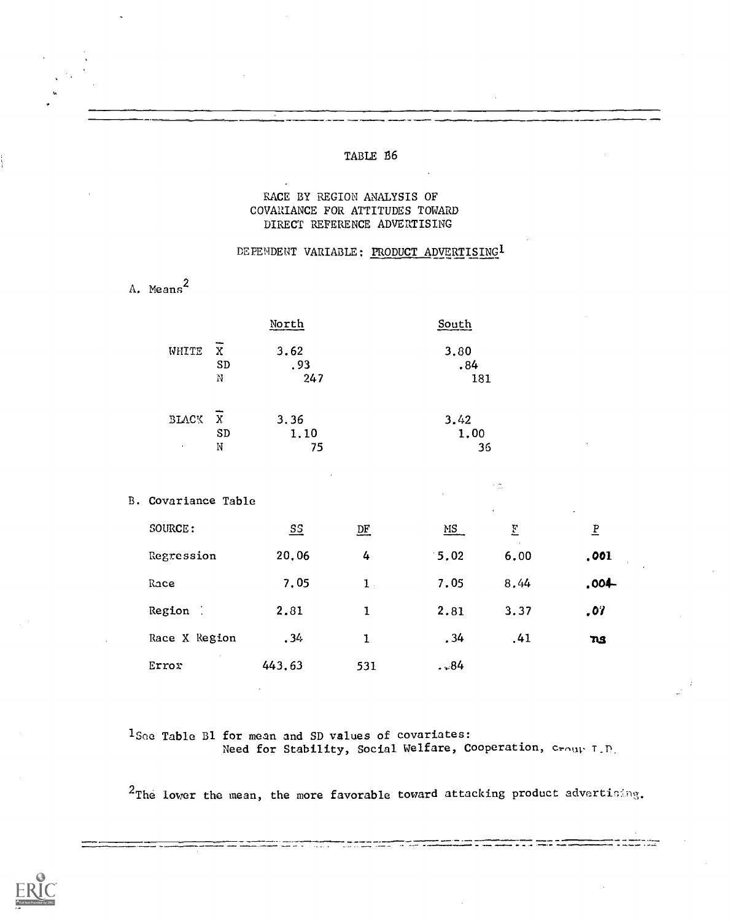### TABLE 86

### RACE BY REGION ANALYSIS OF COVARIANCE FOR ATTITUDES TOWARD DIRECT REFERENCE ADVERTISING

A. Means<sup>2</sup>

### DEPENDENT VARIABLE: PRODUCT ADVERTISING<sup>1</sup>

|  | North                                 |  |                    | South          |                    |                         |                          |  |
|--|---------------------------------------|--|--------------------|----------------|--------------------|-------------------------|--------------------------|--|
|  | $\mathbf X$<br>WHITE<br>SD<br>$\rm M$ |  | 3.62<br>.93<br>247 |                | 3.80<br>.84<br>181 |                         |                          |  |
|  | BLACK<br>X<br>SD<br>N<br>$\epsilon$   |  | 3.36<br>1.10<br>75 |                | 3.42               | 1.00<br>36              |                          |  |
|  | B. Covariance Table                   |  |                    | ×ń.            |                    |                         |                          |  |
|  | SOURCE:                               |  | $S_{\frac{1}{2}}$  | DE             | $\underline{MS}$   | $\overline{\mathbf{E}}$ | $\underline{\mathbf{P}}$ |  |
|  | Regression<br>Race                    |  | 20.06              | 4              | 5.02               | 6.00                    | .001                     |  |
|  |                                       |  | 7.05               | $\mathbf{1}$ . | 7.05               | 8,44                    | .004-                    |  |
|  | Region :                              |  | 2.81               | $\mathbf{1}$   | 2.81               | 3.37                    | .07                      |  |
|  | Race X Region                         |  | .34                | $\mathbf{1}$   | .34                | .41                     | <b>ns</b>                |  |
|  | Error                                 |  | 443.63             | 531            | . .84              |                         |                          |  |
|  |                                       |  |                    |                |                    |                         |                          |  |

1Soe Table 81 for mean and SD values of covariates: Need for Stability, Social Welfare, Cooperation, croup T.D.

 $2$ The lower the mean, the more favorable toward attacking product advertining.

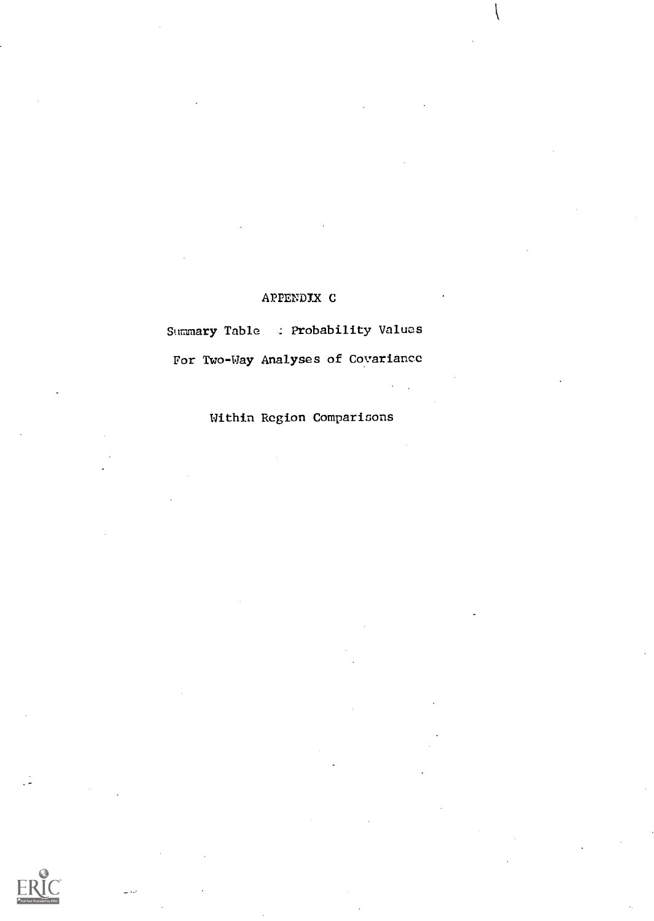## APPENDIX C

Summary Table : Probability Values For Two-Way Analyses of Covariance

Within Region Comparisons